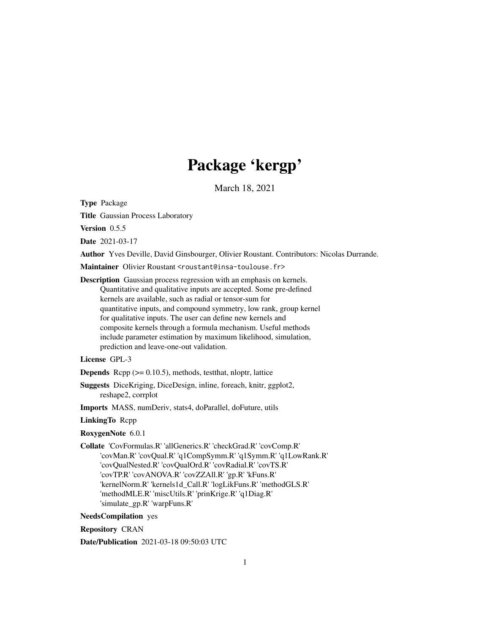# Package 'kergp'

March 18, 2021

<span id="page-0-0"></span>Type Package

Title Gaussian Process Laboratory

Version 0.5.5

Date 2021-03-17

Author Yves Deville, David Ginsbourger, Olivier Roustant. Contributors: Nicolas Durrande.

Maintainer Olivier Roustant <roustant@insa-toulouse.fr>

Description Gaussian process regression with an emphasis on kernels. Quantitative and qualitative inputs are accepted. Some pre-defined kernels are available, such as radial or tensor-sum for quantitative inputs, and compound symmetry, low rank, group kernel for qualitative inputs. The user can define new kernels and composite kernels through a formula mechanism. Useful methods include parameter estimation by maximum likelihood, simulation, prediction and leave-one-out validation.

# License GPL-3

**Depends** Rcpp  $(>= 0.10.5)$ , methods, test that, nloptr, lattice

Suggests DiceKriging, DiceDesign, inline, foreach, knitr, ggplot2, reshape2, corrplot

Imports MASS, numDeriv, stats4, doParallel, doFuture, utils

#### LinkingTo Rcpp

RoxygenNote 6.0.1

Collate 'CovFormulas.R' 'allGenerics.R' 'checkGrad.R' 'covComp.R' 'covMan.R' 'covQual.R' 'q1CompSymm.R' 'q1Symm.R' 'q1LowRank.R' 'covQualNested.R' 'covQualOrd.R' 'covRadial.R' 'covTS.R' 'covTP.R' 'covANOVA.R' 'covZZAll.R' 'gp.R' 'kFuns.R' 'kernelNorm.R' 'kernels1d\_Call.R' 'logLikFuns.R' 'methodGLS.R' 'methodMLE.R' 'miscUtils.R' 'prinKrige.R' 'q1Diag.R' 'simulate\_gp.R' 'warpFuns.R'

NeedsCompilation yes

Repository CRAN

Date/Publication 2021-03-18 09:50:03 UTC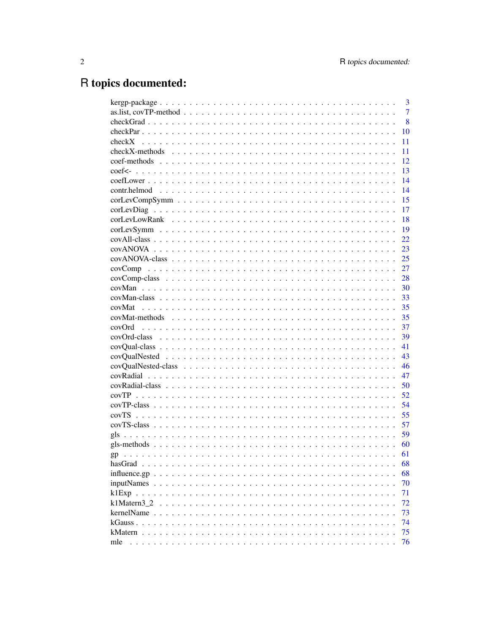# R topics documented:

|             | 3              |
|-------------|----------------|
|             | $\overline{7}$ |
|             | 8              |
|             | 10             |
|             | 11             |
|             | 11             |
|             | 12             |
|             | 13             |
|             | 14             |
|             | 14             |
|             | 15             |
|             | 17             |
|             | 18             |
|             | 19             |
|             | 22             |
|             | 23             |
|             | 25             |
|             | 27             |
|             | 28             |
|             | 30             |
|             | 33             |
|             | 35             |
|             | 35             |
|             | 37             |
|             | 39             |
|             | 41             |
|             | 43             |
|             | 46             |
|             | 47             |
|             | 50             |
|             | 52             |
|             |                |
|             | 54             |
|             | 55             |
|             | 57             |
|             | 59             |
|             | 60             |
|             | 61             |
| hasGrad     | 68             |
|             | 68             |
|             | 70             |
|             | 71             |
| k1Matern3 2 | 72             |
| kernelName  | 73             |
|             | 74             |
| kMatern     | 75             |
| mle         | 76             |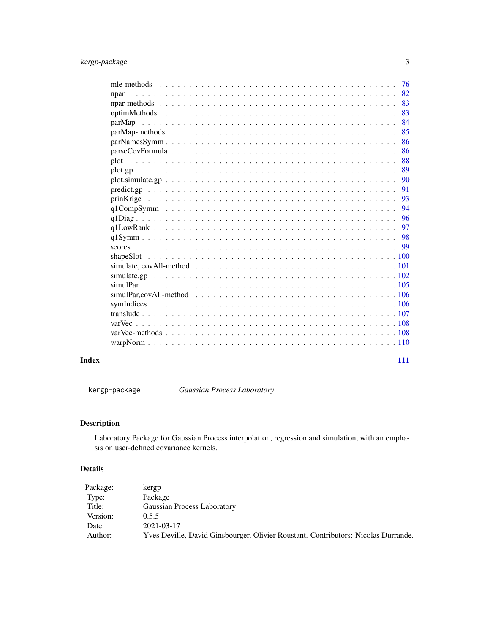<span id="page-2-0"></span>

|       | 76           |
|-------|--------------|
|       | 82           |
|       | 83           |
|       | 83           |
|       | 84<br>parMap |
|       | 85           |
|       | 86           |
|       | 86           |
|       | 88           |
|       | 89           |
|       | 90           |
|       | 91           |
|       | 93           |
|       | 94           |
|       | 96           |
|       | 97           |
|       | 98           |
|       | - 99         |
|       |              |
|       |              |
|       |              |
|       |              |
|       |              |
|       |              |
|       |              |
|       |              |
|       |              |
|       |              |
|       |              |
| Index | 111          |

kergp-package *Gaussian Process Laboratory*

# Description

Laboratory Package for Gaussian Process interpolation, regression and simulation, with an emphasis on user-defined covariance kernels.

# Details

| Package: | kergp                                                                              |
|----------|------------------------------------------------------------------------------------|
| Type:    | Package                                                                            |
| Title:   | Gaussian Process Laboratory                                                        |
| Version: | 0.5.5                                                                              |
| Date:    | 2021-03-17                                                                         |
| Author:  | Yves Deville, David Ginsbourger, Olivier Roustant, Contributors: Nicolas Durrande. |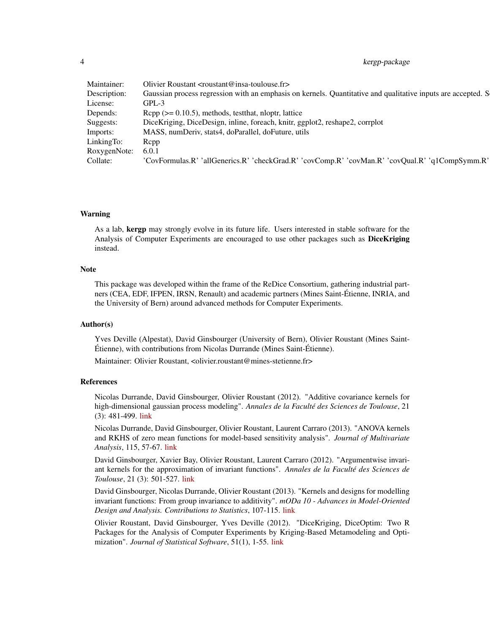4 kergp-package

|                    | Maintainer: Olivier Roustant < roustant@insa-toulouse.fr>                                                                 |
|--------------------|---------------------------------------------------------------------------------------------------------------------------|
|                    | Description: Gaussian process regression with an emphasis on kernels. Quantitative and qualitative inputs are accepted. S |
| License:           | GPL-3                                                                                                                     |
| Depends:           | $\mathbb{R}^p$ ( $\geq 0.10.5$ ), methods, test that, nloptr, lattice                                                     |
| Suggests:          | DiceKriging, DiceDesign, inline, foreach, knitr, ggplot2, reshape2, corrplot                                              |
| Imports:           | MASS, numDeriv, stats4, doParallel, doFuture, utils                                                                       |
| LinkingTo: Repp    |                                                                                                                           |
| RoxygenNote: 6.0.1 |                                                                                                                           |
| Collate:           | 'CovFormulas.R' 'allGenerics.R' 'checkGrad.R' 'covComp.R' 'covMan.R' 'covQual.R' 'q1CompSymm.R'                           |

#### Warning

As a lab, kergp may strongly evolve in its future life. Users interested in stable software for the Analysis of Computer Experiments are encouraged to use other packages such as **DiceKriging** instead.

# **Note**

This package was developed within the frame of the ReDice Consortium, gathering industrial partners (CEA, EDF, IFPEN, IRSN, Renault) and academic partners (Mines Saint-Étienne, INRIA, and the University of Bern) around advanced methods for Computer Experiments.

#### Author(s)

Yves Deville (Alpestat), David Ginsbourger (University of Bern), Olivier Roustant (Mines Saint-Étienne), with contributions from Nicolas Durrande (Mines Saint-Étienne).

Maintainer: Olivier Roustant, <olivier.roustant@mines-stetienne.fr>

#### References

Nicolas Durrande, David Ginsbourger, Olivier Roustant (2012). "Additive covariance kernels for high-dimensional gaussian process modeling". *Annales de la Faculté des Sciences de Toulouse*, 21 (3): 481-499. [link](https://afst.centre-mersenne.org/item/AFST_2012_6_21_3_481_0)

Nicolas Durrande, David Ginsbourger, Olivier Roustant, Laurent Carraro (2013). "ANOVA kernels and RKHS of zero mean functions for model-based sensitivity analysis". *Journal of Multivariate Analysis*, 115, 57-67. [link](https://www.sciencedirect.com/science/article/pii/S0047259X1200214X)

David Ginsbourger, Xavier Bay, Olivier Roustant, Laurent Carraro (2012). "Argumentwise invariant kernels for the approximation of invariant functions". *Annales de la Faculté des Sciences de Toulouse*, 21 (3): 501-527. [link](https://afst.centre-mersenne.org/item/AFST_2012_6_21_3_501_0/)

David Ginsbourger, Nicolas Durrande, Olivier Roustant (2013). "Kernels and designs for modelling invariant functions: From group invariance to additivity". *mODa 10 - Advances in Model-Oriented Design and Analysis. Contributions to Statistics*, 107-115. [link](https://link.springer.com/book/10.1007/978-3-319-00218-7)

Olivier Roustant, David Ginsbourger, Yves Deville (2012). "DiceKriging, DiceOptim: Two R Packages for the Analysis of Computer Experiments by Kriging-Based Metamodeling and Optimization". *Journal of Statistical Software*, 51(1), 1-55. [link](https://www.jstatsoft.org/v51/i01/)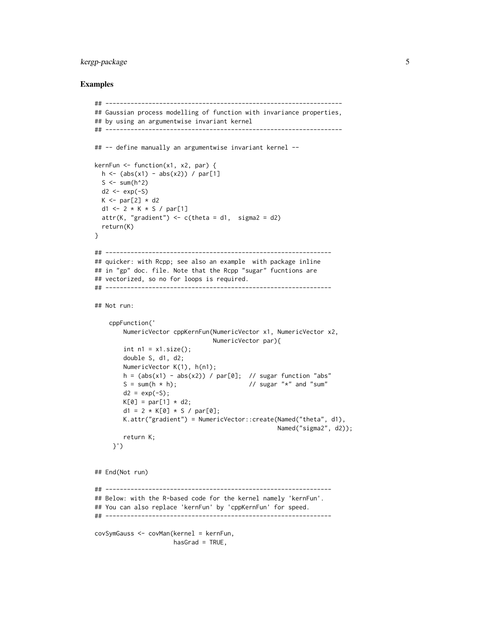# kergp-package 5

```
## ------------------------------------------------------------------
## Gaussian process modelling of function with invariance properties,
## by using an argumentwise invariant kernel
## ------------------------------------------------------------------
## -- define manually an argumentwise invariant kernel --
kernFun \leq function(x1, x2, par) {
  h \leftarrow (abs(x1) - abs(x2)) / par[1]S \leq sum(h^2)
 d2 \leq -\exp(-S)K \leq - par[2] \star d2
  d1 <- 2 * K * S / par[1]
  attr(K, "gradient") \leq c(theta = d1, sigma2 = d2)
  return(K)
}
## ---------------------------------------------------------------
## quicker: with Rcpp; see also an example with package inline
## in "gp" doc. file. Note that the Rcpp "sugar" fucntions are
## vectorized, so no for loops is required.
## ---------------------------------------------------------------
## Not run:
    cppFunction('
        NumericVector cppKernFun(NumericVector x1, NumericVector x2,
                                 NumericVector par){
        int n1 = x1.size();
        double S, d1, d2;
        NumericVector K(1), h(n1);
        h = (abs(x1) - abs(x2)) / par[0]; // sugar function "abs"S = sum(h * h); // sugar "*" and "sum"
        d2 = exp(-S);K[0] = par[1] * d2;d1 = 2 * K[0] * S / par[0];K.attr("gradient") = NumericVector::create(Named("theta", d1),
                                                   Named("sigma2", d2));
        return K;
     }')
## End(Not run)
## ---------------------------------------------------------------
## Below: with the R-based code for the kernel namely 'kernFun'.
## You can also replace 'kernFun' by 'cppKernFun' for speed.
## ---------------------------------------------------------------
covSymGauss <- covMan(kernel = kernFun,
                     hasGrad = TRUE,
```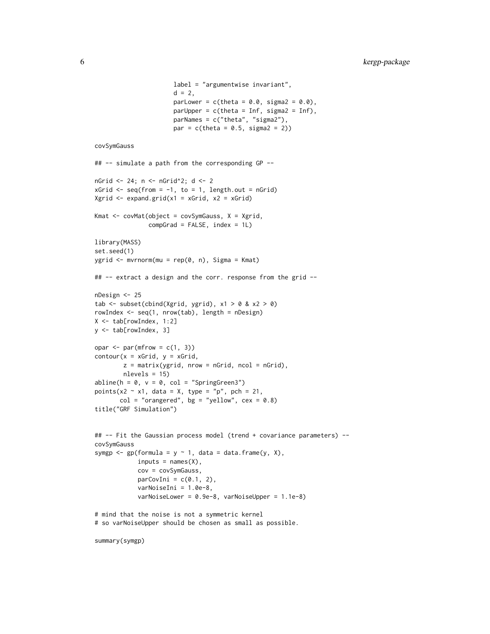```
label = "argumentwise invariant",
                      d = 2,
                      parLower = c(theta = 0.0, sigma2 = 0.0),
                      parUpper = c(theta = Inf, sigma2 = Inf),
                      parNames = c("theta", "sigma2"),
                      par = c(theta = 0.5, sigma2 = 2)covSymGauss
## -- simulate a path from the corresponding GP --
nGrid < -24; n < -nGrid^2; d <-2xGrid \leftarrow seq(from = -1, to = 1, length.out = nGrid)Xgrid \leftarrow expand.grid(x1 = xGrid, x2 = xGrid)Kmat <- covMat(object = covSymGauss, X = Xgrid,
               compGrad = FALSE, index = 1L)
library(MASS)
set.seed(1)
ygrid <- mvrnorm(mu = rep(0, n), Sigma = Kmat)
## -- extract a design and the corr. response from the grid --
nDesign <- 25
tab \le subset(cbind(Xgrid, ygrid), x1 > 0 & x2 > 0)
rowIndex <- seq(1, nrow(tab), length = nDesign)
X \le -\t{tab}[rowIndex, 1:2]
y <- tab[rowIndex, 3]
opar \leq par(mfrow = c(1, 3))
contour(x = xGrid, y = xGrid,z = matrix(ygrid, nrow = nGrid, ncol = nGrid),nlevels = 15)
abline(h = 0, v = 0, col = "SpringGreen3")points(x2 \sim x1, data = X, type = "p", pch = 21,
       col = "orangered", bg = "yellow", cex = 0.8)title("GRF Simulation")
## -- Fit the Gaussian process model (trend + covariance parameters) --
covSymGauss
symgp <- gp(formula = y \sim 1, data = data.frame(y, X),
            inputs = names(X),cov = covSymGauss,
            parCovIni = c(0.1, 2),varNoiseIni = 1.0e-8,
            varNoiseLower = 0.9e-8, varNoiseUpper = 1.1e-8)
# mind that the noise is not a symmetric kernel
# so varNoiseUpper should be chosen as small as possible.
```
summary(symgp)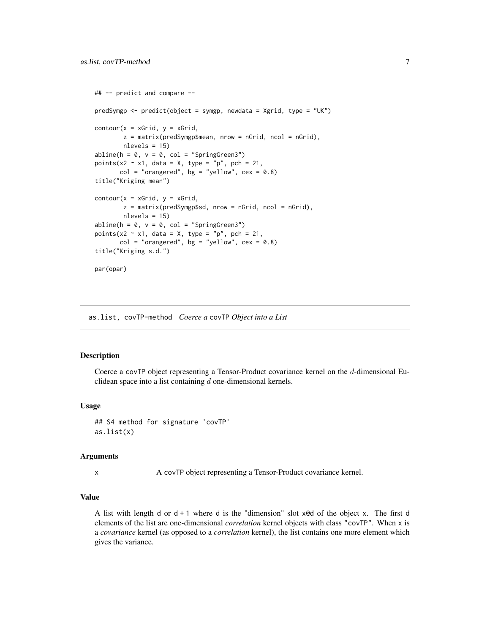```
## -- predict and compare --
predSymgp <- predict(object = symgp, newdata = Xgrid, type = "UK")
contour(x = xGrid, y = xGrid,z = matrix(predSymgp$mean, nrow = nGrid, ncol = nGrid),nlevels = 15)
abline(h = 0, v = 0, col = "SpringGreen3")points(x2 \sim x1, data = X, type = "p", pch = 21,
      col = "orangered", bg = "yellow", cex = 0.8)title("Kriging mean")
contour(x = xGrid, y = xGrid,z = matrix(predSymgp$sd, nrow = nGrid, ncol = nGrid),
       nlevels = 15)
abline(h = 0, v = 0, col = "SpringGreen3")points(x2 \sim x1, data = X, type = "p", pch = 21,
      col = "orangered", bg = "yellow", cex = 0.8)title("Kriging s.d.")
par(opar)
```
as.list, covTP-method *Coerce a* covTP *Object into a List*

#### Description

Coerce a covTP object representing a Tensor-Product covariance kernel on the d-dimensional Euclidean space into a list containing  $d$  one-dimensional kernels.

#### Usage

## S4 method for signature 'covTP' as.list(x)

#### Arguments

x A covTP object representing a Tensor-Product covariance kernel.

### Value

A list with length d or  $d + 1$  where d is the "dimension" slot xed of the object x. The first d elements of the list are one-dimensional *correlation* kernel objects with class "covTP". When x is a *covariance* kernel (as opposed to a *correlation* kernel), the list contains one more element which gives the variance.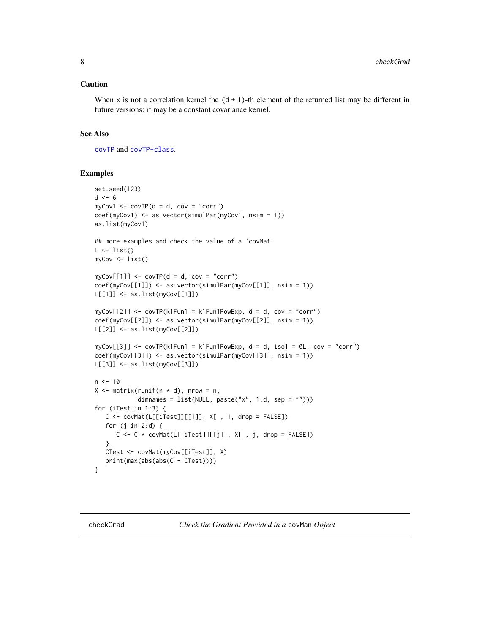#### <span id="page-7-0"></span>Caution

When  $x$  is not a correlation kernel the  $(d + 1)$ -th element of the returned list may be different in future versions: it may be a constant covariance kernel.

# See Also

[covTP](#page-51-1) and [covTP-class](#page-53-1).

```
set.seed(123)
d \leq -6myCov1 \leq -covTP(d = d, cov = "corr")coef(myCov1) <- as.vector(simulPar(myCov1, nsim = 1))
as.list(myCov1)
## more examples and check the value of a 'covMat'
L \leftarrow list()myCov <- list()
myCov[[1]] \leftarrow covTP(d = d, cov = "corr")coef(myCov[[1]]) <- as.vector(simulPar(myCov[[1]], nsim = 1))
L[[1]] <- as.list(myCov[[1]])
myCov[[2]] <- covTP(k1Fun1 = k1Fun1PowExp, d = d, cov = "corr")
coef(myCov[[2]]) <- as.vector(simulPar(myCov[[2]], nsim = 1))
L[[2]] <- as.list(myCov[[2]])
myCov[[3]] <- covTP(k1Fun1 = k1Fun1PowExp, d = d, iso1 = 0L, cov = "corr")
coef(myCov[[3]]) <- as.vector(simulPar(myCov[[3]], nsim = 1))
L[[3]] <- as.list(myCov[[3]])
n < -10X \leq - matrix(runif(n * d), nrow = n,
            dimnames = list(NULL, paste("x", 1:d, sep = ""))for (iTest in 1:3) {
   C \leftarrow \text{covMat}(L[[iTest]][[1]], X[, 1, drop = FALSE])for (j in 2:d) {
      C \leftarrow C * covMat(L[[iTest]][[j]], X[, j, drop = FALSE])}
   CTest <- covMat(myCov[[iTest]], X)
   print(max(abs(abs(C - CTest))))
}
```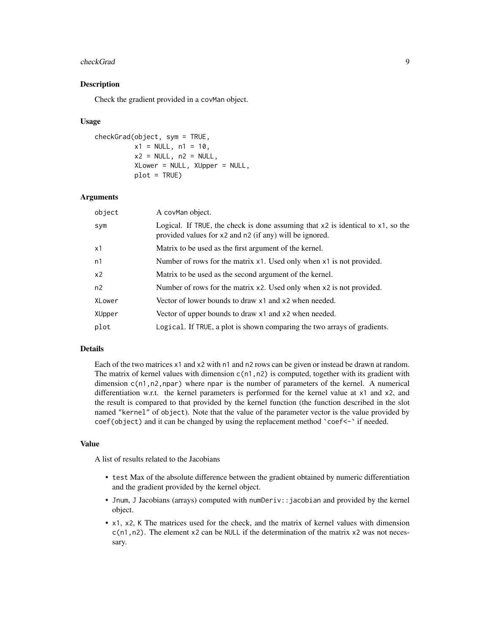#### checkGrad 9

#### Description

Check the gradient provided in a covMan object.

#### Usage

```
checkGrad(object, sym = TRUE,
         x1 = NULL, n1 = 10,x2 = NULL, n2 = NULL,XLower = NULL, XUpper = NULL,
          plot = TRUE)
```
# Arguments

| object         | A covMan object.                                                                                                                                  |
|----------------|---------------------------------------------------------------------------------------------------------------------------------------------------|
| sym            | Logical. If TRUE, the check is done assuming that $x^2$ is identical to $x^1$ , so the<br>provided values for x2 and n2 (if any) will be ignored. |
| x1             | Matrix to be used as the first argument of the kernel.                                                                                            |
| n1             | Number of rows for the matrix x1. Used only when x1 is not provided.                                                                              |
| x <sub>2</sub> | Matrix to be used as the second argument of the kernel.                                                                                           |
| n2             | Number of rows for the matrix x2. Used only when x2 is not provided.                                                                              |
| XLower         | Vector of lower bounds to draw x1 and x2 when needed.                                                                                             |
| XUpper         | Vector of upper bounds to draw x1 and x2 when needed.                                                                                             |
| plot           | Logical. If TRUE, a plot is shown comparing the two arrays of gradients.                                                                          |
|                |                                                                                                                                                   |

# Details

Each of the two matrices x1 and x2 with n1 and n2 rows can be given or instead be drawn at random. The matrix of kernel values with dimension  $c(n1, n2)$  is computed, together with its gradient with dimension c(n1,n2,npar) where npar is the number of parameters of the kernel. A numerical differentiation w.r.t. the kernel parameters is performed for the kernel value at x1 and x2, and the result is compared to that provided by the kernel function (the function described in the slot named "kernel" of object). Note that the value of the parameter vector is the value provided by coef(object) and it can be changed by using the replacement method `coef<-` if needed.

#### Value

A list of results related to the Jacobians

- test Max of the absolute difference between the gradient obtained by numeric differentiation and the gradient provided by the kernel object.
- Jnum, J Jacobians (arrays) computed with numDeriv::jacobian and provided by the kernel object.
- x1, x2, K The matrices used for the check, and the matrix of kernel values with dimension  $c(n1, n2)$ . The element x2 can be NULL if the determination of the matrix x2 was not necessary.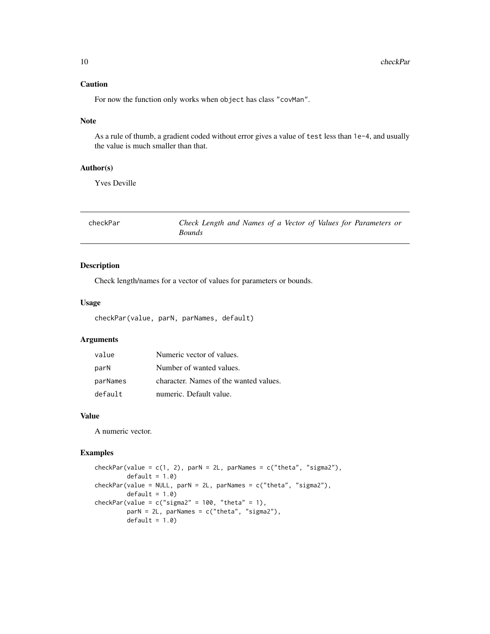# <span id="page-9-0"></span>Caution

For now the function only works when object has class "covMan".

#### Note

As a rule of thumb, a gradient coded without error gives a value of test less than 1e-4, and usually the value is much smaller than that.

# Author(s)

Yves Deville

| checkPar | Check Length and Names of a Vector of Values for Parameters or |
|----------|----------------------------------------------------------------|
|          | <i>Bounds</i>                                                  |

# Description

Check length/names for a vector of values for parameters or bounds.

#### Usage

checkPar(value, parN, parNames, default)

# Arguments

| value    | Numeric vector of values.              |
|----------|----------------------------------------|
| parN     | Number of wanted values.               |
| parNames | character. Names of the wanted values. |
| default  | numeric. Default value.                |

#### Value

A numeric vector.

```
checkPar(value = c(1, 2), parN = 2L, parNames = c("theta", "sigma2"),
        default = 1.0)checkPar(value = NULL, parN = 2L, parNames = c("theta", "sigma2"),default = 1.0checkPar(value = c("sigma2" = 100, "theta" = 1),parN = 2L, parNames = c("theta", "sigma2"),
        default = 1.0)
```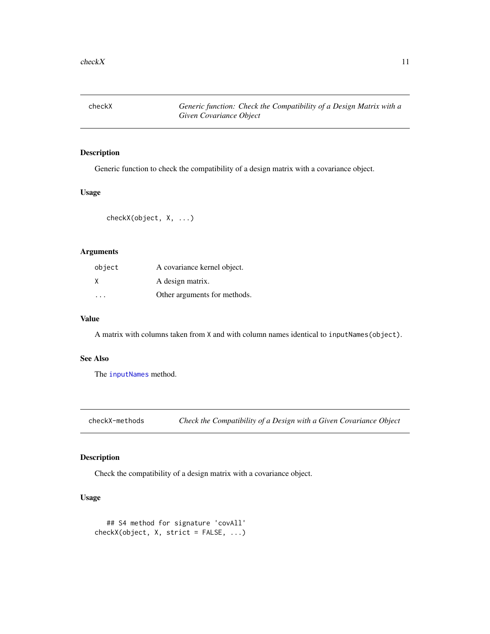<span id="page-10-1"></span><span id="page-10-0"></span>checkX *Generic function: Check the Compatibility of a Design Matrix with a Given Covariance Object*

# Description

Generic function to check the compatibility of a design matrix with a covariance object.

#### Usage

```
checkX(object, X, ...)
```
# Arguments

| object | A covariance kernel object.  |
|--------|------------------------------|
| X      | A design matrix.             |
|        | Other arguments for methods. |

#### Value

A matrix with columns taken from X and with column names identical to inputNames(object).

#### See Also

The [inputNames](#page-69-1) method.

checkX-methods *Check the Compatibility of a Design with a Given Covariance Object*

# Description

Check the compatibility of a design matrix with a covariance object.

# Usage

```
## S4 method for signature 'covAll'
checkX(object, X, strict = FALSE, ...)
```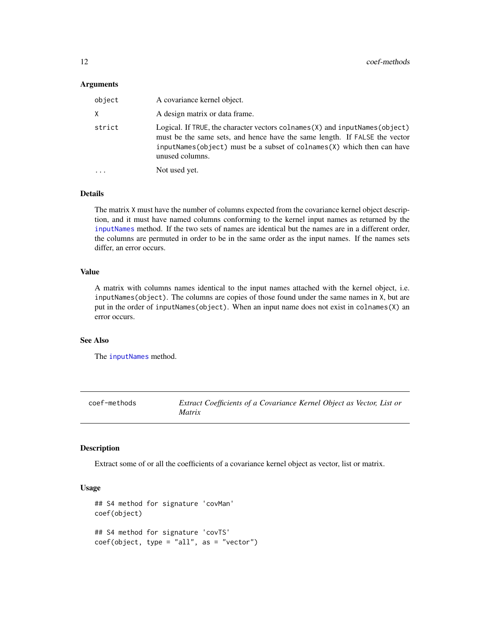#### <span id="page-11-0"></span>**Arguments**

| object   | A covariance kernel object.                                                                                                                                                                                                                                 |
|----------|-------------------------------------------------------------------------------------------------------------------------------------------------------------------------------------------------------------------------------------------------------------|
| Χ        | A design matrix or data frame.                                                                                                                                                                                                                              |
| strict   | Logical. If TRUE, the character vectors colnames (X) and input Names (object)<br>must be the same sets, and hence have the same length. If FALSE the vector<br>inputNames(object) must be a subset of colnames $(Y)$ which then can have<br>unused columns. |
| $\cdots$ | Not used yet.                                                                                                                                                                                                                                               |

# Details

The matrix X must have the number of columns expected from the covariance kernel object description, and it must have named columns conforming to the kernel input names as returned by the [inputNames](#page-69-1) method. If the two sets of names are identical but the names are in a different order, the columns are permuted in order to be in the same order as the input names. If the names sets differ, an error occurs.

# Value

A matrix with columns names identical to the input names attached with the kernel object, i.e. inputNames(object). The columns are copies of those found under the same names in X, but are put in the order of inputNames(object). When an input name does not exist in colnames(X) an error occurs.

#### See Also

The [inputNames](#page-69-1) method.

coef-methods *Extract Coefficients of a Covariance Kernel Object as Vector, List or Matrix*

# Description

Extract some of or all the coefficients of a covariance kernel object as vector, list or matrix.

#### Usage

```
## S4 method for signature 'covMan'
coef(object)
## S4 method for signature 'covTS'
coef(object, type = "all", as = "vector")
```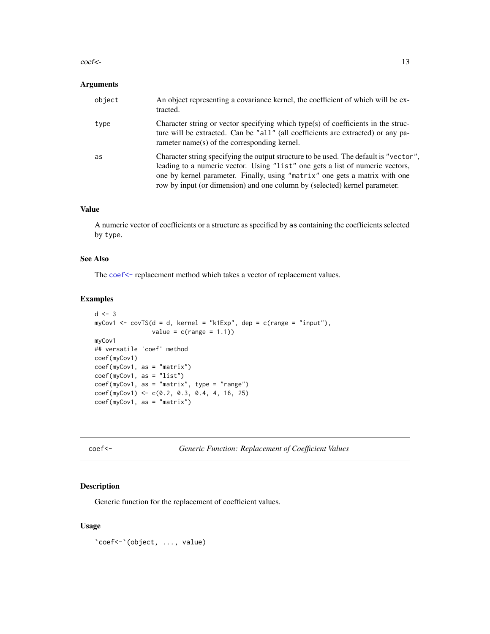#### <span id="page-12-0"></span> $\text{coeff}$  - 13

#### Arguments

| object | An object representing a covariance kernel, the coefficient of which will be ex-<br>tracted.                                                                                                                                                                                                                                        |
|--------|-------------------------------------------------------------------------------------------------------------------------------------------------------------------------------------------------------------------------------------------------------------------------------------------------------------------------------------|
| type   | Character string or vector specifying which type(s) of coefficients in the struc-<br>ture will be extracted. Can be "all" (all coefficients are extracted) or any pa-<br>rameter name(s) of the corresponding kernel.                                                                                                               |
| as     | Character string specifying the output structure to be used. The default is "vector",<br>leading to a numeric vector. Using "list" one gets a list of numeric vectors,<br>one by kernel parameter. Finally, using "matrix" one gets a matrix with one<br>row by input (or dimension) and one column by (selected) kernel parameter. |

#### Value

A numeric vector of coefficients or a structure as specified by as containing the coefficients selected by type.

# See Also

The [coef<-](#page-12-1) replacement method which takes a vector of replacement values.

# Examples

```
d \leq -3myCov1 <- covTS(d = d, kernel = "k1Exp", dep = c(range = "input"),
                      value = c(range = 1.1))
myCov1
## versatile 'coef' method
coef(myCov1)
coef(myCov1, as = "matrix")
coef(myCov1, as = "list")
\csc<sup>7</sup> \csc<sup>7</sup> \sin<sup>7</sup> \sin<sup>7</sup> \sin<sup>7</sup> \sin<sup>7</sup> \sin<sup>7</sup> \sin<sup>7</sup> \sin<sup>7</sup> \sin<sup>7</sup>
coef(myCov1) <- c(0.2, 0.3, 0.4, 4, 16, 25)
coef(myCov1, as = "matrix")
```
<span id="page-12-1"></span>coef<- *Generic Function: Replacement of Coefficient Values*

#### Description

Generic function for the replacement of coefficient values.

#### Usage

`coef<-`(object, ..., value)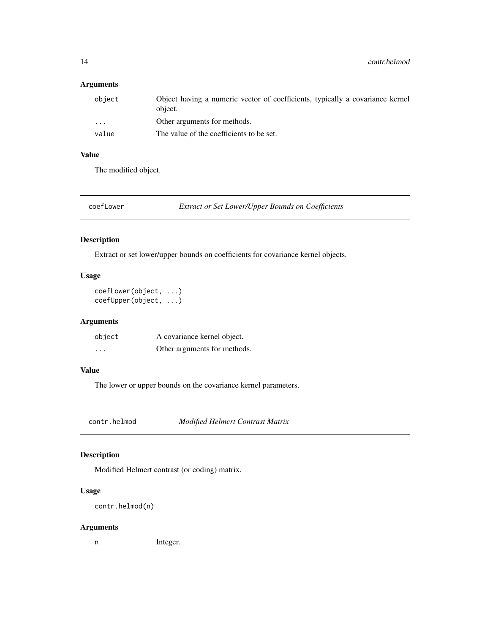# <span id="page-13-0"></span>Arguments

| object                  | Object having a numeric vector of coefficients, typically a covariance kernel<br>object. |
|-------------------------|------------------------------------------------------------------------------------------|
| $\cdot$ $\cdot$ $\cdot$ | Other arguments for methods.                                                             |
| value                   | The value of the coefficients to be set.                                                 |

# Value

The modified object.

coefLower *Extract or Set Lower/Upper Bounds on Coefficients*

# Description

Extract or set lower/upper bounds on coefficients for covariance kernel objects.

# Usage

coefLower(object, ...) coefUpper(object, ...)

# Arguments

| object   | A covariance kernel object.  |
|----------|------------------------------|
| $\cdots$ | Other arguments for methods. |

# Value

The lower or upper bounds on the covariance kernel parameters.

contr.helmod *Modified Helmert Contrast Matrix*

# Description

Modified Helmert contrast (or coding) matrix.

# Usage

```
contr.helmod(n)
```
# Arguments

n Integer.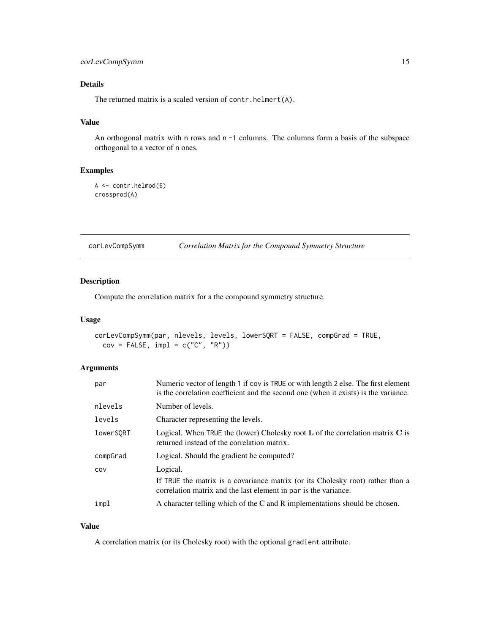# <span id="page-14-0"></span>corLevCompSymm 15

# Details

The returned matrix is a scaled version of contr.helmert(A).

#### Value

An orthogonal matrix with n rows and n -1 columns. The columns form a basis of the subspace orthogonal to a vector of n ones.

#### Examples

```
A <- contr.helmod(6)
crossprod(A)
```
corLevCompSymm *Correlation Matrix for the Compound Symmetry Structure*

# Description

Compute the correlation matrix for a the compound symmetry structure.

#### Usage

```
corLevCompSymm(par, nlevels, levels, lowerSQRT = FALSE, compGrad = TRUE,
 cov = FALSE, impl = c("C", "R")
```
#### Arguments

| par       | Numeric vector of length 1 if cov is TRUE or with length 2 else. The first element<br>is the correlation coefficient and the second one (when it exists) is the variance. |
|-----------|---------------------------------------------------------------------------------------------------------------------------------------------------------------------------|
| nlevels   | Number of levels.                                                                                                                                                         |
| levels    | Character representing the levels.                                                                                                                                        |
| lowerSORT | Logical. When TRUE the (lower) Cholesky root $L$ of the correlation matrix $C$ is<br>returned instead of the correlation matrix.                                          |
| compGrad  | Logical. Should the gradient be computed?                                                                                                                                 |
| COV       | Logical.<br>If TRUE the matrix is a covariance matrix (or its Cholesky root) rather than a<br>correlation matrix and the last element in par is the variance.             |
| impl      | A character telling which of the C and R implementations should be chosen.                                                                                                |

#### Value

A correlation matrix (or its Cholesky root) with the optional gradient attribute.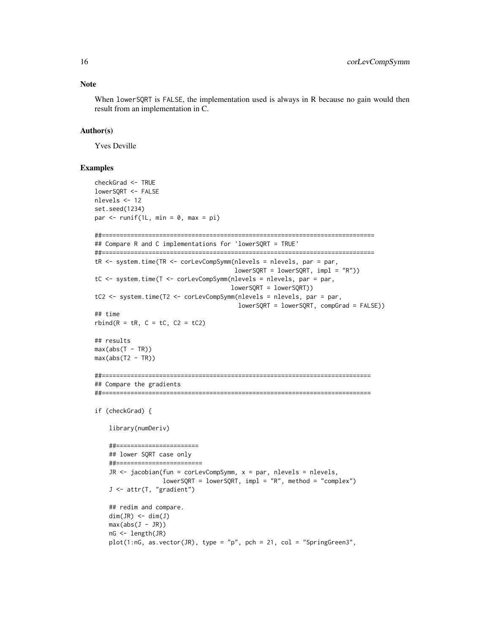When lowerSQRT is FALSE, the implementation used is always in R because no gain would then result from an implementation in C.

#### Author(s)

Yves Deville

```
checkGrad <- TRUE
lowerSQRT <- FALSE
nlevels <- 12
set.seed(1234)
par \leq runif(1L, min = 0, max = pi)
##============================================================================
## Compare R and C implementations for 'lowerSQRT = TRUE'
##============================================================================
tR <- system.time(TR <- corLevCompSymm(nlevels = nlevels, par = par,
                                       lowerSQRT = lowerSQRT, impl = "R")tC <- system.time(T <- corLevCompSymm(nlevels = nlevels, par = par,
                                      lowerSQRT = lowerSQRT))
tC2 <- system.time(T2 <- corLevCompSymm(nlevels = nlevels, par = par,
                                       lowerSQRT = lowerSQRT, compGrad = FALSE))
## time
rbind(R = tR, C = tC, C2 = tC2)
## results
max(abs(T - TR))max(abs(T2 - TR))##===========================================================================
## Compare the gradients
##===========================================================================
if (checkGrad) {
    library(numDeriv)
    ##=======================
    ## lower SQRT case only
    ##========================
    JR \le jacobian(fun = corLevCompSymm, x = par, nlevels = nlevels,
                  lowerSQRT = lowerSQRT, impl = "R", method = "complex")J <- attr(T, "gradient")
    ## redim and compare.
    dim(JR) \leq dim(J)max(abs(J - JR))nG <- length(JR)
    plot(1:nG, as.vector(JR), type = "p", pch = 21, col = "SpringGreen3",
```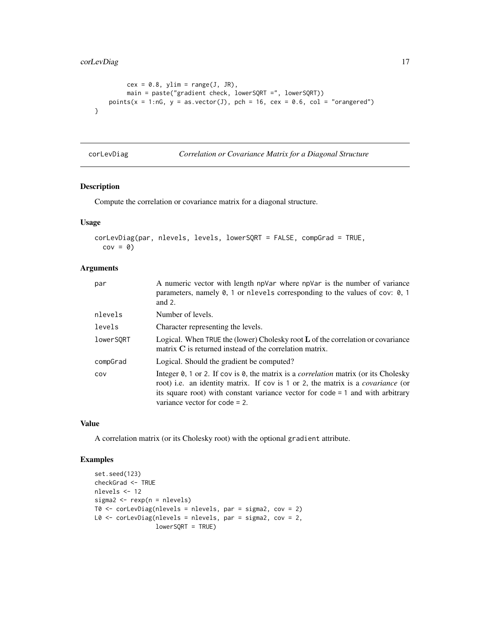```
cex = 0.8, ylim = range(J, JR),
        main = paste("gradient check, lowerSQRT =", lowerSQRT))
   points(x = 1:nG, y = asvector(J), pch = 16, cex = 0.6, col = "orange"}
```
corLevDiag *Correlation or Covariance Matrix for a Diagonal Structure*

# Description

Compute the correlation or covariance matrix for a diagonal structure.

# Usage

```
corLevDiag(par, nlevels, levels, lowerSQRT = FALSE, compGrad = TRUE,
 cov = 0
```
# Arguments

| par       | A numeric vector with length npVar where npVar is the number of variance<br>parameters, namely $\theta$ , 1 or nlevels corresponding to the values of cov: $\theta$ , 1<br>and $2$ .                                                                                                                                |
|-----------|---------------------------------------------------------------------------------------------------------------------------------------------------------------------------------------------------------------------------------------------------------------------------------------------------------------------|
| nlevels   | Number of levels.                                                                                                                                                                                                                                                                                                   |
| levels    | Character representing the levels.                                                                                                                                                                                                                                                                                  |
| lowerSORT | Logical. When TRUE the (lower) Cholesky root $L$ of the correlation or covariance<br>matrix $C$ is returned instead of the correlation matrix.                                                                                                                                                                      |
| compGrad  | Logical. Should the gradient be computed?                                                                                                                                                                                                                                                                           |
| COV       | Integer 0, 1 or 2. If cov is 0, the matrix is a <i>correlation</i> matrix (or its Cholesky<br>root) i.e. an identity matrix. If cov is 1 or 2, the matrix is a <i>covariance</i> (or<br>its square root) with constant variance vector for $\text{code} = 1$ and with arbitrary<br>variance vector for $code = 2$ . |

# Value

A correlation matrix (or its Cholesky root) with the optional gradient attribute.

```
set.seed(123)
checkGrad <- TRUE
nlevels <- 12
sigma2 < - rexp(n = nlevels)
T0 <- corLevDiag(nlevels = nlevels, par = sigma2, cov = 2)
L0 <- corLevDiag(nlevels = nlevels, par = sigma2, cov = 2,
                 lowerSQRT = TRUE)
```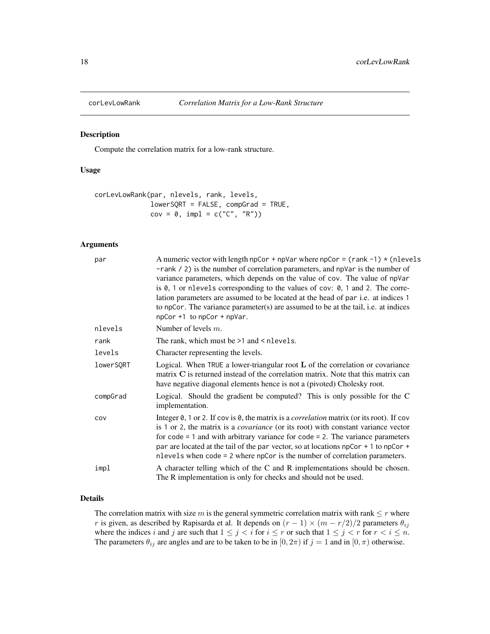<span id="page-17-0"></span>

#### Description

Compute the correlation matrix for a low-rank structure.

#### Usage

```
corLevLowRank(par, nlevels, rank, levels,
             lowerSQRT = FALSE, compGrad = TRUE,
             cov = 0, impl = c("C", "R")
```
### Arguments

| par       | A numeric vector with length npCor + npVar where npCor = $(rank -1) * (nlevels)$<br>$-$ rank $\ell$ 2) is the number of correlation parameters, and npVar is the number of<br>variance parameters, which depends on the value of cov. The value of npVar<br>is $\theta$ , 1 or nlevels corresponding to the values of cov: $\theta$ , 1 and 2. The corre-<br>lation parameters are assumed to be located at the head of par i.e. at indices 1<br>to npCor. The variance parameter(s) are assumed to be at the tail, i.e. at indices<br>npCor +1 to npCor + npVar. |
|-----------|-------------------------------------------------------------------------------------------------------------------------------------------------------------------------------------------------------------------------------------------------------------------------------------------------------------------------------------------------------------------------------------------------------------------------------------------------------------------------------------------------------------------------------------------------------------------|
| nlevels   | Number of levels $m$ .                                                                                                                                                                                                                                                                                                                                                                                                                                                                                                                                            |
| rank      | The rank, which must be $>1$ and $<$ nlevels.                                                                                                                                                                                                                                                                                                                                                                                                                                                                                                                     |
| levels    | Character representing the levels.                                                                                                                                                                                                                                                                                                                                                                                                                                                                                                                                |
| lowerSQRT | Logical. When TRUE a lower-triangular root $L$ of the correlation or covariance<br>matrix C is returned instead of the correlation matrix. Note that this matrix can<br>have negative diagonal elements hence is not a (pivoted) Cholesky root.                                                                                                                                                                                                                                                                                                                   |
| compGrad  | Logical. Should the gradient be computed? This is only possible for the C<br>implementation.                                                                                                                                                                                                                                                                                                                                                                                                                                                                      |
| COV       | Integer $\theta$ , 1 or 2. If cov is $\theta$ , the matrix is a <i>correlation</i> matrix (or its root). If cov<br>is 1 or 2, the matrix is a <i>covariance</i> (or its root) with constant variance vector<br>for $\text{code} = 1$ and with arbitrary variance for $\text{code} = 2$ . The variance parameters<br>par are located at the tail of the par vector, so at locations npCor + 1 to npCor +<br>nlevels when code = 2 where npCor is the number of correlation parameters.                                                                             |
| impl      | A character telling which of the C and R implementations should be chosen.<br>The R implementation is only for checks and should not be used.                                                                                                                                                                                                                                                                                                                                                                                                                     |

# Details

The correlation matrix with size m is the general symmetric correlation matrix with rank  $\leq r$  where r is given, as described by Rapisarda et al. It depends on  $(r - 1) \times (m - r/2)/2$  parameters  $\theta_{ij}$ where the indices i and j are such that  $1 \leq j < i$  for  $i \leq r$  or such that  $1 \leq j < r$  for  $r < i \leq n$ . The parameters  $\theta_{ij}$  are angles and are to be taken to be in  $[0, 2\pi)$  if  $j = 1$  and in  $[0, \pi)$  otherwise.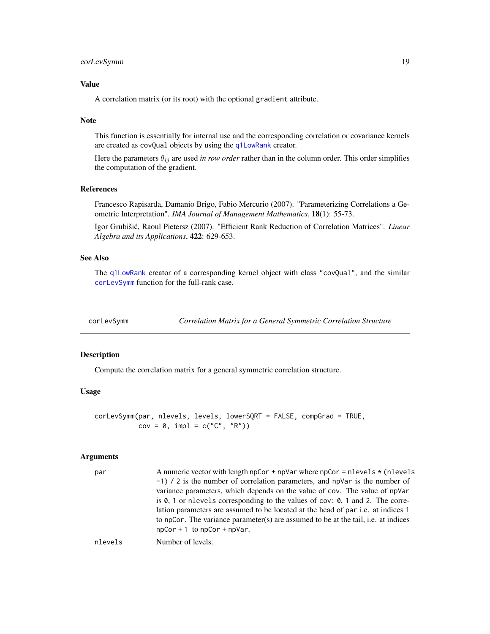# <span id="page-18-0"></span>corLevSymm 19

# Value

A correlation matrix (or its root) with the optional gradient attribute.

#### **Note**

This function is essentially for internal use and the corresponding correlation or covariance kernels are created as covQual objects by using the [q1LowRank](#page-96-1) creator.

Here the parameters  $\theta_{ij}$  are used *in row order* rather than in the column order. This order simplifies the computation of the gradient.

#### References

Francesco Rapisarda, Damanio Brigo, Fabio Mercurio (2007). "Parameterizing Correlations a Geometric Interpretation". *IMA Journal of Management Mathematics*, 18(1): 55-73.

Igor Grubišić, Raoul Pietersz (2007). "Efficient Rank Reduction of Correlation Matrices". *Linear Algebra and its Applications*, 422: 629-653.

#### See Also

The [q1LowRank](#page-96-1) creator of a corresponding kernel object with class "covQual", and the similar [corLevSymm](#page-18-1) function for the full-rank case.

<span id="page-18-1"></span>corLevSymm *Correlation Matrix for a General Symmetric Correlation Structure*

#### Description

Compute the correlation matrix for a general symmetric correlation structure.

# Usage

corLevSymm(par, nlevels, levels, lowerSQRT = FALSE, compGrad = TRUE,  $cov = 0$ ,  $impl = c("C", "R")$ 

#### Arguments

| par     | A numeric vector with length npCor + npVar where npCor = nlevels $\star$ (nlevels<br>$-1$ ) / 2 is the number of correlation parameters, and npVar is the number of<br>variance parameters, which depends on the value of cov. The value of npVar<br>is $\emptyset$ , 1 or nlevels corresponding to the values of cov: $\emptyset$ , 1 and 2. The corre-<br>lation parameters are assumed to be located at the head of par <i>i.e.</i> at indices 1<br>to npCor. The variance parameter(s) are assumed to be at the tail, i.e. at indices<br>$npCor + 1$ to $npCor + npVar$ . |
|---------|-------------------------------------------------------------------------------------------------------------------------------------------------------------------------------------------------------------------------------------------------------------------------------------------------------------------------------------------------------------------------------------------------------------------------------------------------------------------------------------------------------------------------------------------------------------------------------|
| nlevels | Number of levels.                                                                                                                                                                                                                                                                                                                                                                                                                                                                                                                                                             |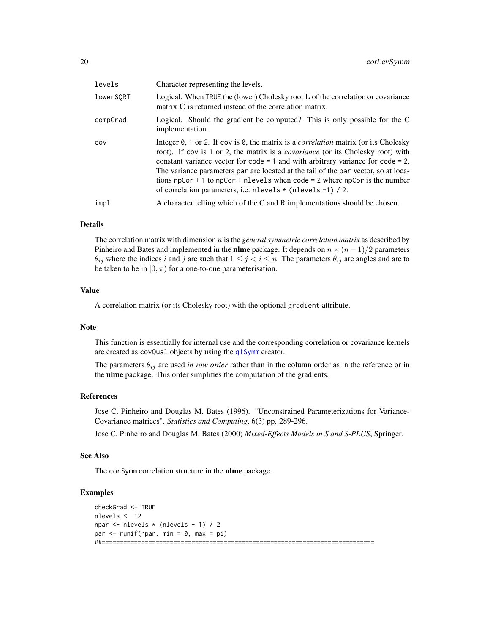| levels    | Character representing the levels.                                                                                                                                                                                                                                                                                                                                                                                                                                                                                                            |
|-----------|-----------------------------------------------------------------------------------------------------------------------------------------------------------------------------------------------------------------------------------------------------------------------------------------------------------------------------------------------------------------------------------------------------------------------------------------------------------------------------------------------------------------------------------------------|
| lowerSORT | Logical. When $TRUE$ the (lower) Cholesky root $L$ of the correlation or covariance<br>matrix $C$ is returned instead of the correlation matrix.                                                                                                                                                                                                                                                                                                                                                                                              |
| compGrad  | Logical. Should the gradient be computed? This is only possible for the C<br>implementation.                                                                                                                                                                                                                                                                                                                                                                                                                                                  |
| COV       | Integer $\theta$ , 1 or 2. If cov is $\theta$ , the matrix is a <i>correlation</i> matrix (or its Cholesky<br>root). If cov is 1 or 2, the matrix is a <i>covariance</i> (or its Cholesky root) with<br>constant variance vector for $\c{code} = 1$ and with arbitrary variance for $\c{code} = 2$ .<br>The variance parameters par are located at the tail of the par vector, so at loca-<br>tions npCor $+1$ to npCor $+$ n levels when code $=$ 2 where npCor is the number<br>of correlation parameters, i.e. nlevels * (nlevels -1) / 2. |
| impl      | A character telling which of the C and R implementations should be chosen.                                                                                                                                                                                                                                                                                                                                                                                                                                                                    |

### Details

The correlation matrix with dimension n is the *general symmetric correlation matrix* as described by Pinheiro and Bates and implemented in the **nlme** package. It depends on  $n \times (n-1)/2$  parameters  $\theta_{ij}$  where the indices i and j are such that  $1 \leq j \leq i \leq n$ . The parameters  $\theta_{ij}$  are angles and are to be taken to be in  $[0, \pi)$  for a one-to-one parameterisation.

# Value

A correlation matrix (or its Cholesky root) with the optional gradient attribute.

#### Note

This function is essentially for internal use and the corresponding correlation or covariance kernels are created as covQual objects by using the [q1Symm](#page-97-1) creator.

The parameters  $\theta_{ij}$  are used *in row order* rather than in the column order as in the reference or in the nlme package. This order simplifies the computation of the gradients.

# References

Jose C. Pinheiro and Douglas M. Bates (1996). "Unconstrained Parameterizations for Variance-Covariance matrices". *Statistics and Computing*, 6(3) pp. 289-296.

Jose C. Pinheiro and Douglas M. Bates (2000) *Mixed-Effects Models in S and S-PLUS*, Springer.

#### See Also

The corSymm correlation structure in the nlme package.

```
checkGrad <- TRUE
nlevels <- 12
npar <- nlevels * (nlevels - 1) / 2
par \leq runif(npar, min = 0, max = pi)
##============================================================================
```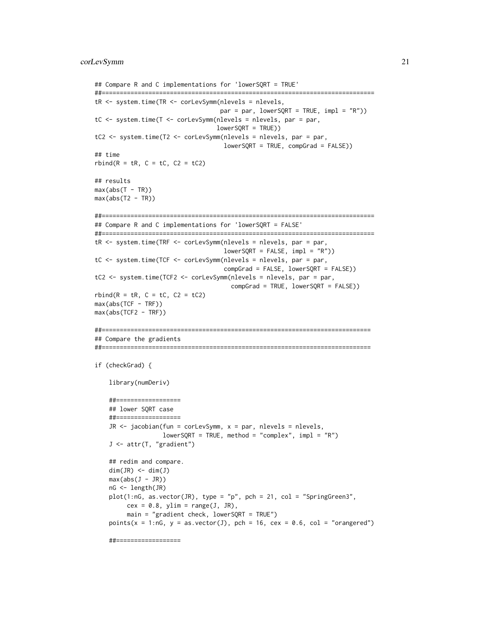```
## Compare R and C implementations for 'lowerSQRT = TRUE'
##============================================================================
tR <- system.time(TR <- corLevSymm(nlevels = nlevels,
                                   par = par, lowerSQRT = TRUE, impl = "R")tC <- system.time(T <- corLevSymm(nlevels = nlevels, par = par,
                                  lowerSQRT = TRUE))
tC2 <- system.time(T2 <- corLevSymm(nlevels = nlevels, par = par,
                                    lowerSQRT = TRUE, compGrad = FALSE))
## time
rbind(R = tR, C = tC, C2 = tC2)## results
max(abs(T - TR))max(abs(T2 - TR))##============================================================================
## Compare R and C implementations for 'lowerSQRT = FALSE'
##============================================================================
tR <- system.time(TRF <- corLevSymm(nlevels = nlevels, par = par,
                                   lowerSQRT = FALSE, impl = "R")tC <- system.time(TCF <- corLevSymm(nlevels = nlevels, par = par,
                                   compGrad = FALSE, lowerSQRT = FALSE))
tC2 <- system.time(TCF2 <- corLevSymm(nlevels = nlevels, par = par,
                                      compGrad = TRUE, lowerSQRT = FALSE))
rbind(R = tR, C = tC, C2 = tC2)max(abs(TCF - TRF))
max(abs(TCF2 - TRF))
##===========================================================================
## Compare the gradients
##===========================================================================
if (checkGrad) {
    library(numDeriv)
    ##==================
    ## lower SQRT case
    ##==================
    JR \le jacobian(fun = corLevSymm, x = par, nlevels = nlevels,
                   lowerSQRT = TRUE, method = "complex", impl = "R")J <- attr(T, "gradient")
    ## redim and compare.
    dim(JR) \leq dim(J)max(abs(J - JR))nG <- length(JR)
    plot(1:nG, as.vector(JR), type = "p", pch = 21, col = "SpringGreen3",cex = 0.8, ylim = range(J, JR),
         main = "gradient check, lowerSQRT = TRUE")
    points(x = 1:nG, y = asvector(J), pch = 16, cex = 0.6, col = "orangeed")##==================
```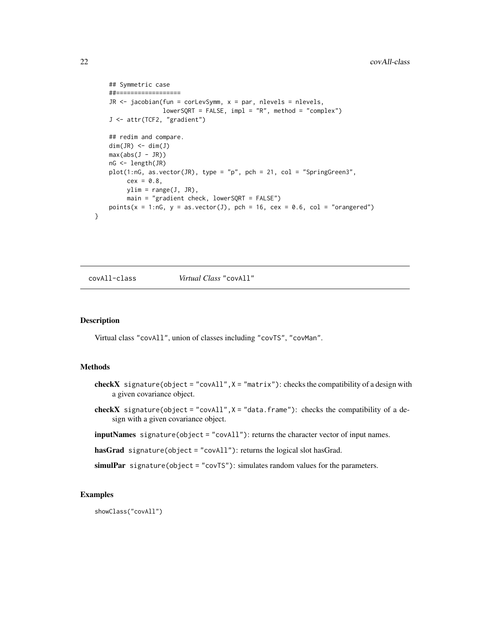```
## Symmetric case
    ##==================
    JR \le jacobian(fun = corLevSymm, x = par, nlevels = nlevels,
                  lowerSQRT = FALSE, impl = "R", method = "complex")J <- attr(TCF2, "gradient")
    ## redim and compare.
   dim(JR) \leq dim(J)max(abs(J - JR))nG <- length(JR)
   plot(1:nG, as.vector(JR), type = "p", pch = 21, col = "SpringGreen3",cex = 0.8,
        ylim = range(J, JR),main = "gradient check, lowerSQRT = FALSE")
   points(x = 1:nG, y = asvector(J), pch = 16, cex = 0.6, col = "orange'd")}
```
<span id="page-21-1"></span>

covAll-class *Virtual Class* "covAll"

#### Description

Virtual class "covAll", union of classes including "covTS", "covMan".

#### Methods

- checkX signature(object = "covAll",  $X =$  "matrix"): checks the compatibility of a design with a given covariance object.
- checkX signature(object = "covAll", $X =$  "data.frame"): checks the compatibility of a design with a given covariance object.
- inputNames signature(object = "covAll"): returns the character vector of input names.

hasGrad signature(object = "covAll"): returns the logical slot hasGrad.

simulPar signature(object = "covTS"): simulates random values for the parameters.

#### Examples

showClass("covAll")

<span id="page-21-0"></span>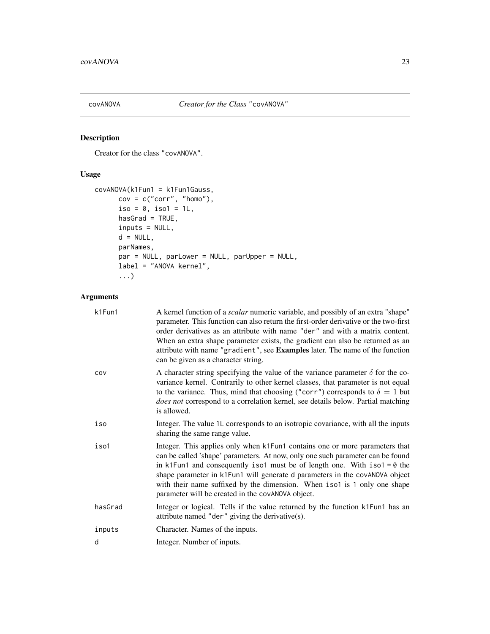<span id="page-22-1"></span><span id="page-22-0"></span>

# Description

Creator for the class "covANOVA".

# Usage

```
covANOVA(k1Fun1 = k1Fun1Gauss,
     cov = c("corr", "homo"),iso = 0, iso1 = 1L,
     hasGrad = TRUE,
     inputs = NULL,
     d = NULL,parNames,
     par = NULL, parLower = NULL, parUpper = NULL,
     label = "ANOVA kernel",
      ...)
```
# Arguments

| k1Fun1  | A kernel function of a <i>scalar</i> numeric variable, and possibly of an extra "shape"<br>parameter. This function can also return the first-order derivative or the two-first<br>order derivatives as an attribute with name "der" and with a matrix content.<br>When an extra shape parameter exists, the gradient can also be returned as an<br>attribute with name "gradient", see Examples later. The name of the function<br>can be given as a character string. |
|---------|-------------------------------------------------------------------------------------------------------------------------------------------------------------------------------------------------------------------------------------------------------------------------------------------------------------------------------------------------------------------------------------------------------------------------------------------------------------------------|
| COV     | A character string specifying the value of the variance parameter $\delta$ for the co-<br>variance kernel. Contrarily to other kernel classes, that parameter is not equal<br>to the variance. Thus, mind that choosing ("corr") corresponds to $\delta = 1$ but<br>does not correspond to a correlation kernel, see details below. Partial matching<br>is allowed.                                                                                                     |
| iso     | Integer. The value 1L corresponds to an isotropic covariance, with all the inputs<br>sharing the same range value.                                                                                                                                                                                                                                                                                                                                                      |
| iso1    | Integer. This applies only when k1Fun1 contains one or more parameters that<br>can be called 'shape' parameters. At now, only one such parameter can be found<br>in k1Fun1 and consequently iso1 must be of length one. With iso1 = $\theta$ the<br>shape parameter in k1Fun1 will generate d parameters in the covANOVA object<br>with their name suffixed by the dimension. When iso1 is 1 only one shape<br>parameter will be created in the covANOVA object.        |
| hasGrad | Integer or logical. Tells if the value returned by the function k1Fun1 has an<br>attribute named "der" giving the derivative(s).                                                                                                                                                                                                                                                                                                                                        |
| inputs  | Character. Names of the inputs.                                                                                                                                                                                                                                                                                                                                                                                                                                         |
| d       | Integer. Number of inputs.                                                                                                                                                                                                                                                                                                                                                                                                                                              |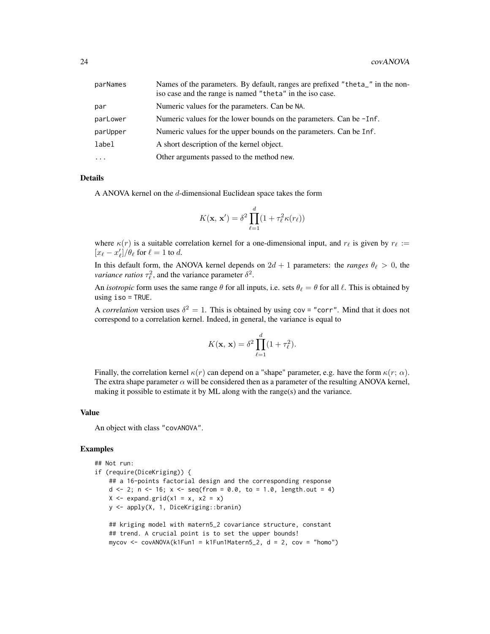| parNames  | Names of the parameters. By default, ranges are prefixed "theta_" in the non-<br>iso case and the range is named "theta" in the iso case. |
|-----------|-------------------------------------------------------------------------------------------------------------------------------------------|
| par       | Numeric values for the parameters. Can be NA.                                                                                             |
| parLower  | Numeric values for the lower bounds on the parameters. Can be -Inf.                                                                       |
| parUpper  | Numeric values for the upper bounds on the parameters. Can be Inf.                                                                        |
| label     | A short description of the kernel object.                                                                                                 |
| $\ddotsc$ | Other arguments passed to the method new.                                                                                                 |

#### **Details**

A ANOVA kernel on the d-dimensional Euclidean space takes the form

$$
K(\mathbf{x}, \mathbf{x}') = \delta^2 \prod_{\ell=1}^d (1 + \tau_\ell^2 \kappa(r_\ell))
$$

where  $\kappa(r)$  is a suitable correlation kernel for a one-dimensional input, and  $r_\ell$  is given by  $r_\ell :=$  $[x_{\ell} - x'_{\ell}] / \theta_{\ell}$  for  $\ell = 1$  to d.

In this default form, the ANOVA kernel depends on  $2d + 1$  parameters: the *ranges*  $\theta_{\ell} > 0$ , the *variance ratios*  $\tau_{\ell}^2$ , and the variance parameter  $\delta^2$ .

An *isotropic* form uses the same range  $\theta$  for all inputs, i.e. sets  $\theta_{\ell} = \theta$  for all  $\ell$ . This is obtained by using iso = TRUE.

A *correlation* version uses  $\delta^2 = 1$ . This is obtained by using cov = "corr". Mind that it does not correspond to a correlation kernel. Indeed, in general, the variance is equal to

$$
K(\mathbf{x}, \mathbf{x}) = \delta^2 \prod_{\ell=1}^d (1 + \tau_\ell^2).
$$

Finally, the correlation kernel  $\kappa(r)$  can depend on a "shape" parameter, e.g. have the form  $\kappa(r; \alpha)$ . The extra shape parameter  $\alpha$  will be considered then as a parameter of the resulting ANOVA kernel, making it possible to estimate it by ML along with the range(s) and the variance.

#### Value

An object with class "covANOVA".

```
## Not run:
if (require(DiceKriging)) {
    ## a 16-points factorial design and the corresponding response
    d <- 2; n <- 16; x <- seq(from = 0.0, to = 1.0, length.out = 4)
    X \leftarrow expand.grid(x1 = x, x2 = x)
    y <- apply(X, 1, DiceKriging::branin)
    ## kriging model with matern5_2 covariance structure, constant
    ## trend. A crucial point is to set the upper bounds!
    mycov \leq -\text{covANOVA}(k1Fun1 = k1Fun1Matern5_2, d = 2, cov = "homo")
```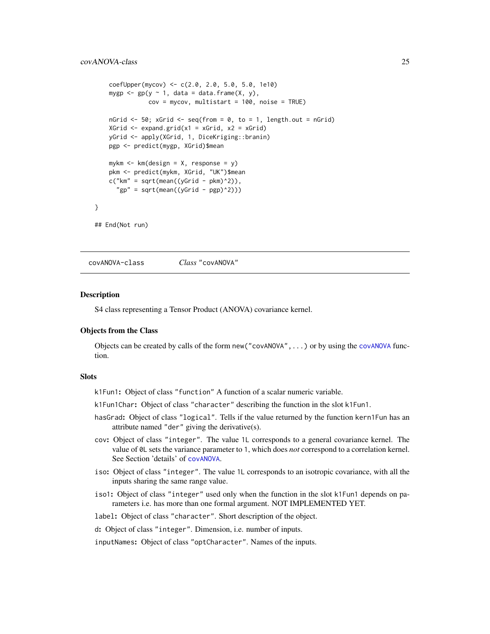```
coefUpper(mycov) <- c(2.0, 2.0, 5.0, 5.0, 1e10)
    mygp \leq gp(y \sim 1, data = data.frame(X, y),
               cov = mycov, multistart = 100, noise = TRUE)
    nGrid \leq 50; xGrid \leq seq(from = 0, to = 1, length.out = nGrid)
    XGrid \leftarrow expand.grid(x1 = xGrid, x2 = xGrid)yGrid <- apply(XGrid, 1, DiceKriging::branin)
    pgp <- predict(mygp, XGrid)$mean
    mykm \leq km(design = X, response = y)
    pkm <- predict(mykm, XGrid, "UK")$mean
    c("km" = sqrt(mean((yGrid - pkm)^2)),"gp" = sqrt(mean((yGrid - pgp)^2)))
}
## End(Not run)
```
covANOVA-class *Class* "covANOVA"

# Description

S4 class representing a Tensor Product (ANOVA) covariance kernel.

# Objects from the Class

Objects can be created by calls of the form new ( $"covANOVA", \ldots$  $"covANOVA", \ldots$  $"covANOVA", \ldots$ ) or by using the covANOVA function.

#### **Slots**

k1Fun1: Object of class "function" A function of a scalar numeric variable.

k1Fun1Char: Object of class "character" describing the function in the slot k1Fun1.

- hasGrad: Object of class "logical". Tells if the value returned by the function kern1Fun has an attribute named "der" giving the derivative(s).
- cov: Object of class "integer". The value 1L corresponds to a general covariance kernel. The value of 0L sets the variance parameter to 1, which does *not* correspond to a correlation kernel. See Section 'details' of [covANOVA](#page-22-1).
- iso: Object of class "integer". The value 1L corresponds to an isotropic covariance, with all the inputs sharing the same range value.
- iso1: Object of class "integer" used only when the function in the slot k1Fun1 depends on parameters i.e. has more than one formal argument. NOT IMPLEMENTED YET.
- label: Object of class "character". Short description of the object.
- d: Object of class "integer". Dimension, i.e. number of inputs.

inputNames: Object of class "optCharacter". Names of the inputs.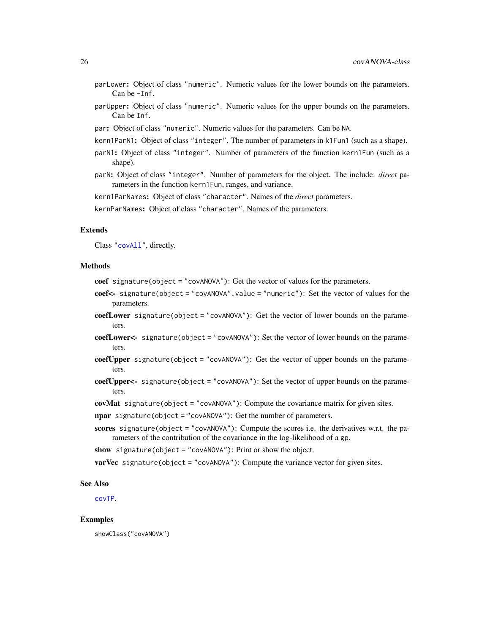- parLower: Object of class "numeric". Numeric values for the lower bounds on the parameters. Can be -Inf.
- parUpper: Object of class "numeric". Numeric values for the upper bounds on the parameters. Can be Inf.
- par: Object of class "numeric". Numeric values for the parameters. Can be NA.
- kern1ParN1: Object of class "integer". The number of parameters in k1Fun1 (such as a shape).
- parN1: Object of class "integer". Number of parameters of the function kern1Fun (such as a shape).
- parN: Object of class "integer". Number of parameters for the object. The include: *direct* parameters in the function kern1Fun, ranges, and variance.

kern1ParNames: Object of class "character". Names of the *direct* parameters.

kernParNames: Object of class "character". Names of the parameters.

#### Extends

Class ["covAll"](#page-21-1), directly.

#### Methods

coef signature(object = "covANOVA"): Get the vector of values for the parameters.

- coef<- signature(object = "covANOVA",value = "numeric"): Set the vector of values for the parameters.
- coefLower signature(object = "covANOVA"): Get the vector of lower bounds on the parameters.
- coefLower<- signature(object = "covANOVA"): Set the vector of lower bounds on the parameters.
- coefUpper signature(object = "covANOVA"): Get the vector of upper bounds on the parameters.
- coefUpper<- signature(object = "covANOVA"): Set the vector of upper bounds on the parameters.

covMat signature(object = "covANOVA"): Compute the covariance matrix for given sites.

npar signature(object = "covANOVA"): Get the number of parameters.

scores signature(object = "covANOVA"): Compute the scores i.e. the derivatives w.r.t. the parameters of the contribution of the covariance in the log-likelihood of a gp.

show signature(object = "covANOVA"): Print or show the object.

**varVec** signature(object = "covANOVA"): Compute the variance vector for given sites.

#### See Also

[covTP](#page-51-1).

#### Examples

showClass("covANOVA")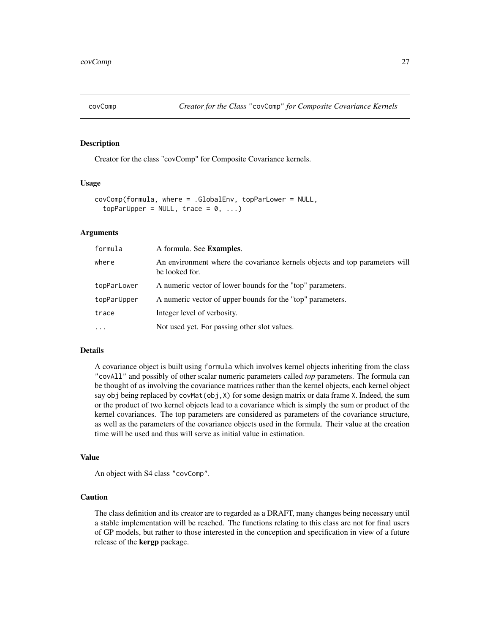<span id="page-26-1"></span><span id="page-26-0"></span>

#### Description

Creator for the class "covComp" for Composite Covariance kernels.

#### Usage

```
covComp(formula, where = .GlobalEnv, topParLower = NULL,
  topParUpper = NULL, trace = 0, ...)
```
# Arguments

| formula     | A formula. See <b>Examples</b> .                                                              |
|-------------|-----------------------------------------------------------------------------------------------|
| where       | An environment where the covariance kernels objects and top parameters will<br>be looked for. |
| topParLower | A numeric vector of lower bounds for the "top" parameters.                                    |
| topParUpper | A numeric vector of upper bounds for the "top" parameters.                                    |
| trace       | Integer level of verbosity.                                                                   |
| $\cdots$    | Not used yet. For passing other slot values.                                                  |

#### Details

A covariance object is built using formula which involves kernel objects inheriting from the class "covAll" and possibly of other scalar numeric parameters called *top* parameters. The formula can be thought of as involving the covariance matrices rather than the kernel objects, each kernel object say obj being replaced by covMat(obj, X) for some design matrix or data frame X. Indeed, the sum or the product of two kernel objects lead to a covariance which is simply the sum or product of the kernel covariances. The top parameters are considered as parameters of the covariance structure, as well as the parameters of the covariance objects used in the formula. Their value at the creation time will be used and thus will serve as initial value in estimation.

#### Value

An object with S4 class "covComp".

## Caution

The class definition and its creator are to regarded as a DRAFT, many changes being necessary until a stable implementation will be reached. The functions relating to this class are not for final users of GP models, but rather to those interested in the conception and specification in view of a future release of the kergp package.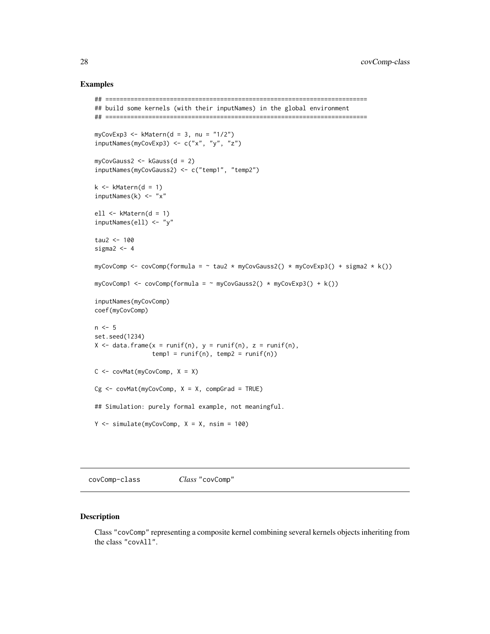#### Examples

```
## =========================================================================
## build some kernels (with their inputNames) in the global environment
## =========================================================================
myCovExp3 \leq KMatern(d = 3, nu = "1/2")inputNames(myCovExp3) <- c("x", "y", "z")
myCovGauss2 <- kGauss(d = 2)
inputNames(myCovGauss2) <- c("temp1", "temp2")
k \leq -kMatern(d = 1)inputNames(k) \leq - "x"
ell <- kMatern(d = 1)
inputNames(ell) <- "y"
tau2 < -100sigma2 < -4myCovComp <- covComp(formula = \sim tau2 * myCovGauss2() * myCovExp3() + sigma2 * k())
myCovComp1 \leq-covComp(formula = ~myCovGauss2() * myCovExp3() + k())inputNames(myCovComp)
coef(myCovComp)
n < -5set.seed(1234)
X \leq data.frame(x = runif(n), y = runif(n), z = runif(n),
                temp1 = runif(n), temp2 = runif(n))C \leq covMat(myCovComp, X = X)
Cg \leq covMat(myCovComp, X = X, compGrad = TRUE)
## Simulation: purely formal example, not meaningful.
Y \le - \sin( \text{index}(myCovComp, X = X, \text{nsim} = 100))
```
covComp-class *Class* "covComp"

#### Description

Class "covComp" representing a composite kernel combining several kernels objects inheriting from the class "covAll".

<span id="page-27-0"></span>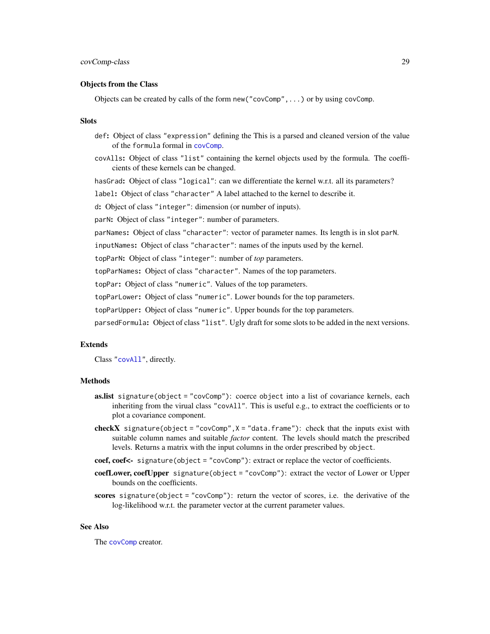#### Objects from the Class

Objects can be created by calls of the form new("covComp",...) or by using covComp.

#### **Slots**

- def: Object of class "expression" defining the This is a parsed and cleaned version of the value of the formula formal in [covComp](#page-26-1).
- covAlls: Object of class "list" containing the kernel objects used by the formula. The coefficients of these kernels can be changed.

hasGrad: Object of class "logical": can we differentiate the kernel w.r.t. all its parameters?

label: Object of class "character" A label attached to the kernel to describe it.

d: Object of class "integer": dimension (or number of inputs).

parN: Object of class "integer": number of parameters.

parNames: Object of class "character": vector of parameter names. Its length is in slot parN.

inputNames: Object of class "character": names of the inputs used by the kernel.

topParN: Object of class "integer": number of *top* parameters.

topParNames: Object of class "character". Names of the top parameters.

topPar: Object of class "numeric". Values of the top parameters.

topParLower: Object of class "numeric". Lower bounds for the top parameters.

topParUpper: Object of class "numeric". Upper bounds for the top parameters.

parsedFormula: Object of class "list". Ugly draft for some slots to be added in the next versions.

#### Extends

Class ["covAll"](#page-21-1), directly.

#### **Methods**

- as.list signature(object = "covComp"): coerce object into a list of covariance kernels, each inheriting from the virual class "covAll". This is useful e.g., to extract the coefficients or to plot a covariance component.
- **checkX** signature(object = "covComp",  $X =$  "data.frame"): check that the inputs exist with suitable column names and suitable *factor* content. The levels should match the prescribed levels. Returns a matrix with the input columns in the order prescribed by object.
- coef, coef<- signature(object = "covComp"): extract or replace the vector of coefficients.
- coefLower, coefUpper signature(object = "covComp"): extract the vector of Lower or Upper bounds on the coefficients.
- scores signature(object = "covComp"): return the vector of scores, i.e. the derivative of the log-likelihood w.r.t. the parameter vector at the current parameter values.

#### See Also

The [covComp](#page-26-1) creator.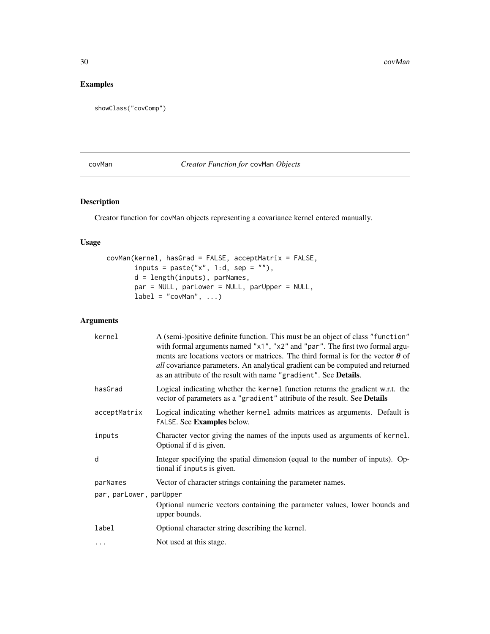# <span id="page-29-0"></span>Examples

showClass("covComp")

# <span id="page-29-1"></span>covMan *Creator Function for* covMan *Objects*

# Description

Creator function for covMan objects representing a covariance kernel entered manually.

# Usage

```
covMan(kernel, hasGrad = FALSE, acceptMatrix = FALSE,
       inputs = paste("x", 1:d, sep = ""),
       d = length(inputs), parNames,
       par = NULL, parLower = NULL, parUpper = NULL,
       label = "covMan", ...
```
# Arguments

| kernel                  | A (semi-)positive definite function. This must be an object of class "function"<br>with formal arguments named "x1", "x2" and "par". The first two formal argu-<br>ments are locations vectors or matrices. The third formal is for the vector $\theta$ of<br>all covariance parameters. An analytical gradient can be computed and returned<br>as an attribute of the result with name "gradient". See Details. |  |
|-------------------------|------------------------------------------------------------------------------------------------------------------------------------------------------------------------------------------------------------------------------------------------------------------------------------------------------------------------------------------------------------------------------------------------------------------|--|
| hasGrad                 | Logical indicating whether the kernel function returns the gradient w.r.t. the<br>vector of parameters as a "gradient" attribute of the result. See Details                                                                                                                                                                                                                                                      |  |
| acceptMatrix            | Logical indicating whether kernel admits matrices as arguments. Default is<br>FALSE. See Examples below.                                                                                                                                                                                                                                                                                                         |  |
| inputs                  | Character vector giving the names of the inputs used as arguments of kernel.<br>Optional if d is given.                                                                                                                                                                                                                                                                                                          |  |
| d                       | Integer specifying the spatial dimension (equal to the number of inputs). Op-<br>tional if inputs is given.                                                                                                                                                                                                                                                                                                      |  |
| parNames                | Vector of character strings containing the parameter names.                                                                                                                                                                                                                                                                                                                                                      |  |
| par, parLower, parUpper |                                                                                                                                                                                                                                                                                                                                                                                                                  |  |
|                         | Optional numeric vectors containing the parameter values, lower bounds and<br>upper bounds.                                                                                                                                                                                                                                                                                                                      |  |
| label                   | Optional character string describing the kernel.                                                                                                                                                                                                                                                                                                                                                                 |  |
| .                       | Not used at this stage.                                                                                                                                                                                                                                                                                                                                                                                          |  |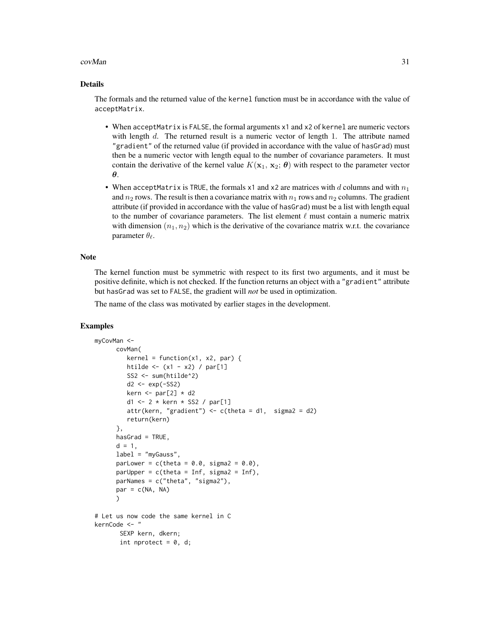#### $covMan$  31

#### Details

The formals and the returned value of the kernel function must be in accordance with the value of acceptMatrix.

- When acceptMatrix is FALSE, the formal arguments x1 and x2 of kernel are numeric vectors with length  $d$ . The returned result is a numeric vector of length 1. The attribute named "gradient" of the returned value (if provided in accordance with the value of hasGrad) must then be a numeric vector with length equal to the number of covariance parameters. It must contain the derivative of the kernel value  $K(\mathbf{x}_1, \mathbf{x}_2; \boldsymbol{\theta})$  with respect to the parameter vector θ.
- When acceptMatrix is TRUE, the formals  $x1$  and  $x2$  are matrices with d columns and with  $n_1$ and  $n_2$  rows. The result is then a covariance matrix with  $n_1$  rows and  $n_2$  columns. The gradient attribute (if provided in accordance with the value of hasGrad) must be a list with length equal to the number of covariance parameters. The list element  $\ell$  must contain a numeric matrix with dimension  $(n_1, n_2)$  which is the derivative of the covariance matrix w.r.t. the covariance parameter  $\theta_{\ell}$ .

#### **Note**

The kernel function must be symmetric with respect to its first two arguments, and it must be positive definite, which is not checked. If the function returns an object with a "gradient" attribute but hasGrad was set to FALSE, the gradient will *not* be used in optimization.

The name of the class was motivated by earlier stages in the development.

```
myCovMan <-
      covMan(
         kernel = function(x1, x2, par) {
         htilde <- (x1 - x2) / par[1]SS2 <- sum(htilde^2)
         d2 \leftarrow exp(-SS2)kern \le par[2] \star d2
         d1 <- 2 * kern * SS2 / par[1]
         attr(kern, "gradient") \leq c(theta = d1, sigma2 = d2)
         return(kern)
      },
      hasGrad = TRUE,
      d = 1,
      label = "myGauss",
      parLower = c(theta = 0.0, sigma2 = 0.0),
      parUpper = c(theta = Inf, sigma2 = Inf),
      parNames = c("theta", "sigma2"),
      par = c(NA, NA))
# Let us now code the same kernel in C
kernCode <- "
       SEXP kern, dkern;
       int nprotect = 0, d;
```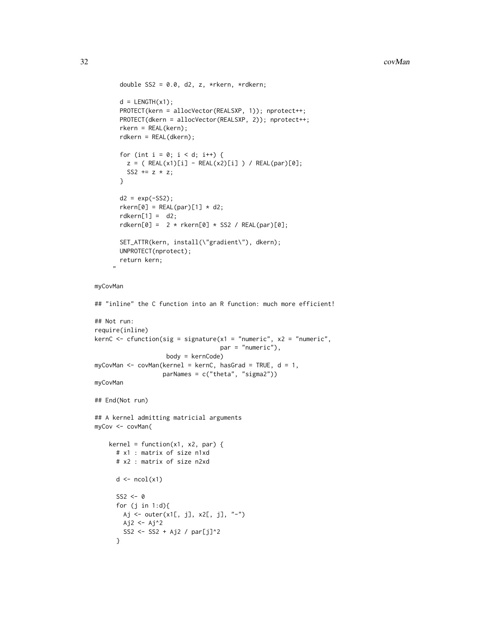```
double SS2 = 0.0, d2, z, *rkern, *rdkern;
 d = LENGTH(x1);PROTECT(kern = allocVector(REALSXP, 1)); nprotect++;
 PROTECT(dkern = allocVector(REALSXP, 2)); nprotect++;
 rkern = REAL(kern);
 rdkern = REAL(dkern);
 for (int i = 0; i < d; i^{++}) {
   z = ( REAL(x1)[i] - REAL(x2)[i]) / REAL(par)[0];SS2 += z * z;}
 d2 = exp(-SS2);r \text{kern[0]} = \text{REAL(par)[1]} * d2;rdkern[1] = d2;rdkern[0] = 2 * rkern[0] * SSS / REAL(par)[0];SET_ATTR(kern, install(\"gradient\"), dkern);
 UNPROTECT(nprotect);
 return kern;
"
```
#### myCovMan

```
## "inline" the C function into an R function: much more efficient!
## Not run:
require(inline)
kernC <- cfunction(sig = signature(x1 = "numeric", x2 = "numeric",
                                    par = "numeric"),
                    body = kernCode)
myCovMan \leq covMan(kernel = kernC, hasGrad = TRUE, d = 1,parNames = c("theta", "sigma2"))
myCovMan
## End(Not run)
## A kernel admitting matricial arguments
myCov <- covMan(
    kernel = function(x1, x2, par) {
      # x1 : matrix of size n1xd
      # x2 : matrix of size n2xd
      d \leftarrow \text{ncol}(x1)SS2 \leftarrow 0for (j in 1:d){
       Aj <- outer(x1[, j], x2[, j], "-")
       Aj2 <- Aj^2
        SS2 <- SS2 + Aj2 / par[j]^2
      }
```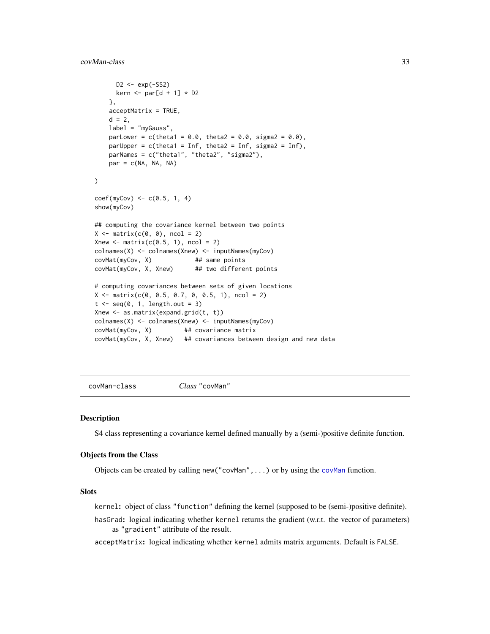# <span id="page-32-0"></span>covMan-class 33

```
D2 \le -exp(-SS2)kern \le par[d + 1] \star D2
    },
    acceptMatrix = TRUE,
    d = 2,label = "myGauss",
    parLower = c(theta1 = 0.0, theta2 = 0.0, signal2 = 0.0),parUpper = c(theta1 = Inf, theta2 = Inf, sigma2 = Inf),
    parNames = c("theta1", "theta2", "sigma2"),
   par = c(NA, NA, NA))
coef(myCov) \leq c(0.5, 1, 4)show(myCov)
## computing the covariance kernel between two points
X \leftarrow matrix(c(0, 0), ncol = 2)Xnew \leq matrix(c(0.5, 1), ncol = 2)
colnames(X) <- colnames(Xnew) <- inputNames(myCov)
covMat(myCov, X) ## same points
covMat(myCov, X, Xnew) ## two different points
# computing covariances between sets of given locations
X \leq matrix(c(0, 0.5, 0.7, 0, 0.5, 1), ncol = 2)
t \leq -\text{seq}(0, 1, \text{length.out} = 3)Xnew \leq as.matrix(expand.grid(t, t))
colnames(X) <- colnames(Xnew) <- inputNames(myCov)
covMat(myCov, X) ## covariance matrix
covMat(myCov, X, Xnew) ## covariances between design and new data
```
covMan-class *Class* "covMan"

#### Description

S4 class representing a covariance kernel defined manually by a (semi-)positive definite function.

#### Objects from the Class

Objects can be created by calling new ("[covMan](#page-29-1)", ...) or by using the covMan function.

#### Slots

kernel: object of class "function" defining the kernel (supposed to be (semi-)positive definite).

hasGrad: logical indicating whether kernel returns the gradient (w.r.t. the vector of parameters) as "gradient" attribute of the result.

acceptMatrix: logical indicating whether kernel admits matrix arguments. Default is FALSE.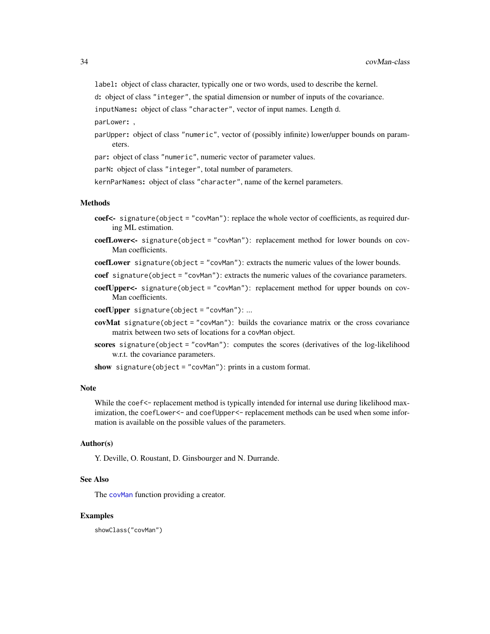label: object of class character, typically one or two words, used to describe the kernel.

d: object of class "integer", the spatial dimension or number of inputs of the covariance.

inputNames: object of class "character", vector of input names. Length d.

parLower: ,

parUpper: object of class "numeric", vector of (possibly infinite) lower/upper bounds on parameters.

par: object of class "numeric", numeric vector of parameter values.

parN: object of class "integer", total number of parameters.

kernParNames: object of class "character", name of the kernel parameters.

# Methods

- coef<- signature(object = "covMan"): replace the whole vector of coefficients, as required during ML estimation.
- coefLower<- signature(object = "covMan"): replacement method for lower bounds on cov-Man coefficients.

coefLower signature(object = "covMan"): extracts the numeric values of the lower bounds.

coef signature(object = "covMan"): extracts the numeric values of the covariance parameters.

coefUpper<- signature(object = "covMan"): replacement method for upper bounds on cov-Man coefficients.

coefUpper signature(object = "covMan"): ...

- covMat signature(object = "covMan"): builds the covariance matrix or the cross covariance matrix between two sets of locations for a covMan object.
- scores signature(object = "covMan"): computes the scores (derivatives of the log-likelihood w.r.t. the covariance parameters.

show signature(object = "covMan"): prints in a custom format.

# **Note**

While the coef <- replacement method is typically intended for internal use during likelihood maximization, the coefLower<- and coefUpper<- replacement methods can be used when some information is available on the possible values of the parameters.

#### Author(s)

Y. Deville, O. Roustant, D. Ginsbourger and N. Durrande.

# See Also

The [covMan](#page-29-1) function providing a creator.

#### Examples

showClass("covMan")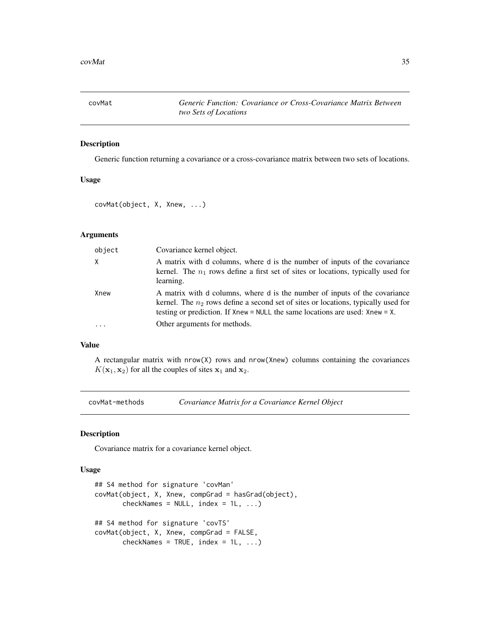<span id="page-34-0"></span>

#### Description

Generic function returning a covariance or a cross-covariance matrix between two sets of locations.

# Usage

covMat(object, X, Xnew, ...)

# Arguments

| object   | Covariance kernel object.                                                                                                                                                                                                                               |
|----------|---------------------------------------------------------------------------------------------------------------------------------------------------------------------------------------------------------------------------------------------------------|
| $\times$ | A matrix with d columns, where d is the number of inputs of the covariance<br>kernel. The $n_1$ rows define a first set of sites or locations, typically used for<br>learning.                                                                          |
| Xnew     | A matrix with d columns, where d is the number of inputs of the covariance<br>kernel. The $n_2$ rows define a second set of sites or locations, typically used for<br>testing or prediction. If $Xnew = NULL$ the same locations are used: $Xnew = X$ . |
| .        | Other arguments for methods.                                                                                                                                                                                                                            |

#### Value

A rectangular matrix with nrow(X) rows and nrow(Xnew) columns containing the covariances  $K(\mathbf{x}_1, \mathbf{x}_2)$  for all the couples of sites  $\mathbf{x}_1$  and  $\mathbf{x}_2$ .

covMat-methods *Covariance Matrix for a Covariance Kernel Object*

#### Description

Covariance matrix for a covariance kernel object.

#### Usage

```
## S4 method for signature 'covMan'
covMat(object, X, Xnew, compGrad = hasGrad(object),
       checkNames = NULL, index = 1L, ...)## S4 method for signature 'covTS'
covMat(object, X, Xnew, compGrad = FALSE,
       checkNames = TRUE, index = 1L, ...)
```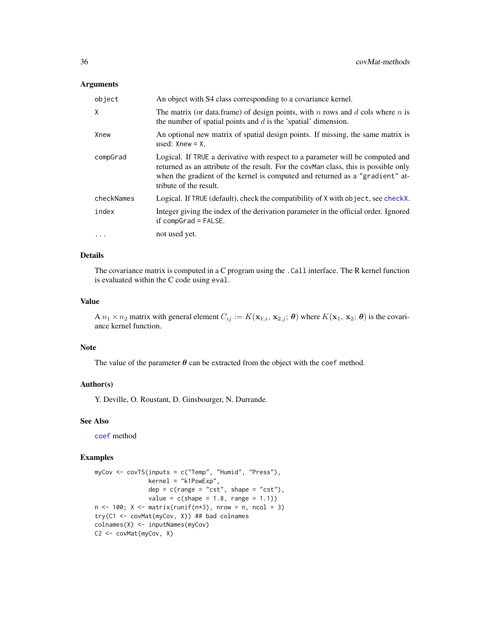#### Arguments

| object     | An object with S4 class corresponding to a covariance kernel.                                                                                                                                                                                                                   |
|------------|---------------------------------------------------------------------------------------------------------------------------------------------------------------------------------------------------------------------------------------------------------------------------------|
| χ          | The matrix (or data frame) of design points, with n rows and d cols where n is<br>the number of spatial points and $d$ is the 'spatial' dimension.                                                                                                                              |
| Xnew       | An optional new matrix of spatial design points. If missing, the same matrix is<br>used: $Xnew = X$ .                                                                                                                                                                           |
| compGrad   | Logical. If TRUE a derivative with respect to a parameter will be computed and<br>returned as an attribute of the result. For the covMan class, this is possible only<br>when the gradient of the kernel is computed and returned as a "gradient" at-<br>tribute of the result. |
| checkNames | Logical. If TRUE (default), check the compatibility of X with object, see checkX.                                                                                                                                                                                               |
| index      | Integer giving the index of the derivation parameter in the official order. Ignored<br>if $compGrad = FALSE$ .                                                                                                                                                                  |
| $\cdots$   | not used yet.                                                                                                                                                                                                                                                                   |

# Details

The covariance matrix is computed in a C program using the .Call interface. The R kernel function is evaluated within the C code using eval.

#### Value

A  $n_1 \times n_2$  matrix with general element  $C_{ij} := K(\mathbf{x}_{1,i}, \mathbf{x}_{2,j}; \boldsymbol{\theta})$  where  $K(\mathbf{x}_1, \mathbf{x}_2; \boldsymbol{\theta})$  is the covariance kernel function.

### Note

The value of the parameter  $\theta$  can be extracted from the object with the coef method.

#### Author(s)

Y. Deville, O. Roustant, D. Ginsbourger, N. Durrande.

#### See Also

[coef](#page-0-0) method

```
myCov <- covTS(inputs = c("Temp", "Humid", "Press"),
               kernel = "k1PowExp",
               dep = c(range = "cst", shape = "cst"),value = c(shape = 1.8, range = 1.1)n \le -100; X \le - matrix(runif(n \times 3), nrow = n, ncol = 3)
try(C1 <- covMat(myCov, X)) ## bad colnames
colnames(X) <- inputNames(myCov)
C2 <- covMat(myCov, X)
```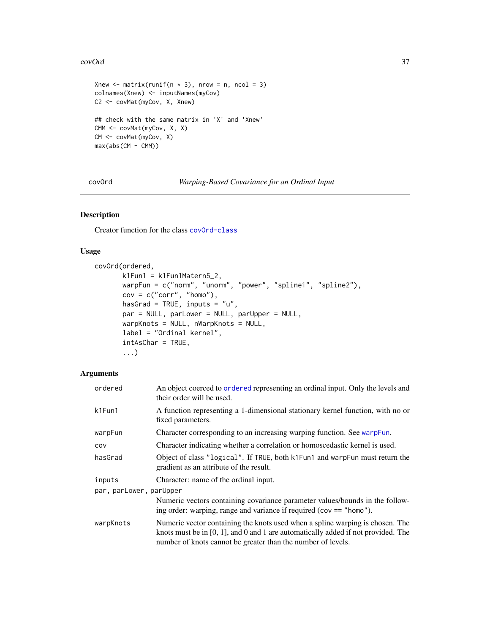### covOrd 37

```
Xnew \leq matrix(runif(n \neq 3), nrow = n, ncol = 3)
colnames(Xnew) <- inputNames(myCov)
C2 <- covMat(myCov, X, Xnew)
## check with the same matrix in 'X' and 'Xnew'
CMM <- covMat(myCov, X, X)
CM <- covMat(myCov, X)
max(abs(CM - CMM))
```
covOrd *Warping-Based Covariance for an Ordinal Input*

## Description

Creator function for the class [covOrd-class](#page-38-0)

## Usage

```
covOrd(ordered,
       k1Fun1 = k1Fun1Matern5_2,
       warpFun = c("norm", "unorm", "power", "spline1", "spline2"),
       cov = c("corr", "homo"),hasGrad = TRUE, inputs = "u",
       par = NULL, parLower = NULL, parUpper = NULL,
       warpKnots = NULL, nWarpKnots = NULL,
       label = "Ordinal kernel",
       intAsChar = TRUE,
       ...)
```
### Arguments

| ordered                 | An object coerced to ordered representing an ordinal input. Only the levels and<br>their order will be used.                                                                                                                          |
|-------------------------|---------------------------------------------------------------------------------------------------------------------------------------------------------------------------------------------------------------------------------------|
| k1Fun1                  | A function representing a 1-dimensional stationary kernel function, with no or<br>fixed parameters.                                                                                                                                   |
| warpFun                 | Character corresponding to an increasing warping function. See warpFun.                                                                                                                                                               |
| COV                     | Character indicating whether a correlation or homoscedastic kernel is used.                                                                                                                                                           |
| hasGrad                 | Object of class "logical". If TRUE, both k1Fun1 and warpFun must return the<br>gradient as an attribute of the result.                                                                                                                |
| inputs                  | Character: name of the ordinal input.                                                                                                                                                                                                 |
| par, parLower, parUpper |                                                                                                                                                                                                                                       |
|                         | Numeric vectors containing covariance parameter values/bounds in the follow-<br>ing order: warping, range and variance if required ( $cov == "homo"$ ).                                                                               |
| warpKnots               | Numeric vector containing the knots used when a spline warping is chosen. The<br>knots must be in $[0, 1]$ , and 0 and 1 are automatically added if not provided. The<br>number of knots cannot be greater than the number of levels. |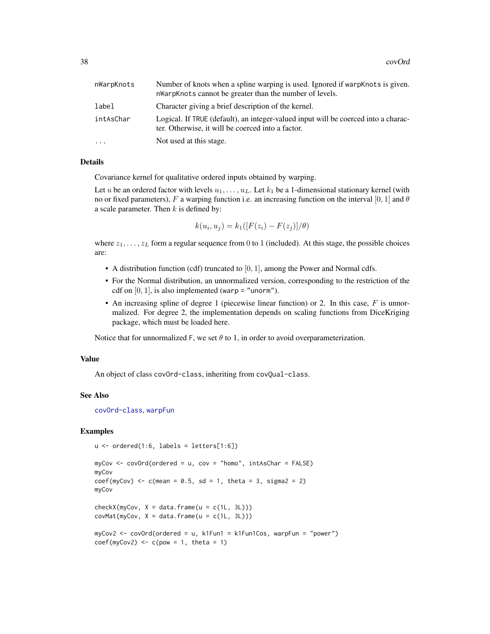| nWarpKnots | Number of knots when a spline warping is used. Ignored if warpKnots is given.<br>nWarpKnots cannot be greater than the number of levels. |
|------------|------------------------------------------------------------------------------------------------------------------------------------------|
| label      | Character giving a brief description of the kernel.                                                                                      |
| intAsChar  | Logical. If TRUE (default), an integer-valued input will be coerced into a charac-<br>ter. Otherwise, it will be coerced into a factor.  |
| $\ddots$   | Not used at this stage.                                                                                                                  |

### Details

Covariance kernel for qualitative ordered inputs obtained by warping.

Let u be an ordered factor with levels  $u_1, \ldots, u_L$ . Let  $k_1$  be a 1-dimensional stationary kernel (with no or fixed parameters), F a warping function i.e. an increasing function on the interval [0, 1] and  $\theta$ a scale parameter. Then  $k$  is defined by:

$$
k(u_i, u_j) = k_1([F(z_i) - F(z_j)]/\theta)
$$

where  $z_1, \ldots, z_L$  form a regular sequence from 0 to 1 (included). At this stage, the possible choices are:

- A distribution function (cdf) truncated to  $[0, 1]$ , among the Power and Normal cdfs.
- For the Normal distribution, an unnormalized version, corresponding to the restriction of the cdf on  $[0, 1]$ , is also implemented (warp = "unorm").
- An increasing spline of degree 1 (piecewise linear function) or 2. In this case,  $F$  is unnormalized. For degree 2, the implementation depends on scaling functions from DiceKriging package, which must be loaded here.

Notice that for unnormalized F, we set  $\theta$  to 1, in order to avoid overparameterization.

### Value

An object of class covOrd-class, inheriting from covQual-class.

### See Also

[covOrd-class](#page-38-0), [warpFun](#page-109-0)

### Examples

```
u \le - ordered(1:6, labels = letters[1:6])
```

```
myCov <- covOrd(ordered = u, cov = "homo", intAsChar = FALSE)
myCov
coef(myCov) \leq c(mean = 0.5, sd = 1, theta = 3, sigma2 = 2)myCov
check(XmyCov, X = data-frame(u = c(1L, 3L)))covMat(myCov, X = data.frame(u = c(1L, 3L)))myCov2 <- covOrd(ordered = u, k1Fun1 = k1Fun1Cos, warpFun = "power")
```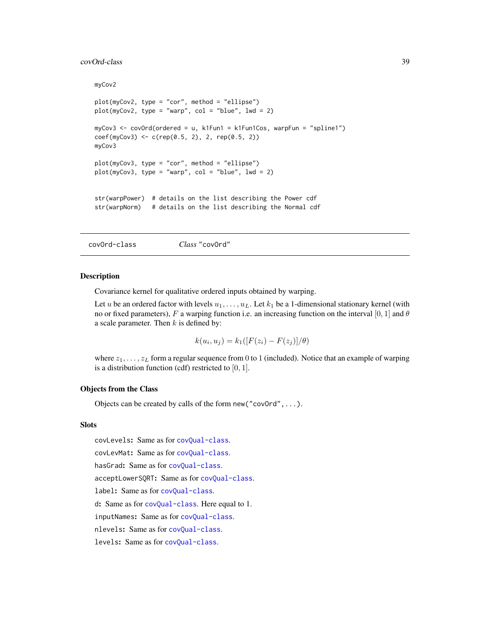#### covOrd-class 39

```
myCov2
plot(myCov2, type = "cor", method = "ellipse")
plot(myCov2, type = "warp", col = "blue", lwd = 2)myCov3 <- covOrd(ordered = u, k1Fun1 = k1Fun1Cos, warpFun = "spline1")
coef(myCov3) \leq c(rep(0.5, 2), 2, rep(0.5, 2))myCov3
plot(myCov3, type = "cor", method = "ellipse")
plot(myCov3, type = "warp", col = "blue", lwd = 2)str(warpPower) # details on the list describing the Power cdf
str(warpNorm) # details on the list describing the Normal cdf
```
<span id="page-38-0"></span>covOrd-class *Class* "covOrd"

#### Description

Covariance kernel for qualitative ordered inputs obtained by warping.

Let u be an ordered factor with levels  $u_1, \ldots, u_L$ . Let  $k_1$  be a 1-dimensional stationary kernel (with no or fixed parameters), F a warping function i.e. an increasing function on the interval [0, 1] and  $\theta$ a scale parameter. Then  $k$  is defined by:

$$
k(u_i, u_j) = k_1([F(z_i) - F(z_j)]/\theta)
$$

where  $z_1, \ldots, z_L$  form a regular sequence from 0 to 1 (included). Notice that an example of warping is a distribution function (cdf) restricted to  $[0, 1]$ .

### Objects from the Class

Objects can be created by calls of the form  $new("covOrd", \ldots)$ .

#### **Slots**

covLevels: Same as for [covQual-class](#page-40-0).

covLevMat: Same as for [covQual-class](#page-40-0).

hasGrad: Same as for [covQual-class](#page-40-0).

acceptLowerSQRT: Same as for [covQual-class](#page-40-0).

label: Same as for [covQual-class](#page-40-0).

d: Same as for [covQual-class](#page-40-0). Here equal to 1.

inputNames: Same as for [covQual-class](#page-40-0).

nlevels: Same as for [covQual-class](#page-40-0).

levels: Same as for [covQual-class](#page-40-0).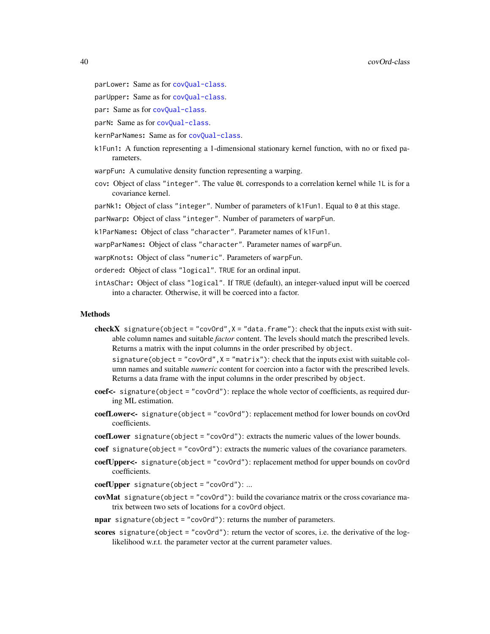- parLower: Same as for [covQual-class](#page-40-0).
- parUpper: Same as for [covQual-class](#page-40-0).
- par: Same as for [covQual-class](#page-40-0).
- parN: Same as for [covQual-class](#page-40-0).
- kernParNames: Same as for [covQual-class](#page-40-0).
- k1Fun1: A function representing a 1-dimensional stationary kernel function, with no or fixed parameters.
- warpFun: A cumulative density function representing a warping.
- cov: Object of class "integer". The value 0L corresponds to a correlation kernel while 1L is for a covariance kernel.
- parNk1: Object of class "integer". Number of parameters of k1Fun1. Equal to 0 at this stage.
- parNwarp: Object of class "integer". Number of parameters of warpFun.
- k1ParNames: Object of class "character". Parameter names of k1Fun1.
- warpParNames: Object of class "character". Parameter names of warpFun.
- warpKnots: Object of class "numeric". Parameters of warpFun.
- ordered: Object of class "logical". TRUE for an ordinal input.
- intAsChar: Object of class "logical". If TRUE (default), an integer-valued input will be coerced into a character. Otherwise, it will be coerced into a factor.

#### Methods

- checkX signature(object = "covOrd", $X =$  "data.frame"): check that the inputs exist with suitable column names and suitable *factor* content. The levels should match the prescribed levels. Returns a matrix with the input columns in the order prescribed by object.
	- signature(object = "cov0rd",  $X =$  "matrix"): check that the inputs exist with suitable column names and suitable *numeric* content for coercion into a factor with the prescribed levels. Returns a data frame with the input columns in the order prescribed by object.
- coef<- signature(object = "covOrd"): replace the whole vector of coefficients, as required during ML estimation.
- coefLower<- signature(object = "covOrd"): replacement method for lower bounds on covOrd coefficients.
- coefLower signature(object = "covOrd"): extracts the numeric values of the lower bounds.
- coef signature(object = "covOrd"): extracts the numeric values of the covariance parameters.
- coefUpper<- signature(object = "covOrd"): replacement method for upper bounds on covOrd coefficients.
- coefUpper signature(object = "covOrd"): ...
- covMat signature(object = "cov0rd"): build the covariance matrix or the cross covariance matrix between two sets of locations for a covOrd object.
- npar signature(object = "cov0rd"): returns the number of parameters.
- scores signature(object = "cov0rd"): return the vector of scores, i.e. the derivative of the loglikelihood w.r.t. the parameter vector at the current parameter values.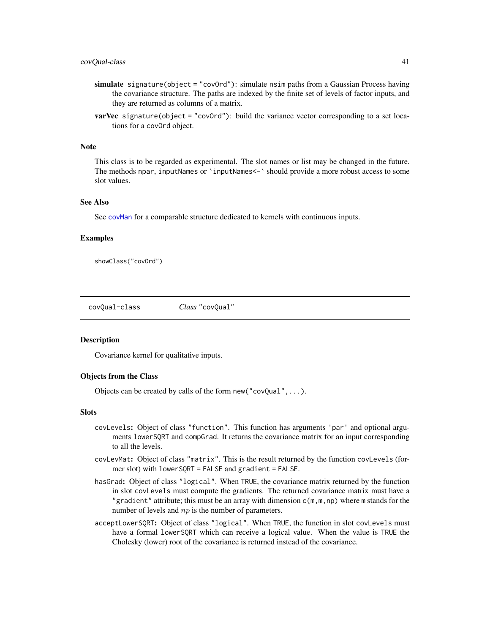#### covQual-class 41

- simulate signature(object = "cov0rd"): simulate nsim paths from a Gaussian Process having the covariance structure. The paths are indexed by the finite set of levels of factor inputs, and they are returned as columns of a matrix.
- **varVec** signature(object = "covOrd"): build the variance vector corresponding to a set locations for a covOrd object.

## Note

This class is to be regarded as experimental. The slot names or list may be changed in the future. The methods npar, inputNames or `inputNames<-` should provide a more robust access to some slot values.

## See Also

See [covMan](#page-32-0) for a comparable structure dedicated to kernels with continuous inputs.

#### Examples

showClass("covOrd")

<span id="page-40-0"></span>covQual-class *Class* "covQual"

#### Description

Covariance kernel for qualitative inputs.

## Objects from the Class

Objects can be created by calls of the form new("covQual",...).

#### **Slots**

- covLevels: Object of class "function". This function has arguments 'par' and optional arguments lowerSQRT and compGrad. It returns the covariance matrix for an input corresponding to all the levels.
- covLevMat: Object of class "matrix". This is the result returned by the function covLevels (former slot) with lowerSQRT = FALSE and gradient = FALSE.
- hasGrad: Object of class "logical". When TRUE, the covariance matrix returned by the function in slot covLevels must compute the gradients. The returned covariance matrix must have a "gradient" attribute; this must be an array with dimension  $c(m, m, np)$  where m stands for the number of levels and  $np$  is the number of parameters.
- acceptLowerSQRT: Object of class "logical". When TRUE, the function in slot covLevels must have a formal lowerSQRT which can receive a logical value. When the value is TRUE the Cholesky (lower) root of the covariance is returned instead of the covariance.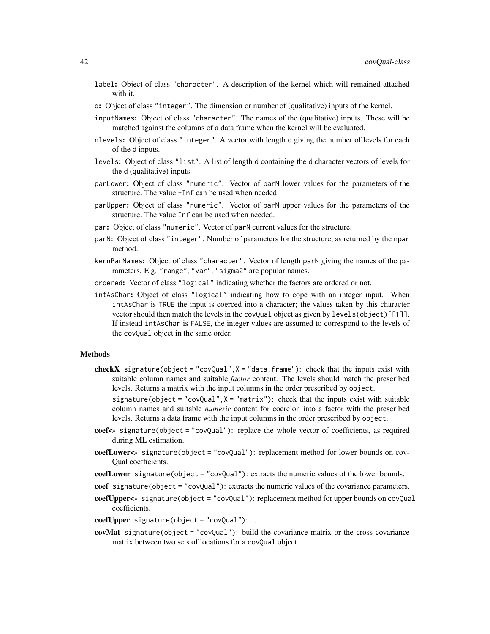- label: Object of class "character". A description of the kernel which will remained attached with it.
- d: Object of class "integer". The dimension or number of (qualitative) inputs of the kernel.
- inputNames: Object of class "character". The names of the (qualitative) inputs. These will be matched against the columns of a data frame when the kernel will be evaluated.
- nlevels: Object of class "integer". A vector with length d giving the number of levels for each of the d inputs.
- levels: Object of class "list". A list of length d containing the d character vectors of levels for the d (qualitative) inputs.
- parLower: Object of class "numeric". Vector of parN lower values for the parameters of the structure. The value -Inf can be used when needed.
- parUpper: Object of class "numeric". Vector of parN upper values for the parameters of the structure. The value Inf can be used when needed.
- par: Object of class "numeric". Vector of parN current values for the structure.
- parN: Object of class "integer". Number of parameters for the structure, as returned by the npar method.
- kernParNames: Object of class "character". Vector of length parN giving the names of the parameters. E.g. "range", "var", "sigma2" are popular names.
- ordered: Vector of class "logical" indicating whether the factors are ordered or not.
- intAsChar: Object of class "logical" indicating how to cope with an integer input. When intAsChar is TRUE the input is coerced into a character; the values taken by this character vector should then match the levels in the covQual object as given by levels(object)[[1]]. If instead intAsChar is FALSE, the integer values are assumed to correspond to the levels of the covQual object in the same order.

#### Methods

- checkX signature(object = "covQual",  $X =$  "data. frame"): check that the inputs exist with suitable column names and suitable *factor* content. The levels should match the prescribed levels. Returns a matrix with the input columns in the order prescribed by object.
	- signature(object = "covQual", $X =$  "matrix"): check that the inputs exist with suitable column names and suitable *numeric* content for coercion into a factor with the prescribed levels. Returns a data frame with the input columns in the order prescribed by object.
- coef<- signature(object = "covQual"): replace the whole vector of coefficients, as required during ML estimation.
- coefLower<- signature(object = "covQual"): replacement method for lower bounds on cov-Qual coefficients.
- coefLower signature(object = "covQual"): extracts the numeric values of the lower bounds.
- coef signature(object = "covQual"): extracts the numeric values of the covariance parameters.
- coefUpper<- signature(object = "covQual"): replacement method for upper bounds on covQual coefficients.
- coefUpper signature(object = "covQual"): ...
- covMat signature(object = "covQual"): build the covariance matrix or the cross covariance matrix between two sets of locations for a covQual object.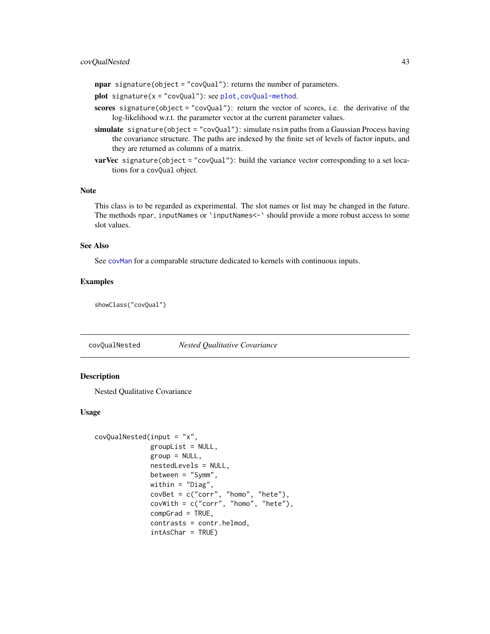## covQualNested 43

npar signature(object = "covQual"): returns the number of parameters.

- plot signature(x = "covQual"): see [plot,covQual-method](#page-0-0).
- scores signature(object = "covQual"): return the vector of scores, i.e. the derivative of the log-likelihood w.r.t. the parameter vector at the current parameter values.
- simulate signature(object = "covQual"): simulate nsim paths from a Gaussian Process having the covariance structure. The paths are indexed by the finite set of levels of factor inputs, and they are returned as columns of a matrix.
- varVec signature(object = "covQual"): build the variance vector corresponding to a set locations for a covQual object.

## Note

This class is to be regarded as experimental. The slot names or list may be changed in the future. The methods npar, inputNames or `inputNames<-` should provide a more robust access to some slot values.

## See Also

See [covMan](#page-32-0) for a comparable structure dedicated to kernels with continuous inputs.

## Examples

showClass("covQual")

covQualNested *Nested Qualitative Covariance*

## **Description**

Nested Qualitative Covariance

### Usage

```
covQualNested(input = "x",
             groupList = NULL,
              group = NULL,nestedLevels = NULL,
              between = "Symm",
              within = "Diag",
              covSet = c("corr", "homo", "hete"),covWith = c("corr", "homo", "hete"),compGrad = TRUE,
              contrasts = contr.helmod,
              intAsChar = TRUE)
```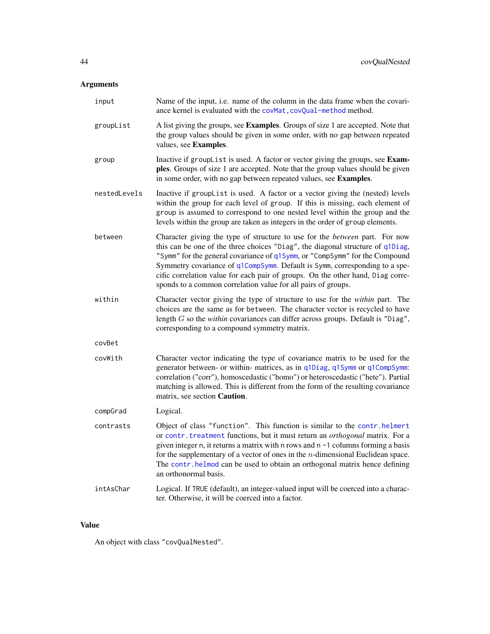# Arguments

| input        | Name of the input, i.e. name of the column in the data frame when the covari-<br>ance kernel is evaluated with the covMat, covQual-method method.                                                                                                                                                                                                                                                                                                                               |  |
|--------------|---------------------------------------------------------------------------------------------------------------------------------------------------------------------------------------------------------------------------------------------------------------------------------------------------------------------------------------------------------------------------------------------------------------------------------------------------------------------------------|--|
| groupList    | A list giving the groups, see Examples. Groups of size 1 are accepted. Note that<br>the group values should be given in some order, with no gap between repeated<br>values, see Examples.                                                                                                                                                                                                                                                                                       |  |
| group        | Inactive if groupList is used. A factor or vector giving the groups, see Exam-<br>ples. Groups of size 1 are accepted. Note that the group values should be given<br>in some order, with no gap between repeated values, see Examples.                                                                                                                                                                                                                                          |  |
| nestedLevels | Inactive if groupList is used. A factor or a vector giving the (nested) levels<br>within the group for each level of group. If this is missing, each element of<br>group is assumed to correspond to one nested level within the group and the<br>levels within the group are taken as integers in the order of group elements.                                                                                                                                                 |  |
| between      | Character giving the type of structure to use for the between part. For now<br>this can be one of the three choices "Diag", the diagonal structure of q1Diag,<br>"Symm" for the general covariance of q1Symm, or "CompSymm" for the Compound<br>Symmetry covariance of q1CompSymm. Default is Symm, corresponding to a spe-<br>cific correlation value for each pair of groups. On the other hand, Diag corre-<br>sponds to a common correlation value for all pairs of groups. |  |
| within       | Character vector giving the type of structure to use for the within part. The<br>choices are the same as for between. The character vector is recycled to have<br>length $G$ so the within covariances can differ across groups. Default is "Diag",<br>corresponding to a compound symmetry matrix.                                                                                                                                                                             |  |
| covBet       |                                                                                                                                                                                                                                                                                                                                                                                                                                                                                 |  |
| covWith      | Character vector indicating the type of covariance matrix to be used for the<br>generator between- or within- matrices, as in q1Diag, q1Symm or q1CompSymm:<br>correlation ("corr"), homoscedastic ("homo") or heteroscedastic ("hete"). Partial<br>matching is allowed. This is different from the form of the resulting covariance<br>matrix, see section <b>Caution</b> .                                                                                                    |  |
| compGrad     | Logical.                                                                                                                                                                                                                                                                                                                                                                                                                                                                        |  |
| contrasts    | Object of class "function". This function is similar to the contr.helmert<br>or contr. treatment functions, but it must return an orthogonal matrix. For a<br>given integer n, it returns a matrix with n rows and n -1 columns forming a basis<br>for the supplementary of a vector of ones in the $n$ -dimensional Euclidean space.<br>The contr. helmod can be used to obtain an orthogonal matrix hence defining<br>an orthonormal basis.                                   |  |
| intAsChar    | Logical. If TRUE (default), an integer-valued input will be coerced into a charac-<br>ter. Otherwise, it will be coerced into a factor.                                                                                                                                                                                                                                                                                                                                         |  |

# Value

An object with class "covQualNested".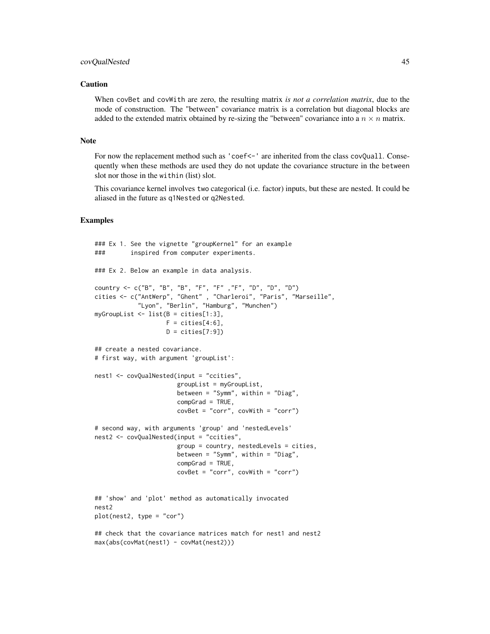#### covQualNested 45

### Caution

When covBet and covWith are zero, the resulting matrix *is not a correlation matrix*, due to the mode of construction. The "between" covariance matrix is a correlation but diagonal blocks are added to the extended matrix obtained by re-sizing the "between" covariance into a  $n \times n$  matrix.

## Note

For now the replacement method such as 'coef<-' are inherited from the class covQuall. Consequently when these methods are used they do not update the covariance structure in the between slot nor those in the within (list) slot.

This covariance kernel involves two categorical (i.e. factor) inputs, but these are nested. It could be aliased in the future as q1Nested or q2Nested.

#### Examples

```
### Ex 1. See the vignette "groupKernel" for an example
### inspired from computer experiments.
### Ex 2. Below an example in data analysis.
country <- c("B", "B", "B", "F", "F" ,"F", "D", "D", "D")
cities <- c("AntWerp", "Ghent" , "Charleroi", "Paris", "Marseille",
            "Lyon", "Berlin", "Hamburg", "Munchen")
myGroupList <- list(B = cities[1:3],
                    F = \text{cities}[4:6],D = \text{cities}[7:9])## create a nested covariance.
# first way, with argument 'groupList':
nest1 <- covQualNested(input = "ccities",
                       groupList = myGroupList,
                       between = "Symm", within = "Diag",
                       compGrad = TRUE,
                       covBet = "corr", covWith = "corr")
# second way, with arguments 'group' and 'nestedLevels'
nest2 <- covQualNested(input = "ccities",
                       group = country, nestedLevels = cities,
                       between = "Symm", within = "Diag",
                       compGrad = TRUE,
                       covBet = "corr", covWith = "corr")
## 'show' and 'plot' method as automatically invocated
nest2
plot(nest2, type = "cor")
## check that the covariance matrices match for nest1 and nest2
max(abs(covMat(nest1) - covMat(nest2)))
```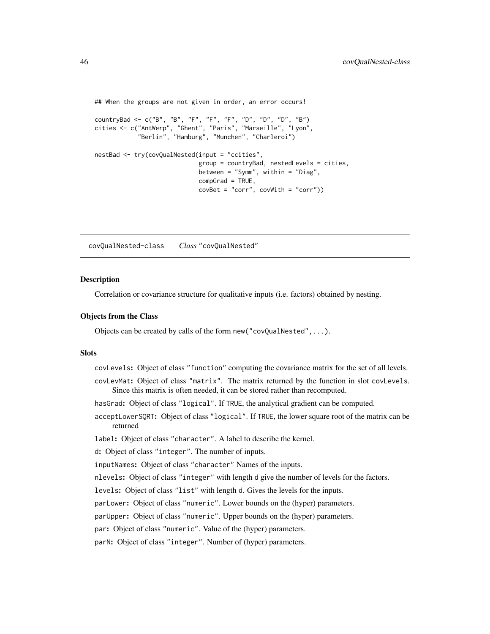```
## When the groups are not given in order, an error occurs!
countryBad <- c("B", "B", "F", "F", "F", "D", "D", "D", "B")
cities <- c("AntWerp", "Ghent", "Paris", "Marseille", "Lyon",
           "Berlin", "Hamburg", "Munchen", "Charleroi")
nestBad <- try(covQualNested(input = "ccities",
                            group = countryBad, nestedLevels = cities,
                            between = "Symm", within = "Diag",
                            compGrad = TRUE,
                            covSet = "corr", covWith = "corr")
```
covQualNested-class *Class* "covQualNested"

### Description

Correlation or covariance structure for qualitative inputs (i.e. factors) obtained by nesting.

### Objects from the Class

Objects can be created by calls of the form new("covQualNested",...).

#### **Slots**

- covLevels: Object of class "function" computing the covariance matrix for the set of all levels.
- covLevMat: Object of class "matrix". The matrix returned by the function in slot covLevels. Since this matrix is often needed, it can be stored rather than recomputed.
- hasGrad: Object of class "logical". If TRUE, the analytical gradient can be computed.
- acceptLowerSQRT: Object of class "logical". If TRUE, the lower square root of the matrix can be returned
- label: Object of class "character". A label to describe the kernel.
- d: Object of class "integer". The number of inputs.
- inputNames: Object of class "character" Names of the inputs.
- nlevels: Object of class "integer" with length d give the number of levels for the factors.
- levels: Object of class "list" with length d. Gives the levels for the inputs.
- parLower: Object of class "numeric". Lower bounds on the (hyper) parameters.
- parUpper: Object of class "numeric". Upper bounds on the (hyper) parameters.
- par: Object of class "numeric". Value of the (hyper) parameters.

parN: Object of class "integer". Number of (hyper) parameters.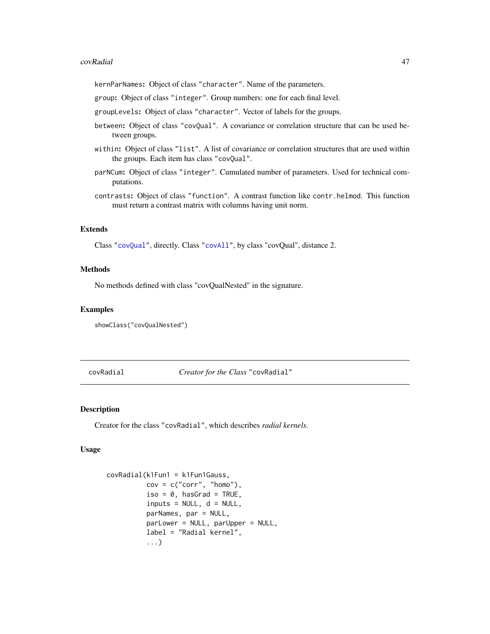#### covRadial and the contract of the contract of the contract of the contract of the contract of the contract of the contract of the contract of the contract of the contract of the contract of the contract of the contract of

kernParNames: Object of class "character". Name of the parameters.

group: Object of class "integer". Group numbers: one for each final level.

groupLevels: Object of class "character". Vector of labels for the groups.

- between: Object of class "covQual". A covariance or correlation structure that can be used between groups.
- within: Object of class "list". A list of covariance or correlation structures that are used within the groups. Each item has class "covQual".
- parNCum: Object of class "integer". Cumulated number of parameters. Used for technical computations.
- contrasts: Object of class "function". A contrast function like contr.helmod. This function must return a contrast matrix with columns having unit norm.

## Extends

Class ["covQual"](#page-40-0), directly. Class ["covAll"](#page-21-0), by class "covQual", distance 2.

## **Methods**

No methods defined with class "covQualNested" in the signature.

#### Examples

showClass("covQualNested")

<span id="page-46-0"></span>covRadial *Creator for the Class* "covRadial"

## **Description**

Creator for the class "covRadial", which describes *radial kernels*.

## Usage

```
covRadial(k1Fun1 = k1Fun1Gauss,
         cov = c("corr", "homo"),iso = 0, hasGrad = TRUE,
          inputs = NULL, d = NULL,parNames, par = NULL,
         parLower = NULL, parUpper = NULL,
          label = "Radial kernel",
          ...)
```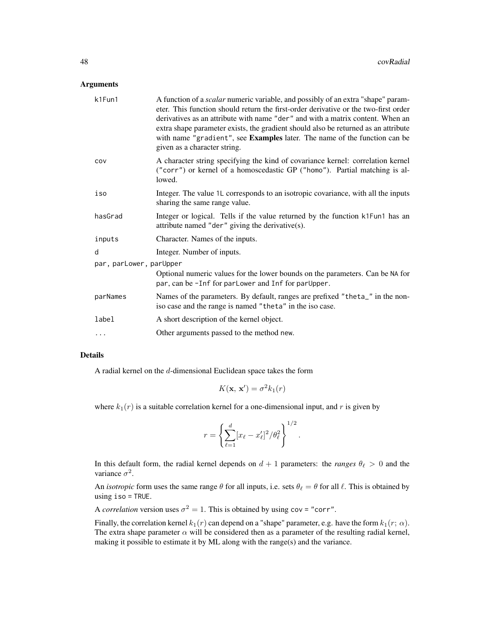#### Arguments

| k1Fun1                  | A function of a <i>scalar</i> numeric variable, and possibly of an extra "shape" param-<br>eter. This function should return the first-order derivative or the two-first order<br>derivatives as an attribute with name "der" and with a matrix content. When an<br>extra shape parameter exists, the gradient should also be returned as an attribute<br>with name "gradient", see Examples later. The name of the function can be<br>given as a character string. |
|-------------------------|---------------------------------------------------------------------------------------------------------------------------------------------------------------------------------------------------------------------------------------------------------------------------------------------------------------------------------------------------------------------------------------------------------------------------------------------------------------------|
| COV                     | A character string specifying the kind of covariance kernel: correlation kernel<br>("corr") or kernel of a homoscedastic GP ("homo"). Partial matching is al-<br>lowed.                                                                                                                                                                                                                                                                                             |
| iso                     | Integer. The value 1L corresponds to an isotropic covariance, with all the inputs<br>sharing the same range value.                                                                                                                                                                                                                                                                                                                                                  |
| hasGrad                 | Integer or logical. Tells if the value returned by the function k1Fun1 has an<br>attribute named "der" giving the derivative(s).                                                                                                                                                                                                                                                                                                                                    |
| inputs                  | Character. Names of the inputs.                                                                                                                                                                                                                                                                                                                                                                                                                                     |
| d                       | Integer. Number of inputs.                                                                                                                                                                                                                                                                                                                                                                                                                                          |
| par, parLower, parUpper |                                                                                                                                                                                                                                                                                                                                                                                                                                                                     |
|                         | Optional numeric values for the lower bounds on the parameters. Can be NA for<br>par, can be -Inf for parLower and Inf for parUpper.                                                                                                                                                                                                                                                                                                                                |
| parNames                | Names of the parameters. By default, ranges are prefixed "theta_" in the non-<br>iso case and the range is named "theta" in the iso case.                                                                                                                                                                                                                                                                                                                           |
| label                   | A short description of the kernel object.                                                                                                                                                                                                                                                                                                                                                                                                                           |
| $\cdots$                | Other arguments passed to the method new.                                                                                                                                                                                                                                                                                                                                                                                                                           |

### Details

A radial kernel on the d-dimensional Euclidean space takes the form

$$
K(\mathbf{x}, \mathbf{x}') = \sigma^2 k_1(r)
$$

where  $k_1(r)$  is a suitable correlation kernel for a one-dimensional input, and r is given by

$$
r = \left\{ \sum_{\ell=1}^d [x_\ell - x'_\ell]^2 / \theta_\ell^2 \right\}^{1/2}.
$$

In this default form, the radial kernel depends on  $d + 1$  parameters: the *ranges*  $\theta_{\ell} > 0$  and the variance  $\sigma^2$ .

An *isotropic* form uses the same range  $\theta$  for all inputs, i.e. sets  $\theta_\ell = \theta$  for all  $\ell$ . This is obtained by using iso = TRUE.

A *correlation* version uses  $\sigma^2 = 1$ . This is obtained by using cov = "corr".

Finally, the correlation kernel  $k_1(r)$  can depend on a "shape" parameter, e.g. have the form  $k_1(r; \alpha)$ . The extra shape parameter  $\alpha$  will be considered then as a parameter of the resulting radial kernel, making it possible to estimate it by ML along with the range(s) and the variance.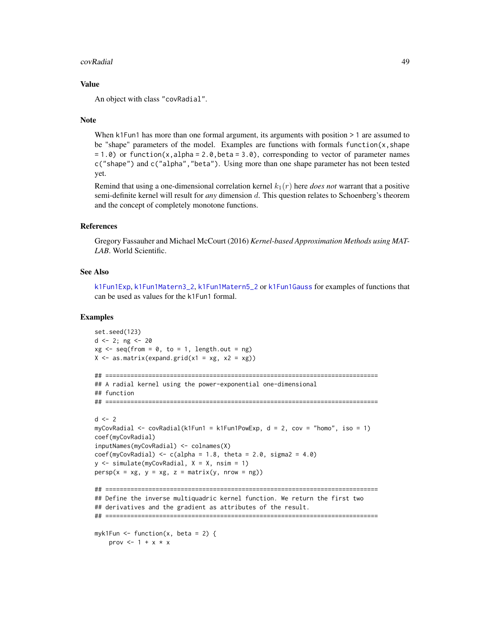#### covRadial and the contract of the contract of the contract of the contract of the contract of the contract of the contract of the contract of the contract of the contract of the contract of the contract of the contract of

#### Value

An object with class "covRadial".

#### **Note**

When k1Fun1 has more than one formal argument, its arguments with position  $> 1$  are assumed to be "shape" parameters of the model. Examples are functions with formals function( $x$ , shape  $= 1.0$ ) or function(x,alpha = 2.0, beta = 3.0), corresponding to vector of parameter names c("shape") and c("alpha","beta"). Using more than one shape parameter has not been tested yet.

Remind that using a one-dimensional correlation kernel  $k_1(r)$  here *does not* warrant that a positive semi-definite kernel will result for *any* dimension d. This question relates to Schoenberg's theorem and the concept of completely monotone functions.

#### References

Gregory Fassauher and Michael McCourt (2016) *Kernel-based Approximation Methods using MAT-LAB*. World Scientific.

### See Also

[k1Fun1Exp](#page-71-0), [k1Fun1Matern3\\_2](#page-71-0), [k1Fun1Matern5\\_2](#page-71-0) or [k1Fun1Gauss](#page-71-0) for examples of functions that can be used as values for the k1Fun1 formal.

## Examples

```
set.seed(123)
d \le -2; ng \le -20xg \le - seq(from = 0, to = 1, length.out = ng)
X \le - as.matrix(expand.grid(x1 = xg, x2 = xg))
## ============================================================================
## A radial kernel using the power-exponential one-dimensional
## function
## ============================================================================
d \leq -2myCovRadial \leq-covRadial(k1Fun1 = k1Fun1PowExp, d = 2, cov = "homo", iso = 1)coef(myCovRadial)
inputNames(myCovRadial) <- colnames(X)
coeff(myCovRadial) \leq c(alpha = 1.8, theta = 2.0, sigma2 = 4.0)y <- simulate(myCovRadial, X = X, nsim = 1)
persp(x = xg, y = xg, z = matrix(y, nrow = ng))## ============================================================================
## Define the inverse multiquadric kernel function. We return the first two
## derivatives and the gradient as attributes of the result.
## ============================================================================
myk1Fun \le function(x, beta = 2) {
    prov <-1 + x * x
```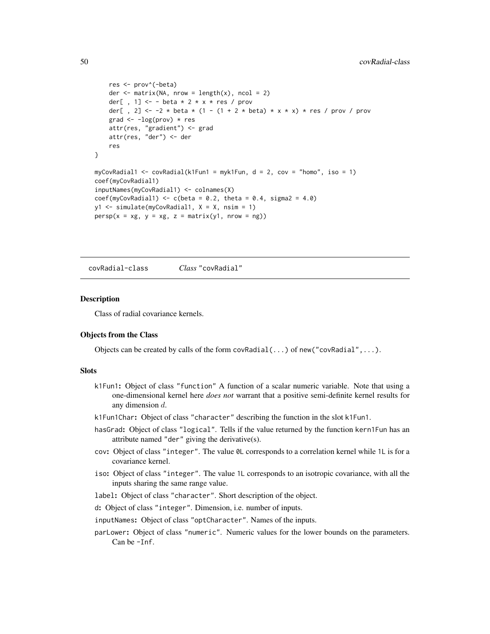```
res <- prov^(-beta)
   der \leq matrix(NA, nrow = length(x), ncol = 2)
   der[ , 1] <- - beta * 2 * x * res / prov
   der[, 2] <- -2 * beta * (1 - (1 + 2 * beta) * x * x) * res / prov / prov
   grad \leftarrow -log(prov) \star res
   attr(res, "gradient") <- grad
   attr(res, "der") <- der
    res
}
myCovRadial1 <- covRadial(k1Fun1 = myk1Fun, d = 2, cov = "homo", iso = 1)
coef(myCovRadial1)
inputNames(myCovRadial1) <- colnames(X)
coef(myCovRadial1) \leq c(beta = 0.2, theta = 0.4, sigma2 = 4.0)y1 <- simulate(myCovRadial1, X = X, nsim = 1)
persp(x = xg, y = xg, z = matrix(y1, nrow = ng))
```
<span id="page-49-0"></span>covRadial-class *Class* "covRadial"

#### Description

Class of radial covariance kernels.

### Objects from the Class

Objects can be created by calls of the form  $covRadial(....)$  of new("covRadial",...).

## **Slots**

- k1Fun1: Object of class "function" A function of a scalar numeric variable. Note that using a one-dimensional kernel here *does not* warrant that a positive semi-definite kernel results for any dimension d.
- k1Fun1Char: Object of class "character" describing the function in the slot k1Fun1.
- hasGrad: Object of class "logical". Tells if the value returned by the function kern1Fun has an attribute named "der" giving the derivative(s).
- cov: Object of class "integer". The value 0L corresponds to a correlation kernel while 1L is for a covariance kernel.
- iso: Object of class "integer". The value 1L corresponds to an isotropic covariance, with all the inputs sharing the same range value.
- label: Object of class "character". Short description of the object.
- d: Object of class "integer". Dimension, i.e. number of inputs.
- inputNames: Object of class "optCharacter". Names of the inputs.
- parLower: Object of class "numeric". Numeric values for the lower bounds on the parameters. Can be -Inf.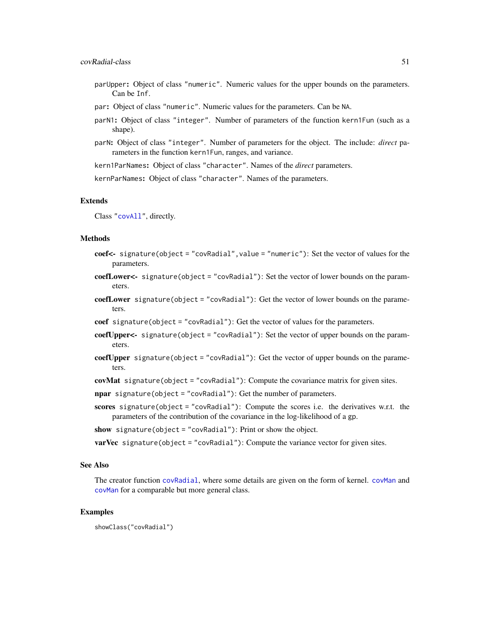- parUpper: Object of class "numeric". Numeric values for the upper bounds on the parameters. Can be Inf.
- par: Object of class "numeric". Numeric values for the parameters. Can be NA.
- parN1: Object of class "integer". Number of parameters of the function kern1Fun (such as a shape).
- parN: Object of class "integer". Number of parameters for the object. The include: *direct* parameters in the function kern1Fun, ranges, and variance.

kern1ParNames: Object of class "character". Names of the *direct* parameters.

kernParNames: Object of class "character". Names of the parameters.

#### Extends

Class ["covAll"](#page-21-0), directly.

#### Methods

- coef<- signature(object = "covRadial", value = "numeric"): Set the vector of values for the parameters.
- coefLower<- signature(object = "covRadial"): Set the vector of lower bounds on the parameters.
- coefLower signature(object = "covRadial"): Get the vector of lower bounds on the parameters.
- coef signature(object = "covRadial"): Get the vector of values for the parameters.
- coefUpper<- signature(object = "covRadial"): Set the vector of upper bounds on the parameters.
- coefUpper signature(object = "covRadial"): Get the vector of upper bounds on the parameters.
- covMat signature(object = "covRadial"): Compute the covariance matrix for given sites.

npar signature(object = "covRadial"): Get the number of parameters.

scores signature(object = "covRadial"): Compute the scores i.e. the derivatives w.r.t. the parameters of the contribution of the covariance in the log-likelihood of a gp.

show signature(object = "covRadial"): Print or show the object.

**varVec** signature(object = "covRadial"): Compute the variance vector for given sites.

### See Also

The creator function [covRadial](#page-46-0), where some details are given on the form of kernel. [covMan](#page-29-0) and [covMan](#page-32-0) for a comparable but more general class.

#### Examples

showClass("covRadial")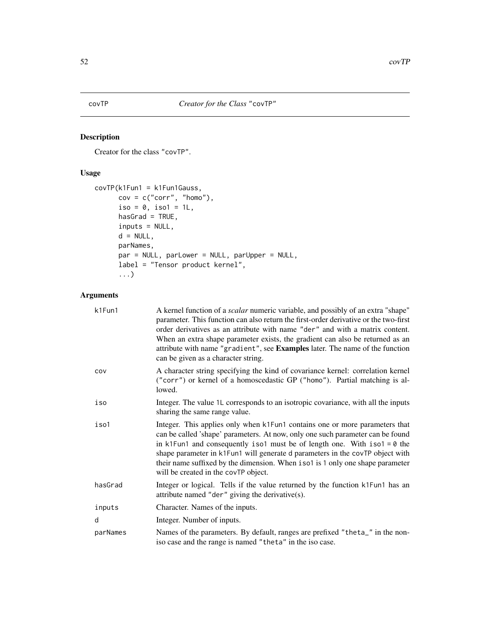<span id="page-51-0"></span>Creator for the class "covTP".

## Usage

```
covTP(k1Fun1 = k1Fun1Gauss,
     cov = c("corr", "homo"),iso = 0, iso1 = 1L,
     hasGrad = TRUE,inputs = NULL,
     d = NULL,parNames,
     par = NULL, parLower = NULL, parUpper = NULL,
     label = "Tensor product kernel",
      ...)
```
# Arguments

| k1Fun1   | A kernel function of a <i>scalar</i> numeric variable, and possibly of an extra "shape"<br>parameter. This function can also return the first-order derivative or the two-first<br>order derivatives as an attribute with name "der" and with a matrix content.<br>When an extra shape parameter exists, the gradient can also be returned as an<br>attribute with name "gradient", see Examples later. The name of the function<br>can be given as a character string. |
|----------|-------------------------------------------------------------------------------------------------------------------------------------------------------------------------------------------------------------------------------------------------------------------------------------------------------------------------------------------------------------------------------------------------------------------------------------------------------------------------|
| COV      | A character string specifying the kind of covariance kernel: correlation kernel<br>("corr") or kernel of a homoscedastic GP ("homo"). Partial matching is al-<br>lowed.                                                                                                                                                                                                                                                                                                 |
| iso      | Integer. The value 1L corresponds to an isotropic covariance, with all the inputs<br>sharing the same range value.                                                                                                                                                                                                                                                                                                                                                      |
| iso1     | Integer. This applies only when k1Fun1 contains one or more parameters that<br>can be called 'shape' parameters. At now, only one such parameter can be found<br>in k1Fun1 and consequently iso1 must be of length one. With $iso1 = 0$ the<br>shape parameter in k1Fun1 will generate d parameters in the covTP object with<br>their name suffixed by the dimension. When iso1 is 1 only one shape parameter<br>will be created in the covTP object.                   |
| hasGrad  | Integer or logical. Tells if the value returned by the function k1Fun1 has an<br>attribute named "der" giving the derivative(s).                                                                                                                                                                                                                                                                                                                                        |
| inputs   | Character. Names of the inputs.                                                                                                                                                                                                                                                                                                                                                                                                                                         |
| d        | Integer. Number of inputs.                                                                                                                                                                                                                                                                                                                                                                                                                                              |
| parNames | Names of the parameters. By default, ranges are prefixed "theta_" in the non-<br>iso case and the range is named "theta" in the iso case.                                                                                                                                                                                                                                                                                                                               |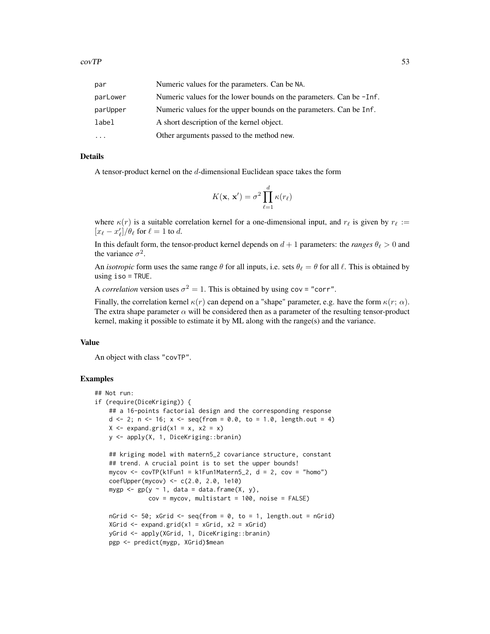| par      | Numeric values for the parameters. Can be NA.                       |
|----------|---------------------------------------------------------------------|
| parLower | Numeric values for the lower bounds on the parameters. Can be -Inf. |
| parUpper | Numeric values for the upper bounds on the parameters. Can be Inf.  |
| label    | A short description of the kernel object.                           |
|          | Other arguments passed to the method new.                           |

## Details

A tensor-product kernel on the  $d$ -dimensional Euclidean space takes the form

$$
K(\mathbf{x}, \mathbf{x}') = \sigma^2 \prod_{\ell=1}^d \kappa(r_\ell)
$$

where  $\kappa(r)$  is a suitable correlation kernel for a one-dimensional input, and  $r_\ell$  is given by  $r_\ell :=$  $[x_{\ell} - x'_{\ell}] / \theta_{\ell}$  for  $\ell = 1$  to d.

In this default form, the tensor-product kernel depends on  $d + 1$  parameters: the *ranges*  $\theta_{\ell} > 0$  and the variance  $\sigma^2$ .

An *isotropic* form uses the same range  $\theta$  for all inputs, i.e. sets  $\theta_{\ell} = \theta$  for all  $\ell$ . This is obtained by using iso = TRUE.

A *correlation* version uses  $\sigma^2 = 1$ . This is obtained by using cov = "corr".

Finally, the correlation kernel  $\kappa(r)$  can depend on a "shape" parameter, e.g. have the form  $\kappa(r; \alpha)$ . The extra shape parameter  $\alpha$  will be considered then as a parameter of the resulting tensor-product kernel, making it possible to estimate it by ML along with the range(s) and the variance.

## Value

An object with class "covTP".

## Examples

```
## Not run:
if (require(DiceKriging)) {
   ## a 16-points factorial design and the corresponding response
   d \langle - 2; n \langle - 16; x \langle - seq(from = 0.0, to = 1.0, length.out = 4)
   X \leq - expand.grid(x1 = x, x2 = x)
   y <- apply(X, 1, DiceKriging::branin)
    ## kriging model with matern5_2 covariance structure, constant
    ## trend. A crucial point is to set the upper bounds!
    mycov <- covTP(k1Fun1 = k1Fun1Matern5_2, d = 2, cov = "homo")coefUpper(mycov) <- c(2.0, 2.0, 1e10)
   mygp \leq gp(y \sim 1, data = data.frame(X, y),
               cov = mycov, multistart = 100, noise = FALSE)
   nGrid \leq 50; xGrid \leq seq(from = 0, to = 1, length.out = nGrid)
    XGrid \leftarrow expand.grid(x1 = xGrid, x2 = xGrid)yGrid <- apply(XGrid, 1, DiceKriging::branin)
   pgp <- predict(mygp, XGrid)$mean
```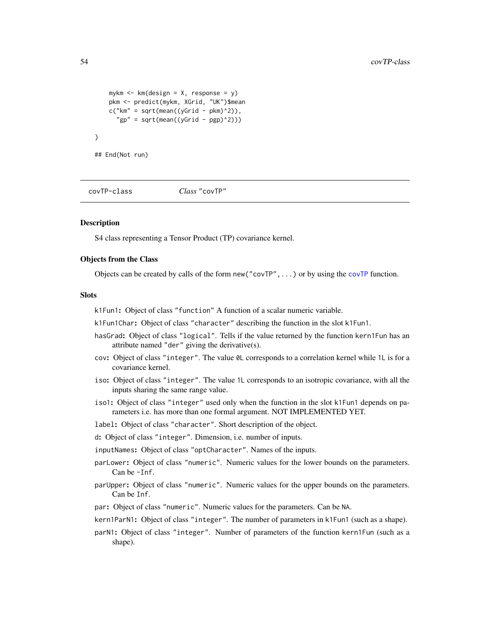```
mykm \leq km(design = X, response = y)
    pkm <- predict(mykm, XGrid, "UK")$mean
    c("km" = sqrt(mean((yGrid - pkm)^2)),"gp'' = sqrt(mean((yGrid - pgp)^2)))}
## End(Not run)
```
covTP-class *Class* "covTP"

### **Description**

S4 class representing a Tensor Product (TP) covariance kernel.

### Objects from the Class

Objects can be created by calls of the form new("covTP",...) or by using the [covTP](#page-51-0) function.

## Slots

k1Fun1: Object of class "function" A function of a scalar numeric variable.

k1Fun1Char: Object of class "character" describing the function in the slot k1Fun1.

- hasGrad: Object of class "logical". Tells if the value returned by the function kern1Fun has an attribute named "der" giving the derivative(s).
- cov: Object of class "integer". The value 0L corresponds to a correlation kernel while 1L is for a covariance kernel.
- iso: Object of class "integer". The value 1L corresponds to an isotropic covariance, with all the inputs sharing the same range value.
- iso1: Object of class "integer" used only when the function in the slot k1Fun1 depends on parameters i.e. has more than one formal argument. NOT IMPLEMENTED YET.
- label: Object of class "character". Short description of the object.
- d: Object of class "integer". Dimension, i.e. number of inputs.
- inputNames: Object of class "optCharacter". Names of the inputs.
- parLower: Object of class "numeric". Numeric values for the lower bounds on the parameters. Can be -Inf.
- parUpper: Object of class "numeric". Numeric values for the upper bounds on the parameters. Can be Inf.
- par: Object of class "numeric". Numeric values for the parameters. Can be NA.
- kern1ParN1: Object of class "integer". The number of parameters in k1Fun1 (such as a shape).
- parN1: Object of class "integer". Number of parameters of the function kern1Fun (such as a shape).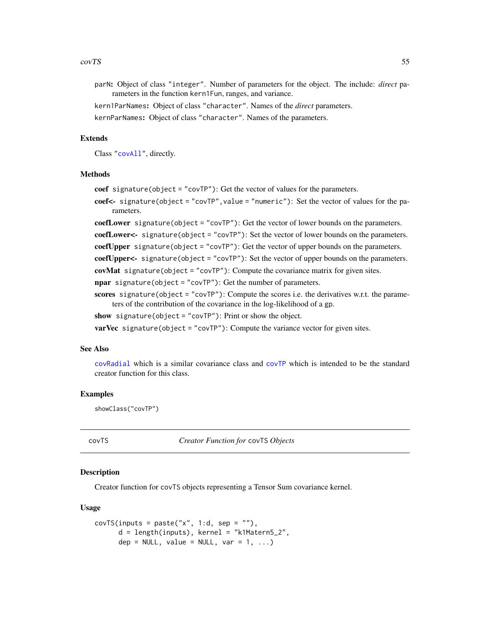#### $covTS$  55

- parN: Object of class "integer". Number of parameters for the object. The include: *direct* parameters in the function kern1Fun, ranges, and variance.
- kern1ParNames: Object of class "character". Names of the *direct* parameters.
- kernParNames: Object of class "character". Names of the parameters.

### Extends

Class ["covAll"](#page-21-0), directly.

## Methods

coef signature(object = "covTP"): Get the vector of values for the parameters.

coef<- signature(object = "covTP", value = "numeric"): Set the vector of values for the parameters.

coefLower signature(object = "covTP"): Get the vector of lower bounds on the parameters.

coefLower<- signature(object = "covTP"): Set the vector of lower bounds on the parameters.

coefUpper signature(object = "covTP"): Get the vector of upper bounds on the parameters.

coefUpper<- signature(object = "covTP"): Set the vector of upper bounds on the parameters.

covMat signature(object = "covTP"): Compute the covariance matrix for given sites.

npar signature(object = "covTP"): Get the number of parameters.

scores signature(object = "covTP"): Compute the scores i.e. the derivatives w.r.t. the parameters of the contribution of the covariance in the log-likelihood of a gp.

show signature(object = "covTP"): Print or show the object.

**varVec** signature(object = "covTP"): Compute the variance vector for given sites.

#### See Also

[covRadial](#page-49-0) which is a similar covariance class and [covTP](#page-51-0) which is intended to be the standard creator function for this class.

#### Examples

showClass("covTP")

<span id="page-54-0"></span>covTS *Creator Function for* covTS *Objects*

#### Description

Creator function for covTS objects representing a Tensor Sum covariance kernel.

#### Usage

```
covTS(inputs = paste("x", 1:d, sep = ""),
     d = length(inputs), kernel = "k1Matern5_2",dep = NULL, value = NULL, var = 1, ...)
```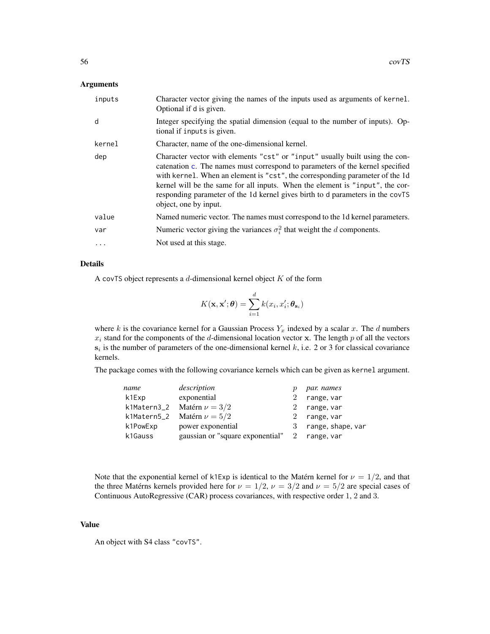### Arguments

| inputs | Character vector giving the names of the inputs used as arguments of kernel.<br>Optional if d is given.                                                                                                                                                                                                                                                                                                                                   |
|--------|-------------------------------------------------------------------------------------------------------------------------------------------------------------------------------------------------------------------------------------------------------------------------------------------------------------------------------------------------------------------------------------------------------------------------------------------|
| d      | Integer specifying the spatial dimension (equal to the number of inputs). Op-<br>tional if inputs is given.                                                                                                                                                                                                                                                                                                                               |
| kernel | Character, name of the one-dimensional kernel.                                                                                                                                                                                                                                                                                                                                                                                            |
| dep    | Character vector with elements "cst" or "input" usually built using the con-<br>catenation c. The names must correspond to parameters of the kernel specified<br>with kernel. When an element is "cst", the corresponding parameter of the 1d<br>kernel will be the same for all inputs. When the element is "input", the cor-<br>responding parameter of the 1d kernel gives birth to d parameters in the covTS<br>object, one by input. |
| value  | Named numeric vector. The names must correspond to the 1d kernel parameters.                                                                                                                                                                                                                                                                                                                                                              |
| var    | Numeric vector giving the variances $\sigma_i^2$ that weight the d components.                                                                                                                                                                                                                                                                                                                                                            |
| .      | Not used at this stage.                                                                                                                                                                                                                                                                                                                                                                                                                   |

## Details

A covTS object represents a  $d$ -dimensional kernel object  $K$  of the form

$$
K(\mathbf{x}, \mathbf{x}'; \boldsymbol{\theta}) = \sum_{i=1}^{d} k(x_i, x_i'; \boldsymbol{\theta}_{\mathbf{s}_i})
$$

where k is the covariance kernel for a Gaussian Process  $Y_x$  indexed by a scalar x. The d numbers  $x_i$  stand for the components of the d-dimensional location vector x. The length p of all the vectors  $s_i$  is the number of parameters of the one-dimensional kernel k, i.e. 2 or 3 for classical covariance kernels.

The package comes with the following covariance kernels which can be given as kernel argument.

| name     | description                                   |   | par. names          |
|----------|-----------------------------------------------|---|---------------------|
| k1Exp    | exponential                                   |   | range, var          |
|          | k1Matern3_2 Matérn $\nu = 3/2$                | 2 | range, var          |
|          | k1Matern5_2 Matérn $\nu = 5/2$                |   | range, var          |
| k1PowExp | power exponential                             |   | 3 range, shape, var |
| k1Gauss  | gaussian or "square exponential" 2 range, var |   |                     |

Note that the exponential kernel of k1Exp is identical to the Matérn kernel for  $\nu = 1/2$ , and that the three Matérns kernels provided here for  $\nu = 1/2$ ,  $\nu = 3/2$  and  $\nu = 5/2$  are special cases of Continuous AutoRegressive (CAR) process covariances, with respective order 1, 2 and 3.

# Value

An object with S4 class "covTS".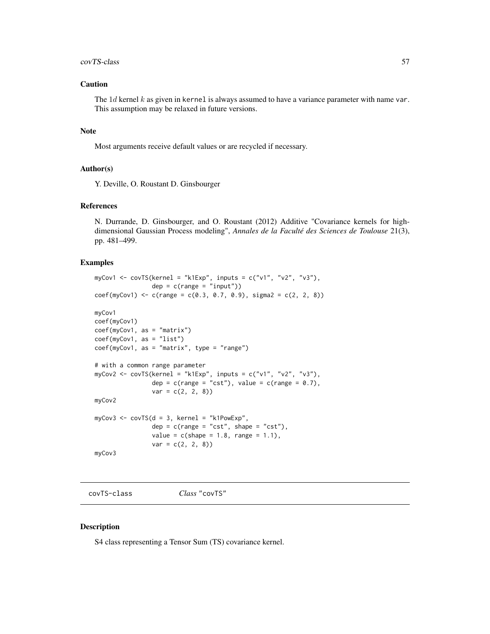#### covTS-class 57

## Caution

The  $1d$  kernel k as given in kernel is always assumed to have a variance parameter with name var. This assumption may be relaxed in future versions.

## Note

Most arguments receive default values or are recycled if necessary.

#### Author(s)

Y. Deville, O. Roustant D. Ginsbourger

# References

N. Durrande, D. Ginsbourger, and O. Roustant (2012) Additive "Covariance kernels for highdimensional Gaussian Process modeling", *Annales de la Faculté des Sciences de Toulouse* 21(3), pp. 481–499.

### Examples

```
myCov1 <- covTS(kernel = "k1Exp", inputs = c("v1", "v2", "v3"),
                dep = c(range = "input")coef(myCov1) \leq c(range = c(0.3, 0.7, 0.9), sigma2 = c(2, 2, 8))myCov1
coef(myCov1)
coef(myCov1, as = "matrix")
coef(myCov1, as = "list")
coef(myCov1, as = "matrix", type = "range")
# with a common range parameter
myCov2 <- covTS(kernel = "k1Exp", inputs = c("v1", "v2", "v3"),dep = c(range = "cst"), value = c(range = 0.7),
                var = c(2, 2, 8)myCov2
myCov3 <- covTS(d = 3, kernel = "k1PowExp",
                dep = c(range = "cst", shape = "cst"),value = c(shape = 1.8, range = 1.1),var = c(2, 2, 8)myCov3
```
covTS-class *Class* "covTS"

### Description

S4 class representing a Tensor Sum (TS) covariance kernel.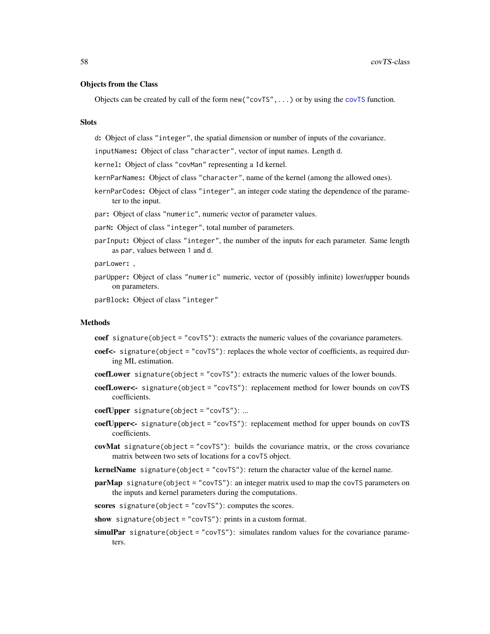### Objects from the Class

Objects can be created by call of the form  $new("covTS", \ldots)$  $new("covTS", \ldots)$  $new("covTS", \ldots)$  or by using the covTS function.

#### **Slots**

d: Object of class "integer", the spatial dimension or number of inputs of the covariance.

inputNames: Object of class "character", vector of input names. Length d.

kernel: Object of class "covMan" representing a 1d kernel.

- kernParNames: Object of class "character", name of the kernel (among the allowed ones).
- kernParCodes: Object of class "integer", an integer code stating the dependence of the parameter to the input.

par: Object of class "numeric", numeric vector of parameter values.

parN: Object of class "integer", total number of parameters.

parInput: Object of class "integer", the number of the inputs for each parameter. Same length as par, values between 1 and d.

parLower: ,

parUpper: Object of class "numeric" numeric, vector of (possibly infinite) lower/upper bounds on parameters.

parBlock: Object of class "integer"

#### Methods

coef signature(object = "covTS"): extracts the numeric values of the covariance parameters.

- coef<- signature(object = "covTS"): replaces the whole vector of coefficients, as required during ML estimation.
- coefLower signature(object = "covTS"): extracts the numeric values of the lower bounds.
- coefLower<- signature(object = "covTS"): replacement method for lower bounds on covTS coefficients.
- $coefUpper$  signature(object = "covTS"): ...
- coefUpper<- signature(object = "covTS"): replacement method for upper bounds on covTS coefficients.
- covMat signature(object = "covTS"): builds the covariance matrix, or the cross covariance matrix between two sets of locations for a covTS object.
- **kernelName** signature(object = "covTS"): return the character value of the kernel name.
- $parMap$  signature(object = "covTS"): an integer matrix used to map the covTS parameters on the inputs and kernel parameters during the computations.

scores signature(object = "covTS"): computes the scores.

show signature(object = "cov $TS$ "): prints in a custom format.

 $simuPar$  signature(object = "covTS"): simulates random values for the covariance parameters.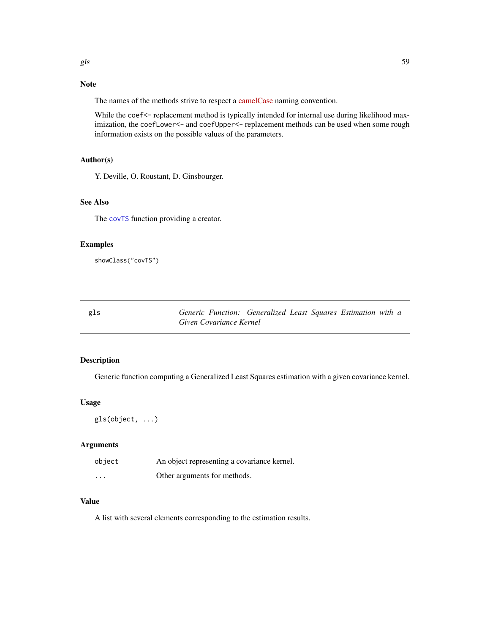# Note

The names of the methods strive to respect a [camelCase](https://en.wikipedia.org/wiki/CamelCase) naming convention.

While the coef<- replacement method is typically intended for internal use during likelihood maximization, the coefLower<- and coefUpper<- replacement methods can be used when some rough information exists on the possible values of the parameters.

### Author(s)

Y. Deville, O. Roustant, D. Ginsbourger.

## See Also

The [covTS](#page-54-0) function providing a creator.

### Examples

showClass("covTS")

gls *Generic Function: Generalized Least Squares Estimation with a Given Covariance Kernel*

## Description

Generic function computing a Generalized Least Squares estimation with a given covariance kernel.

#### Usage

gls(object, ...)

## Arguments

| object   | An object representing a covariance kernel. |
|----------|---------------------------------------------|
| $\cdots$ | Other arguments for methods.                |

## Value

A list with several elements corresponding to the estimation results.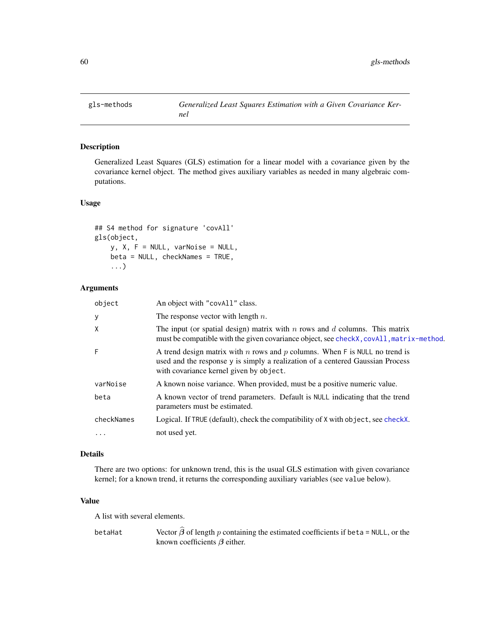Generalized Least Squares (GLS) estimation for a linear model with a covariance given by the covariance kernel object. The method gives auxiliary variables as needed in many algebraic computations.

## Usage

```
## S4 method for signature 'covAll'
gls(object,
    y, X, F = NULL, varNoise = NULL,
   beta = NULL, checkNames = TRUE,
    ...)
```
## Arguments

| An object with "covAll" class.                                                                                                                                                                           |
|----------------------------------------------------------------------------------------------------------------------------------------------------------------------------------------------------------|
| The response vector with length $n$ .                                                                                                                                                                    |
| The input (or spatial design) matrix with $n$ rows and $d$ columns. This matrix<br>must be compatible with the given covariance object, see checkX, covAll, matrix-method.                               |
| A trend design matrix with n rows and p columns. When F is NULL no trend is<br>used and the response y is simply a realization of a centered Gaussian Process<br>with covariance kernel given by object. |
| A known noise variance. When provided, must be a positive numeric value.                                                                                                                                 |
| A known vector of trend parameters. Default is NULL indicating that the trend<br>parameters must be estimated.                                                                                           |
| Logical. If TRUE (default), check the compatibility of X with object, see checkX.                                                                                                                        |
| not used yet.                                                                                                                                                                                            |
|                                                                                                                                                                                                          |

### Details

There are two options: for unknown trend, this is the usual GLS estimation with given covariance kernel; for a known trend, it returns the corresponding auxiliary variables (see value below).

## Value

A list with several elements.

betaHat Vector  $\widehat{\beta}$  of length p containing the estimated coefficients if beta = NULL, or the known coefficients  $\beta$  either.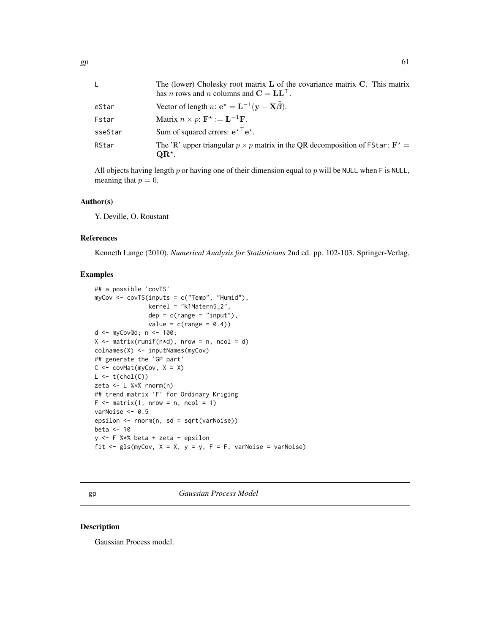| L.      | The (lower) Cholesky root matrix $L$ of the covariance matrix $C$ . This matrix<br>has <i>n</i> rows and <i>n</i> columns and $C = LL^\top$ . |
|---------|-----------------------------------------------------------------------------------------------------------------------------------------------|
| eStar   | Vector of length n: $e^* = L^{-1}(y - X\widehat{\beta}).$                                                                                     |
| Fstar   | Matrix $n \times p$ : $\mathbf{F}^* := \mathbf{L}^{-1} \mathbf{F}$ .                                                                          |
| sseStar | Sum of squared errors: $e^{*T}e^*$ .                                                                                                          |
| RStar   | The 'R' upper triangular $p \times p$ matrix in the QR decomposition of FStar: $\mathbf{F}^* =$<br>$QR^{\star}$ .                             |

All objects having length p or having one of their dimension equal to p will be NULL when F is NULL, meaning that  $p = 0$ .

### Author(s)

Y. Deville, O. Roustant

#### References

Kenneth Lange (2010), *Numerical Analysis for Statisticians* 2nd ed. pp. 102-103. Springer-Verlag,

#### Examples

```
## a possible 'covTS'
myCov <- covTS(inputs = c("Temp", "Humid"),
               kernel = "k1Matern5_2",
               dep = c(range = "input"),
               value = c(range = 0.4)d <- myCov@d; n <- 100;
X \le - matrix(runif(n*d), nrow = n, ncol = d)
colnames(X) <- inputNames(myCov)
## generate the 'GP part'
C \leq -\text{covMat}(\text{myCov}, X = X)L \leftarrow t(chol(C))zeta <- L %*% rnorm(n)
## trend matrix 'F' for Ordinary Kriging
F \le - matrix(1, nrow = n, ncol = 1)
varNoise <- 0.5
epsilon <- rnorm(n, sd = sqrt(varNoise))
beta <-10y <- F %*% beta + zeta + epsilon
fit \leq gls(myCov, X = X, y = y, F = F, varNoise = varNoise)
```
gp *Gaussian Process Model*

#### Description

Gaussian Process model.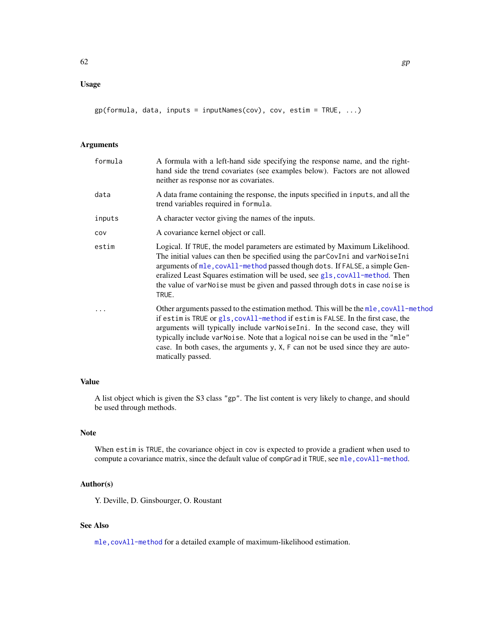# Usage

gp(formula, data, inputs = inputNames(cov), cov, estim = TRUE, ...)

# Arguments

| formula | A formula with a left-hand side specifying the response name, and the right-<br>hand side the trend covariates (see examples below). Factors are not allowed<br>neither as response nor as covariates.                                                                                                                                                                                                                                            |
|---------|---------------------------------------------------------------------------------------------------------------------------------------------------------------------------------------------------------------------------------------------------------------------------------------------------------------------------------------------------------------------------------------------------------------------------------------------------|
| data    | A data frame containing the response, the inputs specified in inputs, and all the<br>trend variables required in formula.                                                                                                                                                                                                                                                                                                                         |
| inputs  | A character vector giving the names of the inputs.                                                                                                                                                                                                                                                                                                                                                                                                |
| COV     | A covariance kernel object or call.                                                                                                                                                                                                                                                                                                                                                                                                               |
| estim   | Logical. If TRUE, the model parameters are estimated by Maximum Likelihood.<br>The initial values can then be specified using the parCovIni and varNoiseIni<br>arguments of mle, covAll-method passed though dots. If FALSE, a simple Gen-<br>eralized Least Squares estimation will be used, see gls, covAll-method. Then<br>the value of varNoise must be given and passed through dots in case noise is<br>TRUE.                               |
|         | Other arguments passed to the estimation method. This will be the mle, covall-method<br>if estim is TRUE or gls, covAll-method if estim is FALSE. In the first case, the<br>arguments will typically include varNoiseIni. In the second case, they will<br>typically include varNoise. Note that a logical noise can be used in the "mle"<br>case. In both cases, the arguments y, X, F can not be used since they are auto-<br>matically passed. |

## Value

A list object which is given the S3 class "gp". The list content is very likely to change, and should be used through methods.

#### Note

When estim is TRUE, the covariance object in cov is expected to provide a gradient when used to compute a covariance matrix, since the default value of compGrad it TRUE, see mle, covAll-method.

## Author(s)

Y. Deville, D. Ginsbourger, O. Roustant

# See Also

[mle,covAll-method](#page-0-0) for a detailed example of maximum-likelihood estimation.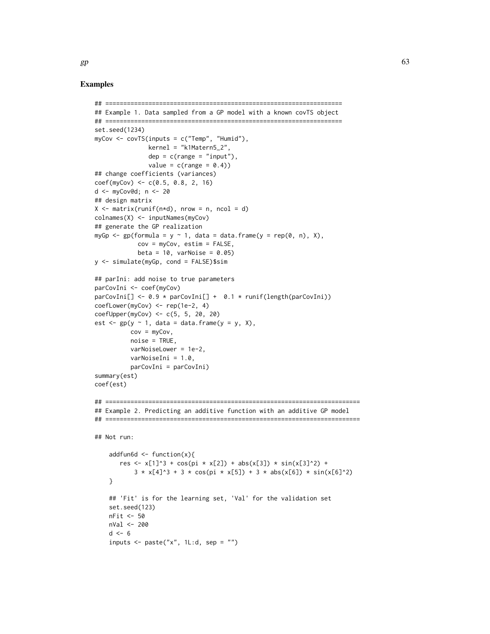### Examples

```
## ==================================================================
## Example 1. Data sampled from a GP model with a known covTS object
## ==================================================================
set.seed(1234)
myCov <- covTS(inputs = c("Temp", "Humid"),
               kernel = "k1Matern5_2",
               dep = c(range = "input"),
               value = c(range = 0.4)## change coefficients (variances)
coef(myCov) \leq c(0.5, 0.8, 2, 16)d <- myCov@d; n <- 20
## design matrix
X \leq matrix(runif(n*d), nrow = n, ncol = d)
colnames(X) <- inputNames(myCov)
## generate the GP realization
myGp \leq gp(formula = y \sim 1, data = data.frame(y = rep(0, n), X),
            cov = myCov, estim = FALSE,
            beta = 10, varNoise = 0.05)
y <- simulate(myGp, cond = FALSE)$sim
## parIni: add noise to true parameters
parCovIni <- coef(myCov)
parCovIni[] <- 0.9 * parCovIni[] + 0.1 * runif(length(parCovIni))
coefLower(myCov) <- rep(1e-2, 4)
coefUpper(myCov) <- c(5, 5, 20, 20)
est \leq gp(y \sim 1, data = data.frame(y = y, X),
          cov = myCov,
          noise = TRUE,
          varNoiseLower = 1e-2,
          varNoiseIni = 1.0,
          parCovIni = parCovIni)
summary(est)
coef(est)
## =======================================================================
## Example 2. Predicting an additive function with an additive GP model
## =======================================================================
## Not run:
    addfun6d \leq function(x){
       res <- x[1]^3 + cos(pi * x[2]) + abs(x[3]) * sin(x[3]^2) +
           3 \times x[4]<sup>2</sup> + 3 \times cos(pi \times x[5]) + 3 \times abs(x[6]) \times sin(x[6]<sup>2</sup>2)
    }
    ## 'Fit' is for the learning set, 'Val' for the validation set
    set.seed(123)
    nFit <- 50
    nVal <- 200
    d \leq -6inputs \leq paste("x", 1L:d, sep = "")
```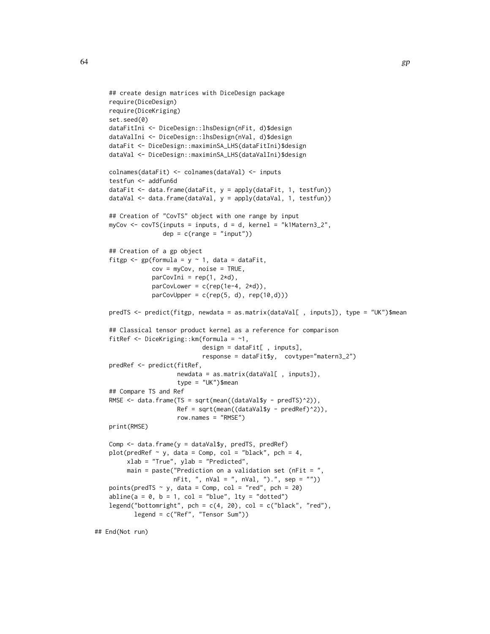```
## create design matrices with DiceDesign package
require(DiceDesign)
require(DiceKriging)
set.seed(0)
dataFitIni <- DiceDesign::lhsDesign(nFit, d)$design
dataValIni <- DiceDesign::lhsDesign(nVal, d)$design
dataFit <- DiceDesign::maximinSA_LHS(dataFitIni)$design
dataVal <- DiceDesign::maximinSA_LHS(dataValIni)$design
colnames(dataFit) <- colnames(dataVal) <- inputs
testfun <- addfun6d
dataFit <- data.frame(dataFit, y = apply(dataFit, 1, testfun))
dataVal <- data.frame(dataVal, y = apply(dataVal, 1, testfun))
## Creation of "CovTS" object with one range by input
myCov <- covTS(inputs = inputs, d = d, kernel = "k1Matern3_2",
               dep = c(range = "input")## Creation of a gp object
fitgp \leq gp(formula = y \sim 1, data = dataFit,
            cov = myCov, noise = TRUE,
            parCovIni = rep(1, 2*d),parCovLower = c(rep(1e-4, 2*d)),parCovUpper = c(rep(5, d), rep(10, d)))predTS <- predict(fitgp, newdata = as.matrix(dataVal[ , inputs]), type = "UK")$mean
## Classical tensor product kernel as a reference for comparison
fitRef <- DiceKriging::km(formula = ~1,
                          design = dataFit[ , inputs],
                          response = dataFit$y, covtype="matern3_2")
predRef <- predict(fitRef,
                   newdata = as.matrix(dataVal[ , inputs]),
                   type = "UK")$mean
## Compare TS and Ref
RMSE <- data.frame(TS = sqrt(mean((dataVal$y - predTS)^2)),
                   Ref = sqrt(mean((dataVal$y - predRef)^2)),
                   row.names = "RMSE")
print(RMSE)
Comp <- data.frame(y = dataVal$y, predTS, predRef)
plot(predRef \sim y, data = Comp, col = "black", pch = 4,
     xlab = "True", ylab = "Predicted",
     main = paste("Prediction on a validation set (nFit = ",
                  nFit, ", nVal = ", nVal, ").", sep = ""))
points(predTS \sim y, data = Comp, col = "red", pch = 20)
abline(a = 0, b = 1, col = "blue", lty = "dotted")legend("bottomright", pch = c(4, 20), col = c("black", "red"),legend = c("Ref", "Tensor Sum"))
```
## End(Not run)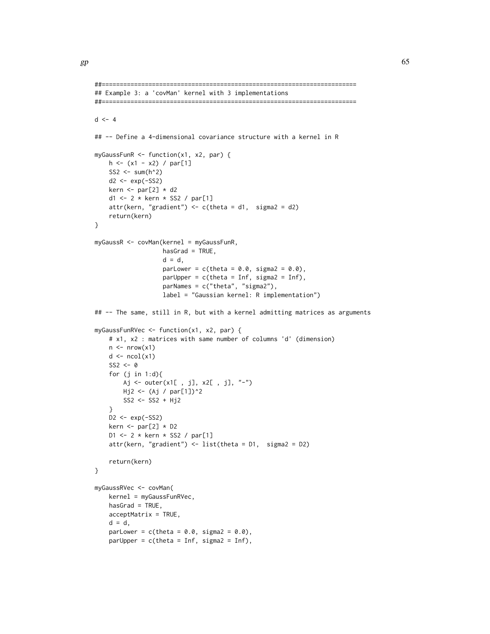```
##=======================================================================
## Example 3: a 'covMan' kernel with 3 implementations
##=======================================================================
d \le -4## -- Define a 4-dimensional covariance structure with a kernel in R
myGaussFunR <- function(x1, x2, par) {
    h \leftarrow (x1 - x2) / par[1]SS2 <- sum(h^2)
    d2 <- exp(-SS2)
    kern \le par[2] \star d2
    d1 <- 2 * kern * SS2 / par[1]
    attr(kern, "gradient") \leq c(theta = d1, sigma2 = d2)
    return(kern)
}
myGaussR <- covMan(kernel = myGaussFunR,
                   hasGrad = TRUE,
                    d = d,
                    parLower = c(theta = 0.0, sigma2 = 0.0),
                   parUpper = c(theta = Inf, sigma2 = Inf),
                    parNames = c("theta", "sigma2"),
                   label = "Gaussian kernel: R implementation")
## -- The same, still in R, but with a kernel admitting matrices as arguments
myGaussFunRVec <- function(x1, x2, par) {
    # x1, x2 : matrices with same number of columns 'd' (dimension)
    n \leq -nrow(x1)d \leftarrow \text{ncol}(x1)SS2 \leftarrow 0for (j in 1:d){
        Aj <- outer(x1[ , j], x2[ , j], "-")
        Hj2 \leftarrow (Aj / par[1])^2SS2 <- SS2 + Hj2
    }
    D2 \leq -exp(-SS2)kern \le par[2] \star D2
    D1 <- 2 * kern * SS2 / par[1]
    attr(kern, "gradient") <- list(theta = D1, sigma2 = D2)
    return(kern)
}
myGaussRVec <- covMan(
    kernel = myGaussFunRVec,
    hasGrad = TRUE,
    acceptMatrix = TRUE,d = d,
    parLower = c(theta = 0.0, sigma2 = 0.0),
    parUpper = c(theta = Inf, sigma2 = Inf),
```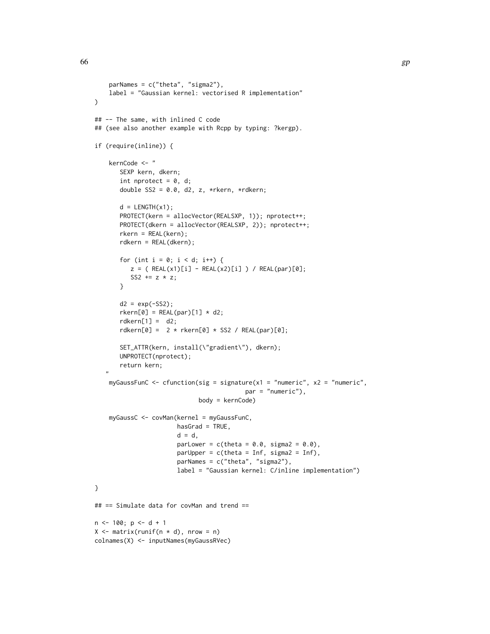```
parNames = c("theta", "sigma2"),
    label = "Gaussian kernel: vectorised R implementation"
)
## -- The same, with inlined C code
## (see also another example with Rcpp by typing: ?kergp).
if (require(inline)) {
    kernCode <- "
       SEXP kern, dkern;
       int nprotect = 0, d;
       double SS2 = 0.0, d2, z, *rkern, *rdkern;
       d = LENGTH(x1);PROTECT(kern = allocVector(REALSXP, 1)); nprotect++;
       PROTECT(dkern = allocVector(REALSXP, 2)); nprotect++;
       rkern = REAL(kern);
       rdkern = REAL(dkern);
       for (int i = 0; i < d; i++) {
          z = ( REAL(x1)[i] - REAL(x2)[i]) / REAL(par)[0];SS2 += z * z;
       }
       d2 = exp(-SS2);r \text{kern[0]} = \text{REAL(par)[1]} \times d2;rdkern[1] = d2;rdkern[0] = 2 * rkern[0] * SSS / REAL(par)[0];SET_ATTR(kern, install(\"gradient\"), dkern);
       UNPROTECT(nprotect);
       return kern;
   "
    myGaussFunC <- cfunction(sig = signature(x1 = "numeric", x2 = "numeric",
                                           par = "numeric"),
                             body = kernCode)
    myGaussC <- covMan(kernel = myGaussFunC,
                       hasGrad = TRUE,
                       d = d,
                       parLower = c(theta = 0.0, sigma2 = 0.0),
                       parUpper = c(theta = Inf, sigma2 = Inf),
                       parNames = c("theta", "sigma2"),
                       label = "Gaussian kernel: C/inline implementation")
}
## == Simulate data for covMan and trend ==
n < -100; p < -d + 1X \leq - matrix(runif(n * d), nrow = n)
colnames(X) <- inputNames(myGaussRVec)
```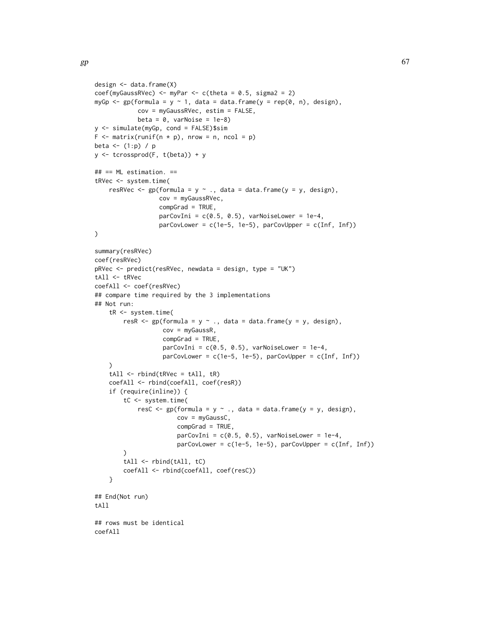```
design <- data.frame(X)
coef(myGaussRVec) <- myPar <- c(theta = 0.5, sigma2 = 2)myGp \leq gp(formula = y \leq 1, data = data.frame(y = rep(0, n), design),
            cov = myGaussRVec, estim = FALSE,
            beta = 0, varNoise = 1e-8)
y <- simulate(myGp, cond = FALSE)$sim
F \leq - matrix(runif(n * p), nrow = n, ncol = p)
beta \leftarrow (1:p) / p
y <- tcrossprod(F, t(beta)) + y
## == ML estimation. ==
tRVec <- system.time(
    resRVec <- gp(formula = y \sim ., data = data-frame(y = y, design),cov = myGaussRVec,
                   compGrad = TRUE,
                   parCovIni = c(0.5, 0.5), varNoiseLower = 1e-4,
                   parCovLower = c(1e-5, 1e-5), parCovUpper = c(Inf, Inf))
\mathcal{L}summary(resRVec)
coef(resRVec)
pRVec <- predict(resRVec, newdata = design, type = "UK")
tAll <- tRVec
coefAll <- coef(resRVec)
## compare time required by the 3 implementations
## Not run:
    tR <- system.time(
        resR \leq gp(formula = y \sim ., data = data.frame(y = y, design),
                    cov = myGaussR,
                    compGrad = TRUE,
                    parCovIni = c(0.5, 0.5), varNoiseLower = 1e-4,
                    parCovLower = c(1e-5, 1e-5), parCovUpper = c(Inf, Inf))\lambdatAll \leftarrow \text{rbind}(tRVec = tAll, tR)coefAll <- rbind(coefAll, coef(resR))
    if (require(inline)) {
        tC <- system.time(
            resC <- gp( formula = y \sim ., data = data.frame(y = y, design),
                        cov = myGaussC,
                        compGrad = TRUE,
                        parCovIni = c(0.5, 0.5), varNoiseLower = 1e-4,
                        parCovLower = c(1e-5, 1e-5), parCovUpper = c(Inf, Inf))
        \lambdatAll <- rbind(tAll, tC)
        coefAll <- rbind(coefAll, coef(resC))
    }
## End(Not run)
tAll
## rows must be identical
coefAll
```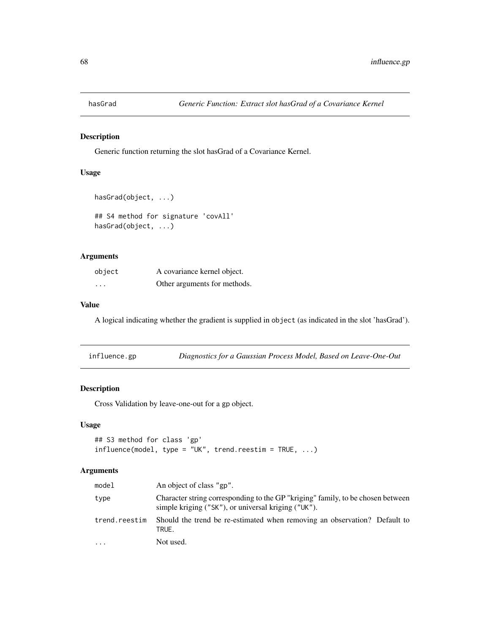Generic function returning the slot hasGrad of a Covariance Kernel.

## Usage

```
hasGrad(object, ...)
```

```
## S4 method for signature 'covAll'
hasGrad(object, ...)
```
## Arguments

| object                  | A covariance kernel object.  |
|-------------------------|------------------------------|
| $\cdot$ $\cdot$ $\cdot$ | Other arguments for methods. |

## Value

A logical indicating whether the gradient is supplied in object (as indicated in the slot 'hasGrad').

| influence.gp | Diagnostics for a Gaussian Process Model, Based on Leave-One-Out |  |
|--------------|------------------------------------------------------------------|--|
|--------------|------------------------------------------------------------------|--|

## Description

Cross Validation by leave-one-out for a gp object.

### Usage

```
## S3 method for class 'gp'
influence(model, type = "UK", trend.reestim = TRUE, ...)
```
## Arguments

| model         | An object of class "gp".                                                                                                               |  |
|---------------|----------------------------------------------------------------------------------------------------------------------------------------|--|
| type          | Character string corresponding to the GP "kriging" family, to be chosen between<br>simple kriging ("SK"), or universal kriging ("UK"). |  |
| trend.reestim | Should the trend be re-estimated when removing an observation? Default to<br>TRUE.                                                     |  |
| $\cdots$      | Not used.                                                                                                                              |  |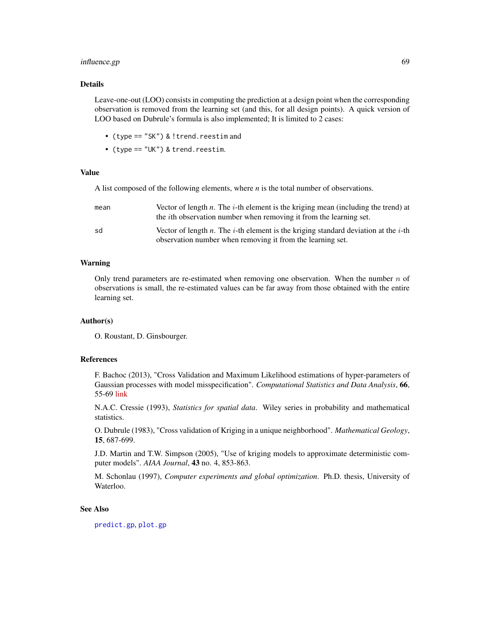## influence.gp 69

## Details

Leave-one-out (LOO) consists in computing the prediction at a design point when the corresponding observation is removed from the learning set (and this, for all design points). A quick version of LOO based on Dubrule's formula is also implemented; It is limited to 2 cases:

- (type == "SK") & !trend.reestim and
- (type == "UK") & trend.reestim.

### Value

A list composed of the following elements, where *n* is the total number of observations.

| mean | Vector of length $n$ . The <i>i</i> -th element is the kriging mean (including the trend) at<br>the <i>i</i> th observation number when removing it from the learning set. |
|------|----------------------------------------------------------------------------------------------------------------------------------------------------------------------------|
| sd   | Vector of length <i>n</i> . The <i>i</i> -th element is the kriging standard deviation at the <i>i</i> -th<br>observation number when removing it from the learning set.   |

### Warning

Only trend parameters are re-estimated when removing one observation. When the number  $n$  of observations is small, the re-estimated values can be far away from those obtained with the entire learning set.

#### Author(s)

O. Roustant, D. Ginsbourger.

### References

F. Bachoc (2013), "Cross Validation and Maximum Likelihood estimations of hyper-parameters of Gaussian processes with model misspecification". *Computational Statistics and Data Analysis*, 66, 55-69 [link](https://www.sciencedirect.com/science/article/pii/S0167947313001187)

N.A.C. Cressie (1993), *Statistics for spatial data*. Wiley series in probability and mathematical statistics.

O. Dubrule (1983), "Cross validation of Kriging in a unique neighborhood". *Mathematical Geology*, 15, 687-699.

J.D. Martin and T.W. Simpson (2005), "Use of kriging models to approximate deterministic computer models". *AIAA Journal*, 43 no. 4, 853-863.

M. Schonlau (1997), *Computer experiments and global optimization*. Ph.D. thesis, University of Waterloo.

### See Also

[predict.gp](#page-90-0), [plot.gp](#page-88-0)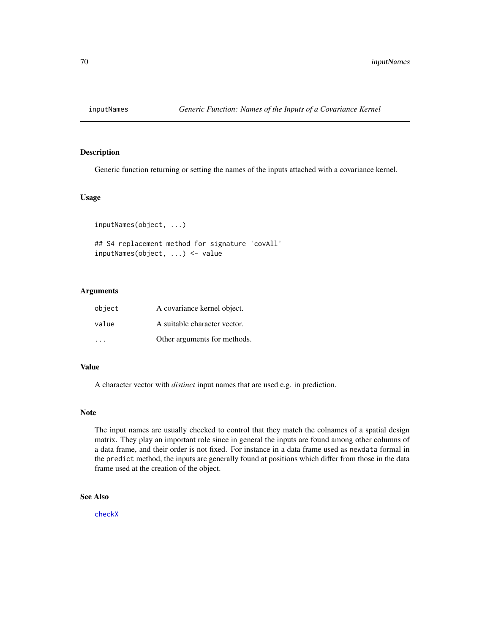Generic function returning or setting the names of the inputs attached with a covariance kernel.

## Usage

```
inputNames(object, ...)
```

```
## S4 replacement method for signature 'covAll'
inputNames(object, ...) <- value
```
## Arguments

| object | A covariance kernel object.  |
|--------|------------------------------|
| value  | A suitable character vector. |
|        | Other arguments for methods. |

### Value

A character vector with *distinct* input names that are used e.g. in prediction.

#### Note

The input names are usually checked to control that they match the colnames of a spatial design matrix. They play an important role since in general the inputs are found among other columns of a data frame, and their order is not fixed. For instance in a data frame used as newdata formal in the predict method, the inputs are generally found at positions which differ from those in the data frame used at the creation of the object.

### See Also

[checkX](#page-10-0)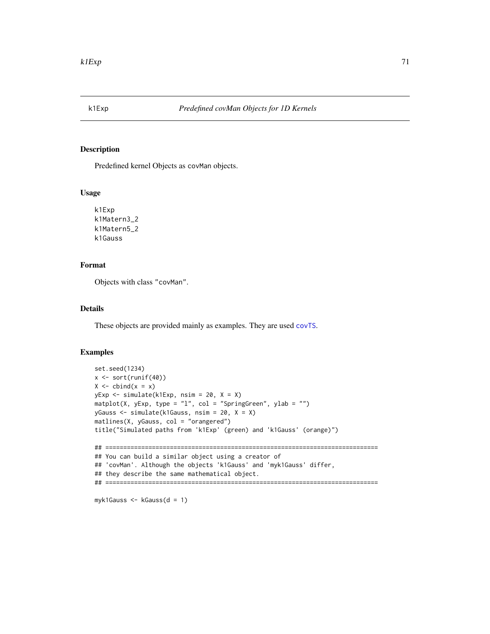Predefined kernel Objects as covMan objects.

#### Usage

k1Exp k1Matern3\_2 k1Matern5\_2 k1Gauss

## Format

Objects with class "covMan".

## Details

These objects are provided mainly as examples. They are used [covTS](#page-54-0).

## Examples

```
set.seed(1234)
x <- sort(runif(40))
X \leftarrow \text{cbind}(x = x)yExp <- simulate(k1Exp, nsim = 20, X = X)
matplot(X, yExp, type = "l", col = "SpringGreen", ylab = "")
yGauss <- simulate(k1Gauss, nsim = 20, X = X)
matlines(X, yGauss, col = "orangered")
title("Simulated paths from 'k1Exp' (green) and 'k1Gauss' (orange)")
## ============================================================================
## You can build a similar object using a creator of
## 'covMan'. Although the objects 'k1Gauss' and 'myk1Gauss' differ,
## they describe the same mathematical object.
## ============================================================================
```
myk1Gauss <- kGauss(d = 1)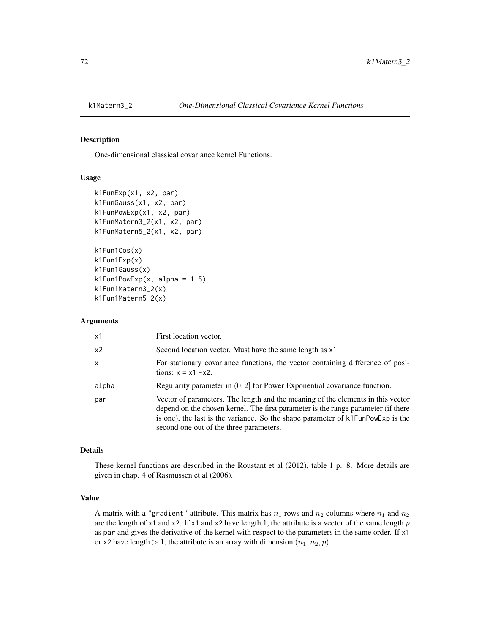<span id="page-71-0"></span>

One-dimensional classical covariance kernel Functions.

#### Usage

```
k1FunExp(x1, x2, par)
k1FunGauss(x1, x2, par)
k1FunPowExp(x1, x2, par)
k1FunMatern3_2(x1, x2, par)
k1FunMatern5_2(x1, x2, par)
k1Fun1Cos(x)
k1Fun1Exp(x)
k1Fun1Gauss(x)
k1Fun1PowExp(x, alpha = 1.5)k1Fun1Matern3_2(x)
k1Fun1Matern5_2(x)
```
### Arguments

| x1           | First location vector.                                                                                                                                                                                                                                                                             |
|--------------|----------------------------------------------------------------------------------------------------------------------------------------------------------------------------------------------------------------------------------------------------------------------------------------------------|
| x2           | Second location vector. Must have the same length as x1.                                                                                                                                                                                                                                           |
| $\mathsf{x}$ | For stationary covariance functions, the vector containing difference of posi-<br>tions: $x = x1 - x2$ .                                                                                                                                                                                           |
| alpha        | Regularity parameter in $(0, 2]$ for Power Exponential covariance function.                                                                                                                                                                                                                        |
| par          | Vector of parameters. The length and the meaning of the elements in this vector<br>depend on the chosen kernel. The first parameter is the range parameter (if there<br>is one), the last is the variance. So the shape parameter of k1FunPowExp is the<br>second one out of the three parameters. |

### Details

These kernel functions are described in the Roustant et al (2012), table 1 p. 8. More details are given in chap. 4 of Rasmussen et al (2006).

## Value

A matrix with a "gradient" attribute. This matrix has  $n_1$  rows and  $n_2$  columns where  $n_1$  and  $n_2$ are the length of  $x1$  and  $x2$ . If  $x1$  and  $x2$  have length 1, the attribute is a vector of the same length p as par and gives the derivative of the kernel with respect to the parameters in the same order. If x1 or x2 have length  $> 1$ , the attribute is an array with dimension  $(n_1, n_2, p)$ .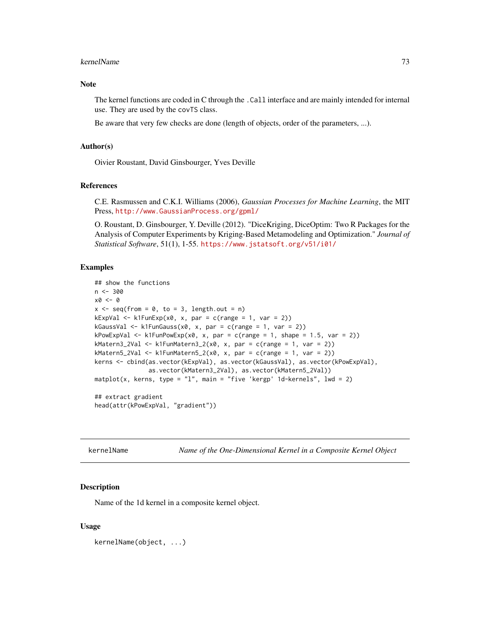#### kernelName 73

#### Note

The kernel functions are coded in C through the .Call interface and are mainly intended for internal use. They are used by the covTS class.

Be aware that very few checks are done (length of objects, order of the parameters, ...).

#### Author(s)

Oivier Roustant, David Ginsbourger, Yves Deville

#### References

C.E. Rasmussen and C.K.I. Williams (2006), *Gaussian Processes for Machine Learning*, the MIT Press, <http://www.GaussianProcess.org/gpml/>

O. Roustant, D. Ginsbourger, Y. Deville (2012). "DiceKriging, DiceOptim: Two R Packages for the Analysis of Computer Experiments by Kriging-Based Metamodeling and Optimization." *Journal of Statistical Software*, 51(1), 1-55. <https://www.jstatsoft.org/v51/i01/>

## Examples

```
## show the functions
n < -300x0 \leftarrow 0x \leq - seq(from = 0, to = 3, length.out = n)
kExpVal \leq k1FunExp(x0, x, par = c(range = 1, var = 2))kGaussVal \leftarrow k1FunGauss(x0, x, par = c(range = 1, var = 2))kPowExpVal \leq k1FunPowExp(x0, x, par = c(range = 1, shape = 1.5, var = 2))kMatern3_2Val <- k1FunMatern3_2(x0, x, par = c(range = 1, var = 2))
kMatern5_2Val <- k1FunMatern5_2(x0, x, par = c(range = 1, var = 2))
kerns <- cbind(as.vector(kExpVal), as.vector(kGaussVal), as.vector(kPowExpVal),
               as.vector(kMatern3_2Val), as.vector(kMatern5_2Val))
mathot(x, kerns, type = "l", main = "five 'kergp' 1d-kernels", lwd = 2)## extract gradient
head(attr(kPowExpVal, "gradient"))
```
kernelName *Name of the One-Dimensional Kernel in a Composite Kernel Object*

#### **Description**

Name of the 1d kernel in a composite kernel object.

#### Usage

kernelName(object, ...)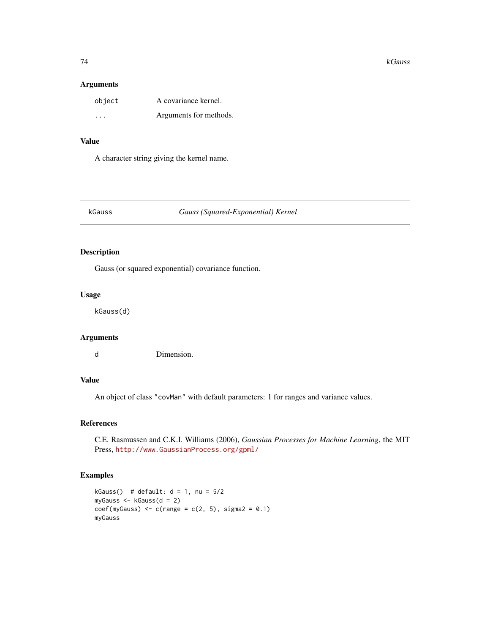#### 74 kGauss

#### Arguments

| object  | A covariance kernel.   |
|---------|------------------------|
| $\cdot$ | Arguments for methods. |

# Value

A character string giving the kernel name.

# kGauss *Gauss (Squared-Exponential) Kernel*

# Description

Gauss (or squared exponential) covariance function.

# Usage

kGauss(d)

# Arguments

d Dimension.

## Value

An object of class "covMan" with default parameters: 1 for ranges and variance values.

# References

C.E. Rasmussen and C.K.I. Williams (2006), *Gaussian Processes for Machine Learning*, the MIT Press, <http://www.GaussianProcess.org/gpml/>

# Examples

```
kGauss() # default: d = 1, nu = 5/2myGauss <- kGauss(d = 2)
coef(myGauss) < -c(range = c(2, 5), sigma2 = 0.1)myGauss
```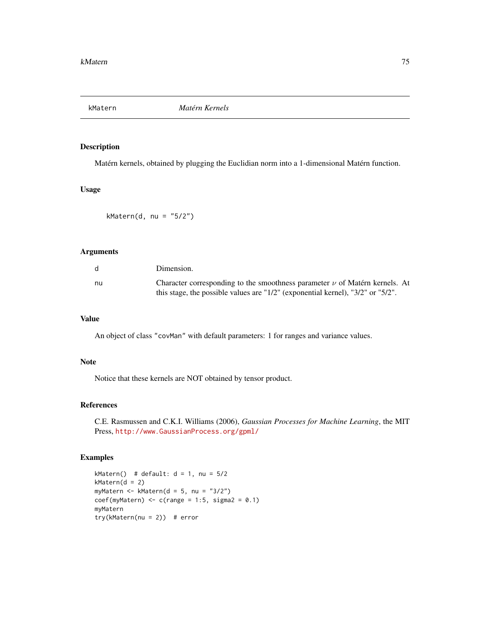# Description

Matérn kernels, obtained by plugging the Euclidian norm into a 1-dimensional Matérn function.

# Usage

```
kMatern(d, nu = "5/2")
```
# Arguments

|    | Dimension.                                                                                  |
|----|---------------------------------------------------------------------------------------------|
| nu | Character corresponding to the smoothness parameter $\nu$ of Matérn kernels. At             |
|    | this stage, the possible values are " $1/2$ " (exponential kernel), " $3/2$ " or " $5/2$ ". |

#### Value

An object of class "covMan" with default parameters: 1 for ranges and variance values.

#### Note

Notice that these kernels are NOT obtained by tensor product.

# References

C.E. Rasmussen and C.K.I. Williams (2006), *Gaussian Processes for Machine Learning*, the MIT Press, <http://www.GaussianProcess.org/gpml/>

# Examples

kMatern() # default:  $d = 1$ , nu =  $5/2$  $kMatern(d = 2)$ myMatern <- kMatern(d = 5, nu = "3/2")  $coef(myMaterial) \leq c(range = 1:5, sigma2 = 0.1)$ myMatern  $try(kMatern(nu = 2))$  # error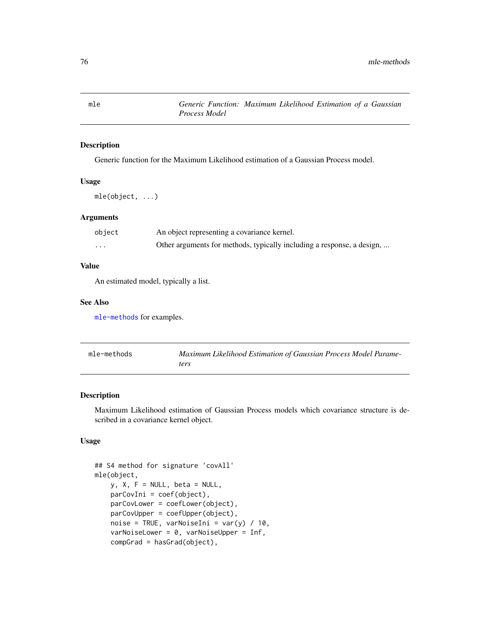mle *Generic Function: Maximum Likelihood Estimation of a Gaussian Process Model*

# Description

Generic function for the Maximum Likelihood estimation of a Gaussian Process model.

#### Usage

mle(object, ...)

# Arguments

| object   | An object representing a covariance kernel.                            |
|----------|------------------------------------------------------------------------|
| $\cdots$ | Other arguments for methods, typically including a response, a design, |

## Value

An estimated model, typically a list.

#### See Also

[mle-methods](#page-75-0) for examples.

<span id="page-75-0"></span>

| mle-methods | Maximum Likelihood Estimation of Gaussian Process Model Parame- |
|-------------|-----------------------------------------------------------------|
|             | ters                                                            |

## Description

Maximum Likelihood estimation of Gaussian Process models which covariance structure is described in a covariance kernel object.

# Usage

```
## S4 method for signature 'covAll'
mle(object,
   y, X, F = NULL, beta = NULL,
   parCovIni = coef(object),
   parCovLower = coefLower(object),
   parCovUpper = coefUpper(object),
   noise = TRUE, varNoiseIni = var(y) / 10,
   varNoiseLower = 0, varNoiseUpper = Inf,
   compGrad = hasGrad(object),
```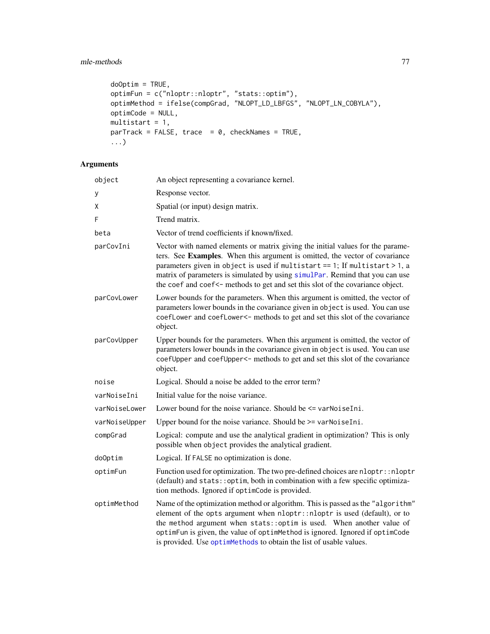# mle-methods 77

```
do0ptim = TRUE,
optimFun = c("nloptr::nloptr", "stats::optim"),
optimMethod = ifelse(compGrad, "NLOPT_LD_LBFGS", "NLOPT_LN_COBYLA"),
optimCode = NULL,
multistart = 1,
parTrack = FALSE, trace = 0, checkNames = TRUE,...)
```
# Arguments

| object        | An object representing a covariance kernel.                                                                                                                                                                                                                                                                                                                                                                    |
|---------------|----------------------------------------------------------------------------------------------------------------------------------------------------------------------------------------------------------------------------------------------------------------------------------------------------------------------------------------------------------------------------------------------------------------|
| y             | Response vector.                                                                                                                                                                                                                                                                                                                                                                                               |
| Χ             | Spatial (or input) design matrix.                                                                                                                                                                                                                                                                                                                                                                              |
| F             | Trend matrix.                                                                                                                                                                                                                                                                                                                                                                                                  |
| beta          | Vector of trend coefficients if known/fixed.                                                                                                                                                                                                                                                                                                                                                                   |
| parCovIni     | Vector with named elements or matrix giving the initial values for the parame-<br>ters. See Examples. When this argument is omitted, the vector of covariance<br>parameters given in object is used if multistart == 1; If multistart > 1, a<br>matrix of parameters is simulated by using simulPar. Remind that you can use<br>the coef and coef<- methods to get and set this slot of the covariance object. |
| parCovLower   | Lower bounds for the parameters. When this argument is omitted, the vector of<br>parameters lower bounds in the covariance given in object is used. You can use<br>coefLower and coefLower<- methods to get and set this slot of the covariance<br>object.                                                                                                                                                     |
| parCovUpper   | Upper bounds for the parameters. When this argument is omitted, the vector of<br>parameters lower bounds in the covariance given in object is used. You can use<br>coefUpper and coefUpper<- methods to get and set this slot of the covariance<br>object.                                                                                                                                                     |
| noise         | Logical. Should a noise be added to the error term?                                                                                                                                                                                                                                                                                                                                                            |
| varNoiseIni   | Initial value for the noise variance.                                                                                                                                                                                                                                                                                                                                                                          |
| varNoiseLower | Lower bound for the noise variance. Should be <= varNoiseIni.                                                                                                                                                                                                                                                                                                                                                  |
| varNoiseUpper | Upper bound for the noise variance. Should be >= varNoiseIni.                                                                                                                                                                                                                                                                                                                                                  |
| compGrad      | Logical: compute and use the analytical gradient in optimization? This is only<br>possible when object provides the analytical gradient.                                                                                                                                                                                                                                                                       |
| doOptim       | Logical. If FALSE no optimization is done.                                                                                                                                                                                                                                                                                                                                                                     |
| optimFun      | Function used for optimization. The two pre-defined choices are nloptr:: nloptr<br>(default) and stats:: optim, both in combination with a few specific optimiza-<br>tion methods. Ignored if optimCode is provided.                                                                                                                                                                                           |
| optimMethod   | Name of the optimization method or algorithm. This is passed as the "algorithm"<br>element of the opts argument when nloptr::nloptr is used (default), or to<br>the method argument when stats:: optim is used. When another value of<br>optimFun is given, the value of optimMethod is ignored. Ignored if optimCode<br>is provided. Use optimMethods to obtain the list of usable values.                    |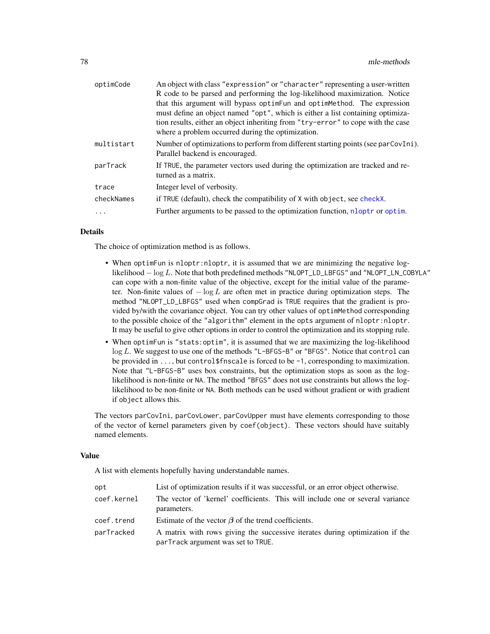| optimCode  | An object with class "expression" or "character" representing a user-written       |
|------------|------------------------------------------------------------------------------------|
|            | R code to be parsed and performing the log-likelihood maximization. Notice         |
|            | that this argument will bypass optimFun and optimMethod. The expression            |
|            | must define an object named "opt", which is either a list containing optimiza-     |
|            | tion results, either an object inheriting from "try-error" to cope with the case   |
|            | where a problem occurred during the optimization.                                  |
| multistart | Number of optimizations to perform from different starting points (see parCovIni). |
|            | Parallel backend is encouraged.                                                    |
| parTrack   | If TRUE, the parameter vectors used during the optimization are tracked and re-    |
|            | turned as a matrix.                                                                |
| trace      | Integer level of verbosity.                                                        |
| checkNames | if TRUE (default), check the compatibility of X with object, see checkX.           |
|            | Further arguments to be passed to the optimization function, nloptr or optim.      |
|            |                                                                                    |

## Details

The choice of optimization method is as follows.

- When optimFun is nloptr:nloptr, it is assumed that we are minimizing the negative loglikelihood − log L. Note that both predefined methods "NLOPT\_LD\_LBFGS" and "NLOPT\_LN\_COBYLA" can cope with a non-finite value of the objective, except for the initial value of the parameter. Non-finite values of  $-\log L$  are often met in practice during optimization steps. The method "NLOPT\_LD\_LBFGS" used when compGrad is TRUE requires that the gradient is provided by/with the covariance object. You can try other values of optimMethod corresponding to the possible choice of the "algorithm" element in the opts argument of nloptr:nloptr. It may be useful to give other options in order to control the optimization and its stopping rule.
- When optimFun is "stats:optim", it is assumed that we are maximizing the log-likelihood log L. We suggest to use one of the methods "L-BFGS-B" or "BFGS". Notice that control can be provided in  $\dots$ , but control\$fnscale is forced to be -1, corresponding to maximization. Note that "L-BFGS-B" uses box constraints, but the optimization stops as soon as the loglikelihood is non-finite or NA. The method "BFGS" does not use constraints but allows the loglikelihood to be non-finite or NA. Both methods can be used without gradient or with gradient if object allows this.

The vectors parCovIni, parCovLower, parCovUpper must have elements corresponding to those of the vector of kernel parameters given by coef(object). These vectors should have suitably named elements.

#### Value

A list with elements hopefully having understandable names.

| opt         | List of optimization results if it was successful, or an error object otherwise.                                   |
|-------------|--------------------------------------------------------------------------------------------------------------------|
| coef.kernel | The vector of 'kernel' coefficients. This will include one or several variance<br>parameters.                      |
| coef.trend  | Estimate of the vector $\beta$ of the trend coefficients.                                                          |
| parTracked  | A matrix with rows giving the successive iterates during optimization if the<br>parTrack argument was set to TRUE. |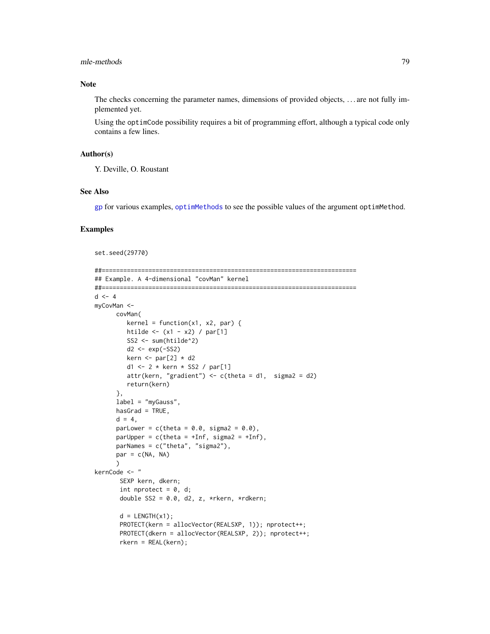#### mle-methods 79

# Note

The checks concerning the parameter names, dimensions of provided objects, . . . are not fully implemented yet.

Using the optimCode possibility requires a bit of programming effort, although a typical code only contains a few lines.

## Author(s)

Y. Deville, O. Roustant

# See Also

[gp](#page-60-0) for various examples, [optimMethods](#page-82-0) to see the possible values of the argument optimMethod.

# Examples

```
set.seed(29770)
```

```
##=======================================================================
## Example. A 4-dimensional "covMan" kernel
##=======================================================================
d \leq -4myCovMan <-
     covMan(
        kernel = function(x1, x2, par) {
        htilde \leftarrow (x1 - x2) / par[1]
        SS2 <- sum(htilde^2)
        d2 <- exp(-SS2)
        kern \le par[2] \star d2
        d1 <- 2 * kern * SS2 / par[1]
        attr(kern, "gradient") <- c(theta = d1, sigma2 = d2)
        return(kern)
      },
      label = "myGauss",
      hasGrad = TRUE,
      d = 4,
      parLower = c(theta = 0.0, sigma2 = 0.0),
      parUpper = c(theta = +Inf, sigma2 = +Inf),
      parNames = c("theta", "sigma2"),
      par = c(NA, NA))
kernCode <- "
       SEXP kern, dkern;
       int nprotect = 0, d;
       double SS2 = 0.0, d2, z, *rkern, *rdkern;
       d = LENGTH(x1);
       PROTECT(kern = allocVector(REALSXP, 1)); nprotect++;
       PROTECT(dkern = allocVector(REALSXP, 2)); nprotect++;
       rkern = REAL(kern);
```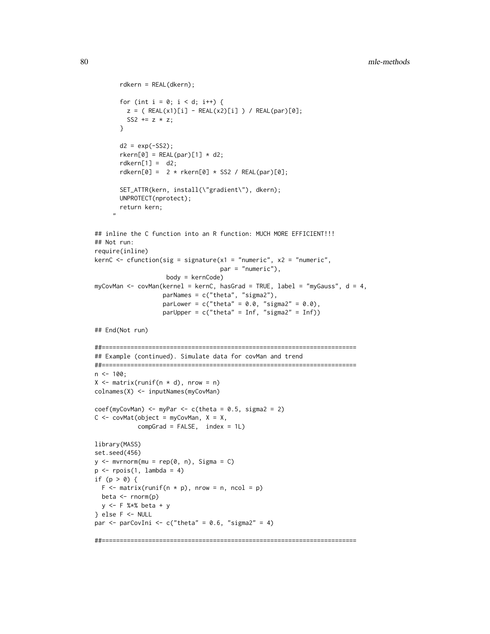```
rdkern = REAL(dkern);
       for (int i = 0; i < d; i++) {
        z = ( REAL(x1)[i] - REAL(x2)[i]) / REAL(par)[0];SS2 += z * z;}
       d2 = exp(-SS2);r \text{kern[0]} = \text{REAL(par)[1]} \times d2;rdkern[1] = d2;rdkern[0] = 2 * rken[0] * SSS / REAL(par)[0];SET_ATTR(kern, install(\"gradient\"), dkern);
       UNPROTECT(nprotect);
      return kern;
     "
## inline the C function into an R function: MUCH MORE EFFICIENT!!!
## Not run:
require(inline)
kernC <- cfunction(sig = signature(x1 = "numeric", x2 = "numeric",
                                    par = "numeric"),
                    body = kernCode)
myCovMan <- covMan(kernel = kernC, hasGrad = TRUE, label = "myGauss", d = 4,
                   parNames = c("theta", "sigma2"),
                   parLower = c("theta" = 0.0, "sigma2" = 0.0),parUpper = c("theta" = Inf, "sigma2" = Inf)## End(Not run)
##=======================================================================
## Example (continued). Simulate data for covMan and trend
##=======================================================================
n < -100;
X \leq - matrix(runif(n * d), nrow = n)
colnames(X) <- inputNames(myCovMan)
coef(myCovMan) \leq myPar \leq c(theta = 0.5, sigma2 = 2)C \leq covMat(object = myCovMan, X = X,
            compGrad = FALSE, index = 1L)
library(MASS)
set.seed(456)
y \le - mvrnorm(mu = rep(0, n), Sigma = C)
p \leftarrow \text{rpois}(1, \text{lambda} = 4)if (p > 0) {
 F \leq - matrix(runif(n * p), nrow = n, ncol = p)
 beta \leq rnorm(p)
 y <- F %*% beta + y
} else F <- NULL
par \le parCovIni \le c("theta" = 0.6, "sigma2" = 4)
```
##=======================================================================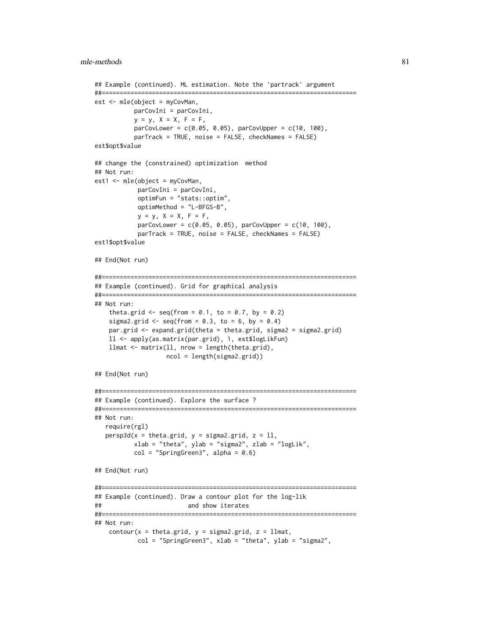```
## Example (continued). ML estimation. Note the 'partrack' argument
##=======================================================================
est <- mle(object = myCovMan,
           parCovIni = parCovIni,
           y = y, X = X, F = F,
           parCovLower = c(0.05, 0.05), parCovUpper = c(10, 100),
           parTrack = TRUE, noise = FALSE, checkNames = FALSE)
est$opt$value
## change the (constrained) optimization method
## Not run:
est1 <- mle(object = myCovMan,
            parCovIni = parCovIni,
            optimFun = "stats::optim",
            optimMethod = "L-BFGS-B",
            y = y, X = X, F = F,
            parCovLower = c(0.05, 0.05), parCovUpper = c(10, 100),
            parTrack = TRUE, noise = FALSE, checkNames = FALSE)
est1$opt$value
## End(Not run)
##=======================================================================
## Example (continued). Grid for graphical analysis
##=======================================================================
## Not run:
   theta.grid \leq seq(from = 0.1, to = 0.7, by = 0.2)
   sigma2.grid \leq seq(from = 0.3, to = 6, by = 0.4)
   par.grid <- expand.grid(theta = theta.grid, sigma2 = sigma2.grid)
   ll <- apply(as.matrix(par.grid), 1, est$logLikFun)
   llmat <- matrix(ll, nrow = length(theta.grid),
                    ncol = length(sigma2.grid))
## End(Not run)
##=======================================================================
## Example (continued). Explore the surface ?
##=======================================================================
## Not run:
  require(rgl)
  persp3d(x = theta.grid, y = sigma2.grid, z = 11,xlab = "theta", ylab = "sigma2", zlab = "logLik",
           col = "SpringGreen3", alpha = 0.6)## End(Not run)
##=======================================================================
## Example (continued). Draw a contour plot for the log-lik
## and show iterates
##=======================================================================
## Not run:
    contour(x = \text{theta}, y = \text{sigma2}, \text{grid}, z = \text{llmat},col = "SpringGreen3", xlab = "theta", ylab = "sigma2",
```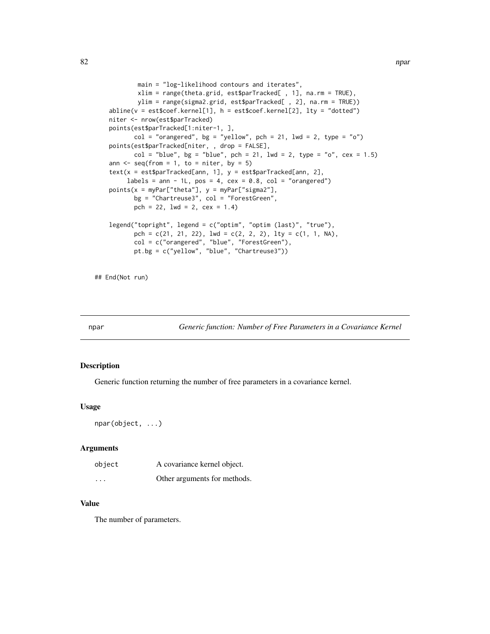```
main = "log-likelihood contours and iterates",
        xlim = range(theta.grid, est$parTracked[ , 1], na.rm = TRUE),
        ylim = range(sigma2.grid, est$parTracked[ , 2], na.rm = TRUE))
abline(v = estscoref.kernel[1], h = estscoref.kernel[2], lty = "dotted")niter <- nrow(est$parTracked)
points(est$parTracked[1:niter-1, ],
       col = "orangered", bg = "yellow", pch = 21, lwd = 2, type = "o")points(est$parTracked[niter, , drop = FALSE],
      col = "blue", bg = "blue", pch = 21, lwd = 2, type = "o", cex = 1.5)ann \leq seq(from = 1, to = niter, by = 5)
text(x = est$parTracked[ann, 1], y = est$parTracked[ann, 2],labels = ann - 1L, pos = 4, cex = 0.8, col = "orangered")
points(x = myPar["theta"], y = myPar["sigma2"],
       bg = "Chartreuse3", col = "ForestGreen",
      pch = 22, 1wd = 2, cex = 1.4)
legend("topright", legend = c("optim", "optim (last)", "true"),
       pch = c(21, 21, 22), lwd = c(2, 2, 2), lty = c(1, 1, NA),
       col = c("orangered", "blue", "ForestGreen"),
       pt.bg = c("yellow", "blue", "Chartreuse3"))
```
## End(Not run)

npar *Generic function: Number of Free Parameters in a Covariance Kernel*

#### Description

Generic function returning the number of free parameters in a covariance kernel.

#### Usage

npar(object, ...)

## Arguments

| object   | A covariance kernel object.  |
|----------|------------------------------|
| $\cdots$ | Other arguments for methods. |

# Value

The number of parameters.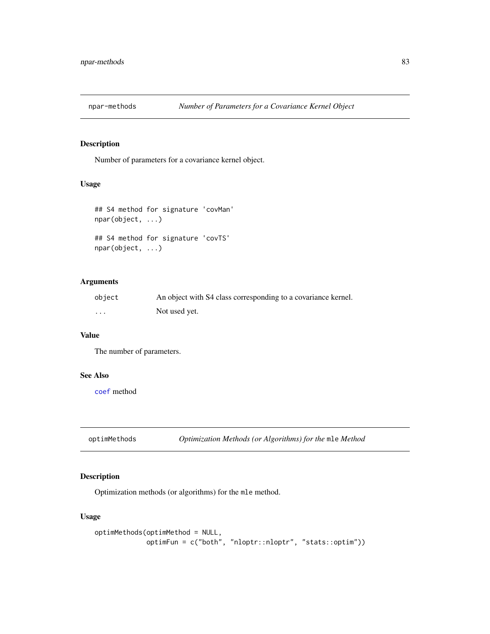# Description

Number of parameters for a covariance kernel object.

# Usage

```
## S4 method for signature 'covMan'
npar(object, ...)
## S4 method for signature 'covTS'
npar(object, ...)
```
# Arguments

| object | An object with S4 class corresponding to a covariance kernel. |
|--------|---------------------------------------------------------------|
| .      | Not used yet.                                                 |

# Value

The number of parameters.

# See Also

[coef](#page-0-0) method

<span id="page-82-0"></span>optimMethods *Optimization Methods (or Algorithms) for the* mle *Method*

# **Description**

Optimization methods (or algorithms) for the mle method.

# Usage

```
optimMethods(optimMethod = NULL,
            optimFun = c("both", "nloptr::nloptr", "stats::optim"))
```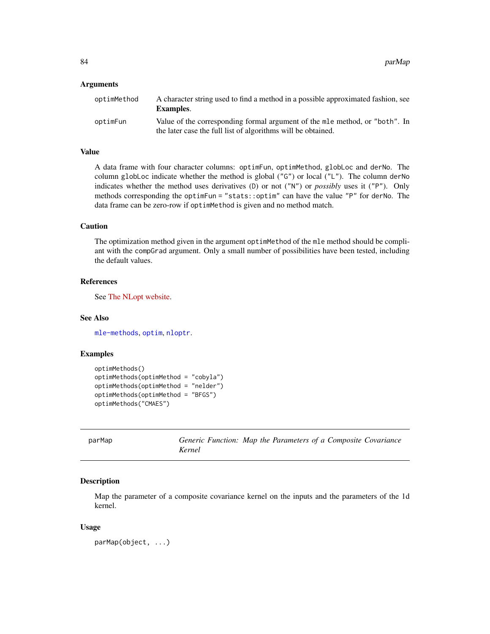#### Arguments

| optimMethod | A character string used to find a method in a possible approximated fashion, see<br><b>Examples.</b> |
|-------------|------------------------------------------------------------------------------------------------------|
| optimFun    | Value of the corresponding formal argument of the mle method, or "both". In                          |
|             | the later case the full list of algorithms will be obtained.                                         |

#### Value

A data frame with four character columns: optimFun, optimMethod, globLoc and derNo. The column globLoc indicate whether the method is global  $("G")$  or local  $("L")$ . The column derNo indicates whether the method uses derivatives (D) or not ("N") or *possibly* uses it ("P"). Only methods corresponding the optimFun = "stats::optim" can have the value "P" for derNo. The data frame can be zero-row if optimMethod is given and no method match.

## Caution

The optimization method given in the argument optimMethod of the mle method should be compliant with the compGrad argument. Only a small number of possibilities have been tested, including the default values.

# References

See [The NLopt website.](https://nlopt.readthedocs.io/en/latest/)

#### See Also

[mle-methods](#page-75-0), [optim](#page-0-0), [nloptr](#page-0-0).

#### Examples

```
optimMethods()
optimMethods(optimMethod = "cobyla")
optimMethods(optimMethod = "nelder")
optimMethods(optimMethod = "BFGS")
optimMethods("CMAES")
```
parMap *Generic Function: Map the Parameters of a Composite Covariance Kernel*

#### **Description**

Map the parameter of a composite covariance kernel on the inputs and the parameters of the 1d kernel.

#### Usage

parMap(object, ...)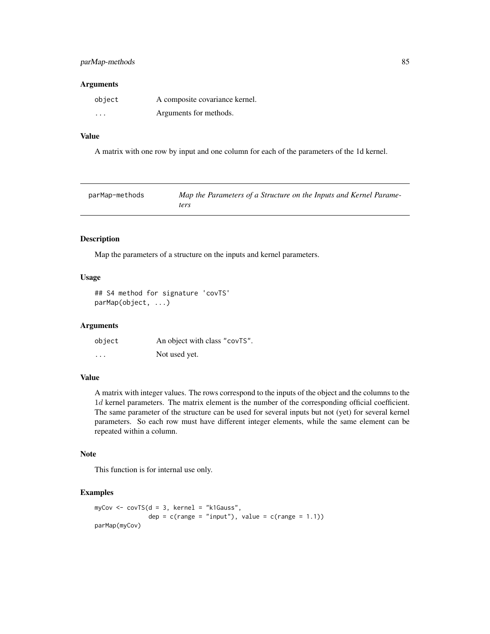# parMap-methods 85

## Arguments

| object   | A composite covariance kernel. |
|----------|--------------------------------|
| $\cdots$ | Arguments for methods.         |

# Value

A matrix with one row by input and one column for each of the parameters of the 1d kernel.

| parMap-methods | Map the Parameters of a Structure on the Inputs and Kernel Parame- |
|----------------|--------------------------------------------------------------------|
|                | ters                                                               |

#### Description

Map the parameters of a structure on the inputs and kernel parameters.

# Usage

## S4 method for signature 'covTS' parMap(object, ...)

# Arguments

| object | An object with class "covTS". |
|--------|-------------------------------|
| .      | Not used yet.                 |

# Value

A matrix with integer values. The rows correspond to the inputs of the object and the columns to the 1d kernel parameters. The matrix element is the number of the corresponding official coefficient. The same parameter of the structure can be used for several inputs but not (yet) for several kernel parameters. So each row must have different integer elements, while the same element can be repeated within a column.

# Note

This function is for internal use only.

# Examples

```
myCov <- covTS(d = 3, kernel = "k1Gauss",
              dep = c(range = "input"), value = c(range = 1.1)parMap(myCov)
```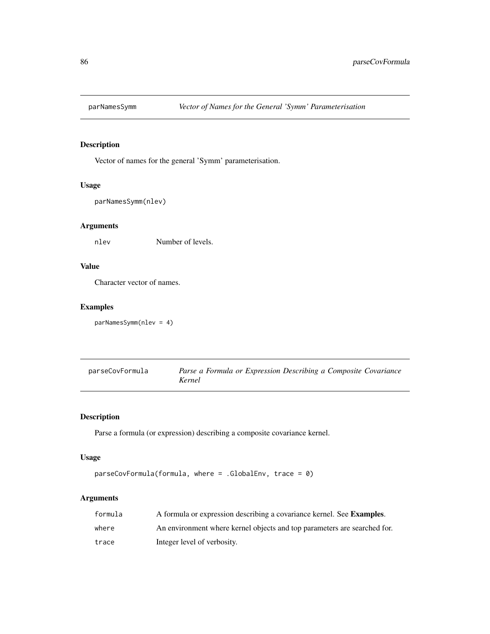# Description

Vector of names for the general 'Symm' parameterisation.

## Usage

```
parNamesSymm(nlev)
```
# Arguments

nlev Number of levels.

# Value

Character vector of names.

# Examples

```
parNamesSymm(nlev = 4)
```

| parseCovFormula | Parse a Formula or Expression Describing a Composite Covariance |
|-----------------|-----------------------------------------------------------------|
|                 | Kernel                                                          |

# Description

Parse a formula (or expression) describing a composite covariance kernel.

# Usage

```
parseCovFormula(formula, where = .GlobalEnv, trace = 0)
```
# Arguments

| formula | A formula or expression describing a covariance kernel. See <b>Examples</b> . |
|---------|-------------------------------------------------------------------------------|
| where   | An environment where kernel objects and top parameters are searched for.      |
| trace   | Integer level of verbosity.                                                   |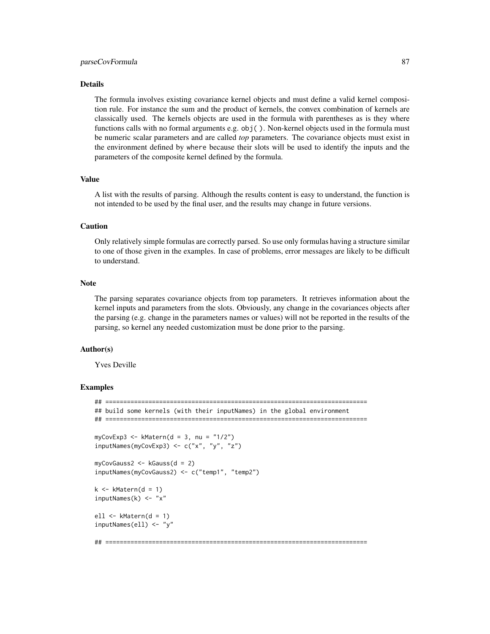#### Details

The formula involves existing covariance kernel objects and must define a valid kernel composition rule. For instance the sum and the product of kernels, the convex combination of kernels are classically used. The kernels objects are used in the formula with parentheses as is they where functions calls with no formal arguments e.g. obj( ). Non-kernel objects used in the formula must be numeric scalar parameters and are called *top* parameters. The covariance objects must exist in the environment defined by where because their slots will be used to identify the inputs and the parameters of the composite kernel defined by the formula.

#### Value

A list with the results of parsing. Although the results content is easy to understand, the function is not intended to be used by the final user, and the results may change in future versions.

#### Caution

Only relatively simple formulas are correctly parsed. So use only formulas having a structure similar to one of those given in the examples. In case of problems, error messages are likely to be difficult to understand.

#### Note

The parsing separates covariance objects from top parameters. It retrieves information about the kernel inputs and parameters from the slots. Obviously, any change in the covariances objects after the parsing (e.g. change in the parameters names or values) will not be reported in the results of the parsing, so kernel any needed customization must be done prior to the parsing.

#### Author(s)

Yves Deville

#### Examples

```
## =========================================================================
## build some kernels (with their inputNames) in the global environment
## =========================================================================
myCovExp3 \leq -kMatern(d = 3, nu = "1/2")inputNames(myCovExp3) <- c("x", "y", "z")
myCovGauss2 <- kGauss(d = 2)
inputNames(myCovGauss2) <- c("temp1", "temp2")
k \leq -kMatern(d = 1)inputNames(k) <- "x"
ell \leq kMatern(d = 1)
inputNames(ell) <- "y"
## =========================================================================
```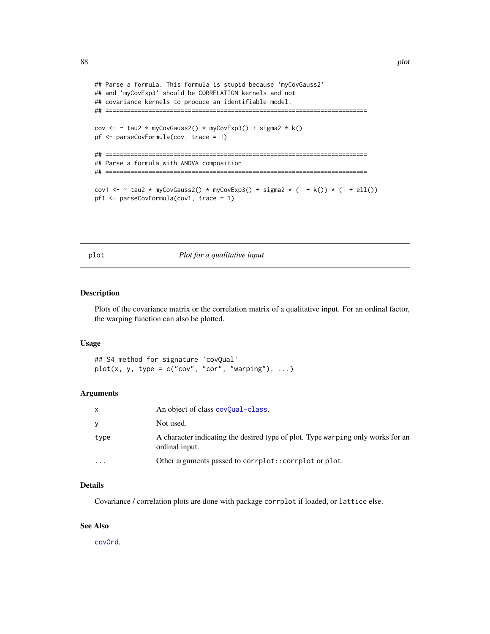```
## Parse a formula. This formula is stupid because 'myCovGauss2'
## and 'myCovExp3' should be CORRELATION kernels and not
## covariance kernels to produce an identifiable model.
## =========================================================================
cov <- \sim tau2 * myCovGauss2() * myCovExp3() + sigma2 * k()
pf <- parseCovFormula(cov, trace = 1)
## =========================================================================
## Parse a formula with ANOVA composition
## =========================================================================
cov1 <- ~ tau2 * myCovGauss2() * myCovExp3() + sigma2 * (1 + k()) * (1 + ell())
pf1 <- parseCovFormula(cov1, trace = 1)
```
plot *Plot for a qualitative input*

#### Description

Plots of the covariance matrix or the correlation matrix of a qualitative input. For an ordinal factor, the warping function can also be plotted.

#### Usage

## S4 method for signature 'covQual'  $plot(x, y, type = c("cov", "cor", "warping"), ...)$ 

#### Arguments

| X        | An object of class covQual-class.                                                                 |
|----------|---------------------------------------------------------------------------------------------------|
| V        | Not used.                                                                                         |
| type     | A character indicating the desired type of plot. Type warping only works for an<br>ordinal input. |
| $\cdots$ | Other arguments passed to corrplot:: corrplot or plot.                                            |

#### Details

Covariance / correlation plots are done with package corrplot if loaded, or lattice else.

#### See Also

[covOrd](#page-36-0).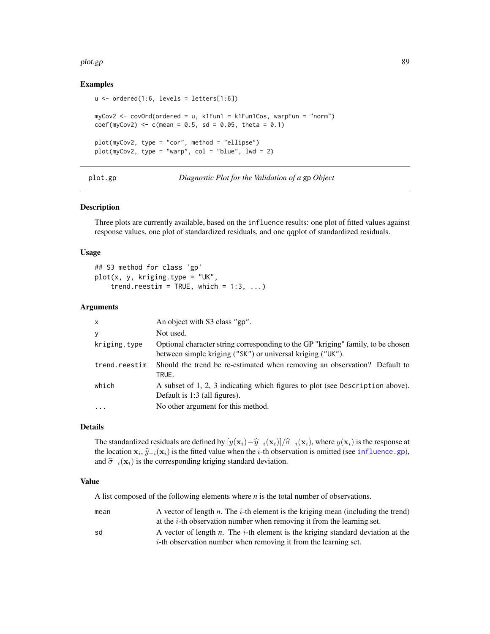#### plot.gp 89

#### Examples

```
u \le - ordered(1:6, levels = letters[1:6])
myCov2 <- covOrd(ordered = u, k1Fun1 = k1Fun1Cos, warpFun = "norm")
coef(myCov2) <- c(mean = 0.5, sd = 0.05, theta = 0.1)plot(myCov2, type = "cor", method = "ellipse")
plot(myCov2, type = "warp", col = "blue", lwd = 2)
```
#### plot.gp *Diagnostic Plot for the Validation of a* gp *Object*

## Description

Three plots are currently available, based on the influence results: one plot of fitted values against response values, one plot of standardized residuals, and one qqplot of standardized residuals.

#### Usage

```
## S3 method for class 'gp'
plot(x, y, kriging.type = "UK",
    trend.reestim = TRUE, which = 1:3, ...)
```
## Arguments

| $\mathsf{x}$  | An object with S3 class "gp".                                                                                                                  |
|---------------|------------------------------------------------------------------------------------------------------------------------------------------------|
| y             | Not used.                                                                                                                                      |
| kriging.type  | Optional character string corresponding to the GP "kriging" family, to be chosen<br>between simple kriging ("SK") or universal kriging ("UK"). |
| trend.reestim | Should the trend be re-estimated when removing an observation? Default to<br>TRUE.                                                             |
| which         | A subset of 1, 2, 3 indicating which figures to plot (see Description above).<br>Default is 1:3 (all figures).                                 |
|               | No other argument for this method.                                                                                                             |

# Details

The standardized residuals are defined by  $[y(x_i)-\hat{y}_{-i}(x_i)]/\hat{\sigma}_{-i}(x_i)$ , where  $y(x_i)$  is the response at the location  $\mathbf{x}_i$ ,  $\hat{y}_{-i}(\mathbf{x}_i)$  is the fitted value when the *i*-th observation is omitted (see [influence.gp](#page-67-0)), and  $\hat{\sigma}_{-i}(\mathbf{x}_i)$  is the corresponding kriging standard deviation.

#### Value

A list composed of the following elements where *n* is the total number of observations.

| mean | A vector of length $n$ . The $i$ -th element is the kriging mean (including the trend)          |
|------|-------------------------------------------------------------------------------------------------|
|      | at the $i$ -th observation number when removing it from the learning set.                       |
| sd   | A vector of length <i>n</i> . The <i>i</i> -th element is the kriging standard deviation at the |
|      | $i$ -th observation number when removing it from the learning set.                              |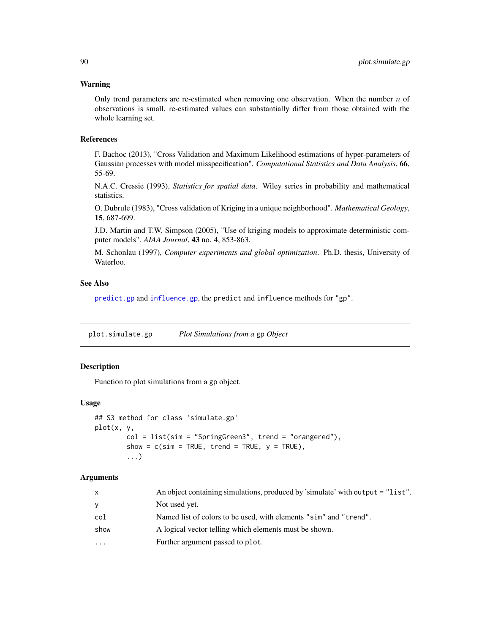#### Warning

Only trend parameters are re-estimated when removing one observation. When the number  $n$  of observations is small, re-estimated values can substantially differ from those obtained with the whole learning set.

#### References

F. Bachoc (2013), "Cross Validation and Maximum Likelihood estimations of hyper-parameters of Gaussian processes with model misspecification". *Computational Statistics and Data Analysis*, 66, 55-69.

N.A.C. Cressie (1993), *Statistics for spatial data*. Wiley series in probability and mathematical statistics.

O. Dubrule (1983), "Cross validation of Kriging in a unique neighborhood". *Mathematical Geology*, 15, 687-699.

J.D. Martin and T.W. Simpson (2005), "Use of kriging models to approximate deterministic computer models". *AIAA Journal*, 43 no. 4, 853-863.

M. Schonlau (1997), *Computer experiments and global optimization*. Ph.D. thesis, University of Waterloo.

#### See Also

[predict.gp](#page-90-0) and [influence.gp](#page-67-0), the predict and influence methods for "gp".

plot.simulate.gp *Plot Simulations from a* gp *Object*

#### **Description**

Function to plot simulations from a gp object.

#### Usage

```
## S3 method for class 'simulate.gp'
plot(x, y,
       col = list(sim = "SpringGreen3", trend = "orangeed"),show = c(sim = TRUE, trend = TRUE, y = TRUE),...)
```
#### Arguments

| $\mathsf{x}$ | An object containing simulations, produced by 'simulate' with output = "list". |
|--------------|--------------------------------------------------------------------------------|
| y            | Not used yet.                                                                  |
| col          | Named list of colors to be used, with elements "sim" and "trend".              |
| show         | A logical vector telling which elements must be shown.                         |
| $\cdots$     | Further argument passed to plot.                                               |
|              |                                                                                |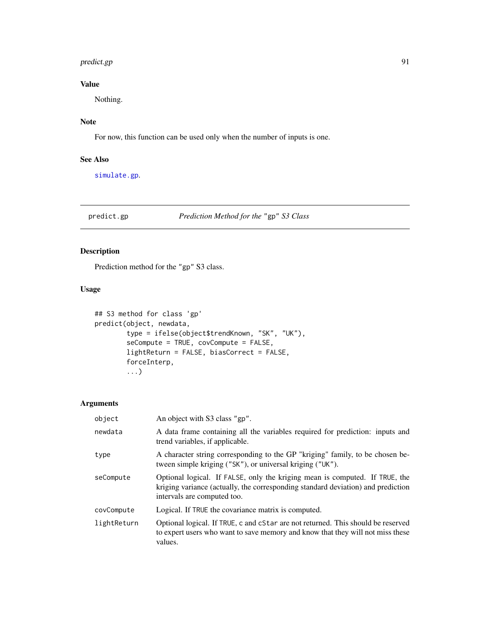#### predict.gp 91

# Value

Nothing.

# Note

For now, this function can be used only when the number of inputs is one.

# See Also

[simulate.gp](#page-101-0).

# <span id="page-90-0"></span>predict.gp *Prediction Method for the* "gp" *S3 Class*

# Description

Prediction method for the "gp" S3 class.

# Usage

```
## S3 method for class 'gp'
predict(object, newdata,
        type = ifelse(object$trendKnown, "SK", "UK"),
        seCompute = TRUE, covCompute = FALSE,
        lightReturn = FALSE, biasCorrect = FALSE,
        forceInterp,
        ...)
```
# Arguments

| object      | An object with S3 class "gp".                                                                                                                                                                  |
|-------------|------------------------------------------------------------------------------------------------------------------------------------------------------------------------------------------------|
| newdata     | A data frame containing all the variables required for prediction: inputs and<br>trend variables, if applicable.                                                                               |
| type        | A character string corresponding to the GP "kriging" family, to be chosen be-<br>tween simple kriging ("SK"), or universal kriging ("UK").                                                     |
| seCompute   | Optional logical. If FALSE, only the kriging mean is computed. If TRUE, the<br>kriging variance (actually, the corresponding standard deviation) and prediction<br>intervals are computed too. |
| covCompute  | Logical. If TRUE the covariance matrix is computed.                                                                                                                                            |
| lightReturn | Optional logical. If TRUE, c and cStar are not returned. This should be reserved<br>to expert users who want to save memory and know that they will not miss these<br>values.                  |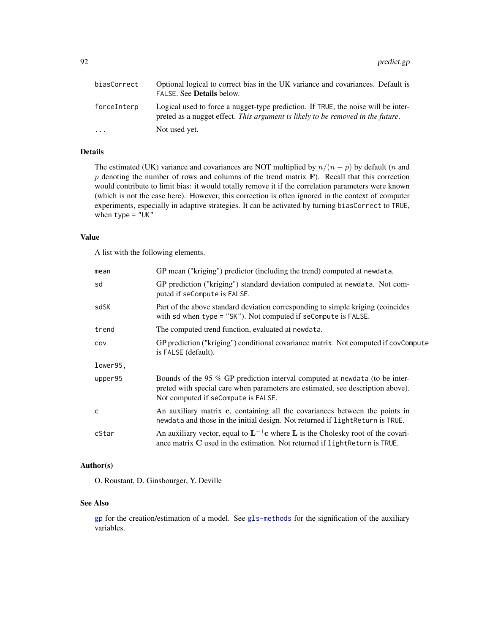| biasCorrect | Optional logical to correct bias in the UK variance and covariances. Default is<br>FALSE. See <b>Details</b> below.                                                  |
|-------------|----------------------------------------------------------------------------------------------------------------------------------------------------------------------|
| forceInterp | Logical used to force a nugget-type prediction. If TRUE, the noise will be inter-<br>preted as a nugget effect. This argument is likely to be removed in the future. |
| $\cdots$    | Not used yet.                                                                                                                                                        |

# Details

The estimated (UK) variance and covariances are NOT multiplied by  $n/(n - p)$  by default (*n* and  $p$  denoting the number of rows and columns of the trend matrix  $\bf{F}$ ). Recall that this correction would contribute to limit bias: it would totally remove it if the correlation parameters were known (which is not the case here). However, this correction is often ignored in the context of computer experiments, especially in adaptive strategies. It can be activated by turning biasCorrect to TRUE, when  $type = "UK"$ 

#### Value

A list with the following elements.

| mean         | GP mean ("kriging") predictor (including the trend) computed at newdata.                                                                                                                              |
|--------------|-------------------------------------------------------------------------------------------------------------------------------------------------------------------------------------------------------|
| sd           | GP prediction ("kriging") standard deviation computed at newdata. Not com-<br>puted if seCompute is FALSE.                                                                                            |
| sdSK         | Part of the above standard deviation corresponding to simple kriging (coincides<br>with sd when type = "SK"). Not computed if seCompute is FALSE.                                                     |
| trend        | The computed trend function, evaluated at newdata.                                                                                                                                                    |
| COV          | GP prediction ("kriging") conditional covariance matrix. Not computed if covCompute<br>is FALSE (default).                                                                                            |
| lower95,     |                                                                                                                                                                                                       |
| upper95      | Bounds of the 95 % GP prediction interval computed at newdata (to be inter-<br>preted with special care when parameters are estimated, see description above).<br>Not computed if seCompute is FALSE. |
| $\mathsf{C}$ | An auxiliary matrix c, containing all the covariances between the points in<br>newdata and those in the initial design. Not returned if lightReturn is TRUE.                                          |
| cStar        | An auxiliary vector, equal to $L^{-1}c$ where L is the Cholesky root of the covari-<br>ance matrix C used in the estimation. Not returned if light Return is TRUE.                                    |

## Author(s)

O. Roustant, D. Ginsbourger, Y. Deville

#### See Also

[gp](#page-60-0) for the creation/estimation of a model. See [gls-methods](#page-59-0) for the signification of the auxiliary variables.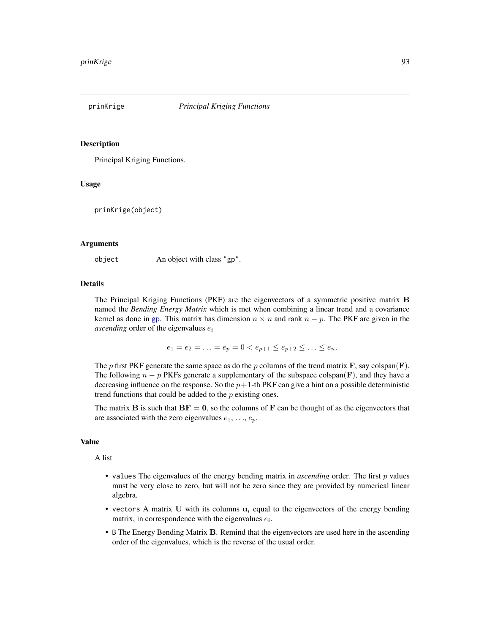#### Description

Principal Kriging Functions.

#### Usage

prinKrige(object)

## Arguments

object An object with class "gp".

#### Details

The Principal Kriging Functions (PKF) are the eigenvectors of a symmetric positive matrix B named the *Bending Energy Matrix* which is met when combining a linear trend and a covariance kernel as done in [gp](#page-60-0). This matrix has dimension  $n \times n$  and rank  $n - p$ . The PKF are given in the *ascending* order of the eigenvalues  $e_i$ 

$$
e_1 = e_2 = \ldots = e_p = 0 < e_{p+1} \le e_{p+2} \le \ldots \le e_n.
$$

The p first PKF generate the same space as do the p columns of the trend matrix  $\bf{F}$ , say colspan( $\bf{F}$ ). The following  $n - p$  PKFs generate a supplementary of the subspace colspan(F), and they have a decreasing influence on the response. So the  $p+1$ -th PKF can give a hint on a possible deterministic trend functions that could be added to the  $p$  existing ones.

The matrix **B** is such that  $BF = 0$ , so the columns of **F** can be thought of as the eigenvectors that are associated with the zero eigenvalues  $e_1, \ldots, e_p$ .

#### Value

A list

- values The eigenvalues of the energy bending matrix in *ascending* order. The first p values must be very close to zero, but will not be zero since they are provided by numerical linear algebra.
- vectors A matrix U with its columns  $u_i$  equal to the eigenvectors of the energy bending matrix, in correspondence with the eigenvalues  $e_i$ .
- B The Energy Bending Matrix B. Remind that the eigenvectors are used here in the ascending order of the eigenvalues, which is the reverse of the usual order.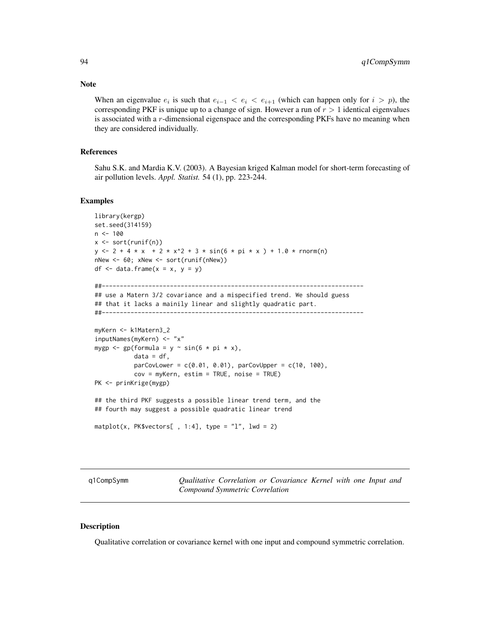When an eigenvalue  $e_i$  is such that  $e_{i-1} < e_i < e_{i+1}$  (which can happen only for  $i > p$ ), the corresponding PKF is unique up to a change of sign. However a run of  $r > 1$  identical eigenvalues is associated with a r-dimensional eigenspace and the corresponding PKFs have no meaning when they are considered individually.

#### References

Sahu S.K. and Mardia K.V. (2003). A Bayesian kriged Kalman model for short-term forecasting of air pollution levels. *Appl. Statist.* 54 (1), pp. 223-244.

#### Examples

```
library(kergp)
set.seed(314159)
n < -100x <- sort(runif(n))
y \le -2 + 4 \times x + 2 \times x^2 + 3 \times \sin(6 \times pi \times x) + 1.0 \times \text{rnorm}(n)nNew <- 60; xNew <- sort(runif(nNew))
df \le data.frame(x = x, y = y)
##-------------------------------------------------------------------------
## use a Matern 3/2 covariance and a mispecified trend. We should guess
## that it lacks a mainily linear and slightly quadratic part.
##-------------------------------------------------------------------------
myKern <- k1Matern3_2
inputNames(myKern) <- "x"
mygp \leq gp(formula = y \sim sin(6 \star pi \star x),
            data = df,
            parCovLower = c(0.01, 0.01), parCovUpper = c(10, 100),cov = myKern, estim = TRUE, noise = TRUE)
PK <- prinKrige(mygp)
## the third PKF suggests a possible linear trend term, and the
## fourth may suggest a possible quadratic linear trend
matplot(x, PK$vectors[ , 1:4], type = "l", lwd = 2)
```
<span id="page-93-0"></span>q1CompSymm *Qualitative Correlation or Covariance Kernel with one Input and Compound Symmetric Correlation*

#### **Description**

Qualitative correlation or covariance kernel with one input and compound symmetric correlation.

# **Note**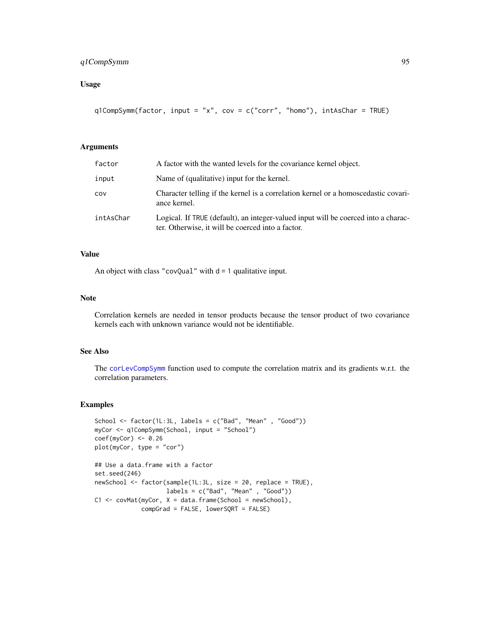# q1CompSymm 95

# Usage

```
q1CompSymm(factor, input = "x", cov = c("corr", "homo"), intAsChar = TRUE)
```
# Arguments

| factor    | A factor with the wanted levels for the covariance kernel object.                                                                       |
|-----------|-----------------------------------------------------------------------------------------------------------------------------------------|
| input     | Name of (qualitative) input for the kernel.                                                                                             |
| cov       | Character telling if the kernel is a correlation kernel or a homoscedastic covari-<br>ance kernel.                                      |
| intAsChar | Logical. If TRUE (default), an integer-valued input will be coerced into a charac-<br>ter. Otherwise, it will be coerced into a factor. |

# Value

An object with class "covQual" with  $d = 1$  qualitative input.

#### Note

Correlation kernels are needed in tensor products because the tensor product of two covariance kernels each with unknown variance would not be identifiable.

#### See Also

The [corLevCompSymm](#page-14-0) function used to compute the correlation matrix and its gradients w.r.t. the correlation parameters.

#### Examples

```
School <- factor(1L:3L, labels = c("Bad", "Mean" , "Good"))
myCor <- q1CompSymm(School, input = "School")
coef(myCor) < -0.26plot(myCor, type = "cor")
## Use a data.frame with a factor
set.seed(246)
newSchool <- factor(sample(1L:3L, size = 20, replace = TRUE),
                    labels = c("Bad", "Mean" , "Good"))
C1 \leq covMat(myCor, X = data . frame(School = new School),compGrad = FALSE, lowerSQRT = FALSE)
```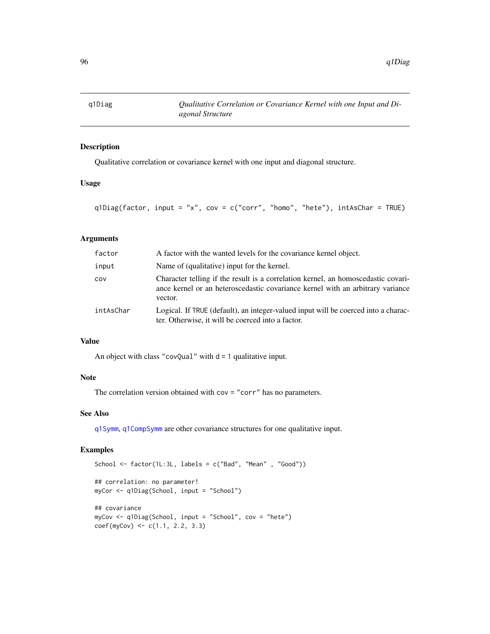# Description

Qualitative correlation or covariance kernel with one input and diagonal structure.

## Usage

```
q1Diag(factor, input = "x", cov = c("corr", "homo", "hete"), intAsChar = TRUE)
```
# Arguments

| factor    | A factor with the wanted levels for the covariance kernel object.                                                                                                              |
|-----------|--------------------------------------------------------------------------------------------------------------------------------------------------------------------------------|
| input     | Name of (qualitative) input for the kernel.                                                                                                                                    |
| COV       | Character telling if the result is a correlation kernel, an homoscedastic covari-<br>ance kernel or an heteroscedastic covariance kernel with an arbitrary variance<br>vector. |
| intAsChar | Logical. If TRUE (default), an integer-valued input will be coerced into a charac-<br>ter. Otherwise, it will be coerced into a factor.                                        |

## Value

An object with class "covQual" with  $d = 1$  qualitative input.

# Note

The correlation version obtained with cov = "corr" has no parameters.

# See Also

[q1Symm](#page-97-0), [q1CompSymm](#page-93-0) are other covariance structures for one qualitative input.

#### Examples

```
School \le factor(1L:3L, labels = c("Bad", "Mean", "Good"))
## correlation: no parameter!
myCor <- q1Diag(School, input = "School")
## covariance
myCov <- q1Diag(School, input = "School", cov = "hete")
coef(myCov) \leq c(1.1, 2.2, 3.3)
```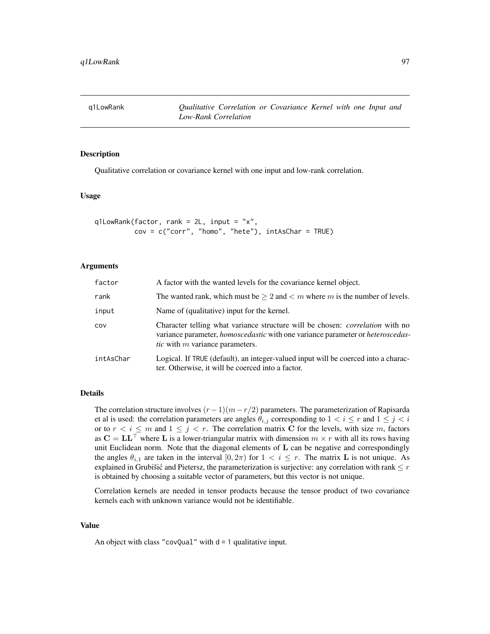# Description

Qualitative correlation or covariance kernel with one input and low-rank correlation.

#### Usage

```
q1LowRank(factor, rank = 2L, input = "x",
         cov = c("corr", "homo", "hete"), intAsChar = TRUE)
```
## Arguments

| factor    | A factor with the wanted levels for the covariance kernel object.                                                                                                                                                          |
|-----------|----------------------------------------------------------------------------------------------------------------------------------------------------------------------------------------------------------------------------|
| rank      | The wanted rank, which must be $\geq 2$ and $\lt m$ where m is the number of levels.                                                                                                                                       |
| input     | Name of (qualitative) input for the kernel.                                                                                                                                                                                |
| COV       | Character telling what variance structure will be chosen: <i>correlation</i> with no<br>variance parameter, <i>homoscedastic</i> with one variance parameter or <i>heteroscedas</i> -<br>tic with $m$ variance parameters. |
| intAsChar | Logical. If TRUE (default), an integer-valued input will be coerced into a charac-<br>ter. Otherwise, it will be coerced into a factor.                                                                                    |

#### Details

The correlation structure involves  $(r-1)(m-r/2)$  parameters. The parameterization of Rapisarda et al is used: the correlation parameters are angles  $\theta_{i,j}$  corresponding to  $1 < i \leq r$  and  $1 \leq j < i$ or to  $r < i \leq m$  and  $1 \leq j < r$ . The correlation matrix C for the levels, with size m, factors as  $C = LL^{\top}$  where L is a lower-triangular matrix with dimension  $m \times r$  with all its rows having unit Euclidean norm. Note that the diagonal elements of L can be negative and correspondingly the angles  $\theta_{i,1}$  are taken in the interval  $[0, 2\pi)$  for  $1 < i \leq r$ . The matrix **L** is not unique. As explained in Grubišić and Pietersz, the parameterization is surjective: any correlation with rank  $\leq r$ is obtained by choosing a suitable vector of parameters, but this vector is not unique.

Correlation kernels are needed in tensor products because the tensor product of two covariance kernels each with unknown variance would not be identifiable.

#### Value

An object with class "covQual" with  $d = 1$  qualitative input.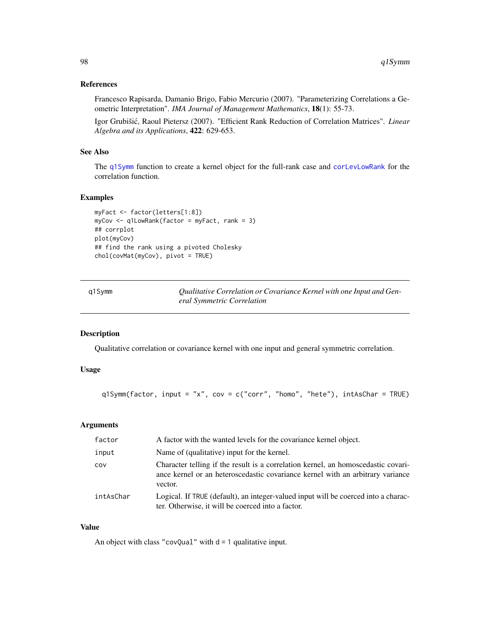#### References

Francesco Rapisarda, Damanio Brigo, Fabio Mercurio (2007). "Parameterizing Correlations a Geometric Interpretation". *IMA Journal of Management Mathematics*, 18(1): 55-73.

Igor Grubišić, Raoul Pietersz (2007). "Efficient Rank Reduction of Correlation Matrices". *Linear Algebra and its Applications*, 422: 629-653.

## See Also

The [q1Symm](#page-97-0) function to create a kernel object for the full-rank case and [corLevLowRank](#page-17-0) for the correlation function.

# Examples

```
myFact <- factor(letters[1:8])
myCov <- q1LowRank(factor = myFact, rank = 3)
## corrplot
plot(myCov)
## find the rank using a pivoted Cholesky
chol(covMat(myCov), pivot = TRUE)
```
<span id="page-97-0"></span>

| q1Symm | Qualitative Correlation or Covariance Kernel with one Input and Gen- |
|--------|----------------------------------------------------------------------|
|        | eral Symmetric Correlation                                           |

#### Description

Qualitative correlation or covariance kernel with one input and general symmetric correlation.

## Usage

```
q1Symm(factor, input = "x", cov = c("corr", "homo", "hete"), intAsChar = TRUE)
```
## Arguments

| factor    | A factor with the wanted levels for the covariance kernel object.                                                                                                              |
|-----------|--------------------------------------------------------------------------------------------------------------------------------------------------------------------------------|
| input     | Name of (qualitative) input for the kernel.                                                                                                                                    |
| COV       | Character telling if the result is a correlation kernel, an homoscedastic covari-<br>ance kernel or an heteroscedastic covariance kernel with an arbitrary variance<br>vector. |
| intAsChar | Logical. If TRUE (default), an integer-valued input will be coerced into a charac-<br>ter. Otherwise, it will be coerced into a factor.                                        |

# Value

An object with class "covQual" with  $d = 1$  qualitative input.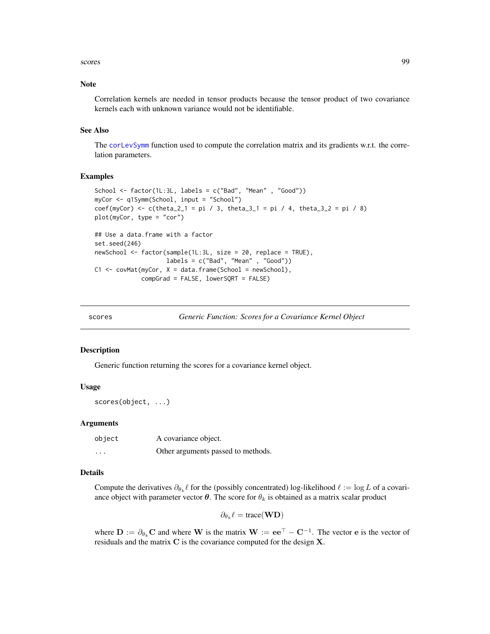#### scores and the set of the set of the set of the set of the set of the set of the set of the set of the set of the set of the set of the set of the set of the set of the set of the set of the set of the set of the set of th

#### Note

Correlation kernels are needed in tensor products because the tensor product of two covariance kernels each with unknown variance would not be identifiable.

#### See Also

The [corLevSymm](#page-18-0) function used to compute the correlation matrix and its gradients w.r.t. the correlation parameters.

## Examples

```
School <- factor(1L:3L, labels = c("Bad", "Mean" , "Good"))
myCor <- q1Symm(School, input = "School")
coef(myCor) <- c(theta_2_1 = pi / 3, theta_3_1 = pi / 4, theta_3_2 = pi / 8)
plot(myCor, type = "cor")
## Use a data.frame with a factor
set.seed(246)
newSchool <- factor(sample(1L:3L, size = 20, replace = TRUE),
                    labels = c("Bad", "Mean", "Good")C1 \leq covMat(myCor, X = data . frame(School = new School),compGrad = FALSE, lowerSQRT = FALSE)
```
scores *Generic Function: Scores for a Covariance Kernel Object*

#### Description

Generic function returning the scores for a covariance kernel object.

#### Usage

scores(object, ...)

#### **Arguments**

| object                  | A covariance object.               |
|-------------------------|------------------------------------|
| $\cdot$ $\cdot$ $\cdot$ | Other arguments passed to methods. |

# Details

Compute the derivatives  $\partial_{\theta_k} \ell$  for the (possibly concentrated) log-likelihood  $\ell := \log L$  of a covariance object with parameter vector  $\theta$ . The score for  $\theta_k$  is obtained as a matrix scalar product

$$
\partial_{\theta_k}\ell = \text{trace}(\mathbf{W}\mathbf{D})
$$

where  $D := \partial_{\theta_k} C$  and where W is the matrix  $W := ee^{\top} - C^{-1}$ . The vector e is the vector of residuals and the matrix C is the covariance computed for the design X.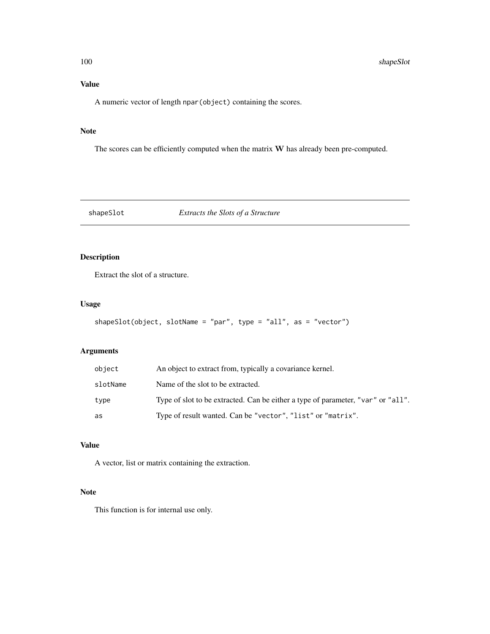# Value

A numeric vector of length npar(object) containing the scores.

# Note

The scores can be efficiently computed when the matrix W has already been pre-computed.

shapeSlot *Extracts the Slots of a Structure*

# Description

Extract the slot of a structure.

# Usage

```
shapeSlot(object, slotName = "par", type = "all", as = "vector")
```
# Arguments

| object   | An object to extract from, typically a covariance kernel.                        |
|----------|----------------------------------------------------------------------------------|
| slotName | Name of the slot to be extracted.                                                |
| type     | Type of slot to be extracted. Can be either a type of parameter, "var" or "all". |
| as       | Type of result wanted. Can be "vector", "list" or "matrix".                      |

# Value

A vector, list or matrix containing the extraction.

#### Note

This function is for internal use only.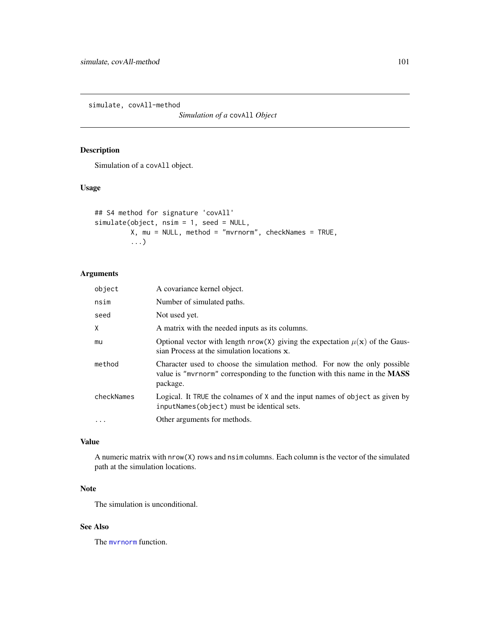simulate, covAll-method

*Simulation of a* covAll *Object*

# Description

Simulation of a covAll object.

# Usage

```
## S4 method for signature 'covAll'
simulate(object, nsim = 1, seed = NULL,
        X, mu = NULL, method = "mvrnorm", checkNames = TRUE,
         ...)
```
# Arguments

| object     | A covariance kernel object.                                                                                                                                          |
|------------|----------------------------------------------------------------------------------------------------------------------------------------------------------------------|
| nsim       | Number of simulated paths.                                                                                                                                           |
| seed       | Not used yet.                                                                                                                                                        |
| X          | A matrix with the needed inputs as its columns.                                                                                                                      |
| mu         | Optional vector with length nrow(X) giving the expectation $\mu(\mathbf{x})$ of the Gaus-<br>sian Process at the simulation locations x.                             |
| method     | Character used to choose the simulation method. For now the only possible<br>value is "myrnorm" corresponding to the function with this name in the MASS<br>package. |
| checkNames | Logical. It TRUE the colnames of X and the input names of object as given by<br>inputNames(object) must be identical sets.                                           |
|            | Other arguments for methods.                                                                                                                                         |

# Value

A numeric matrix with nrow(X) rows and nsim columns. Each column is the vector of the simulated path at the simulation locations.

# Note

The simulation is unconditional.

# See Also

The [mvrnorm](#page-0-0) function.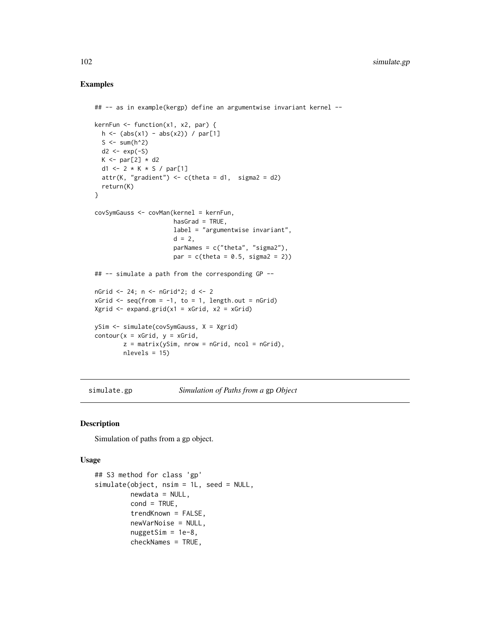## Examples

```
## -- as in example(kergp) define an argumentwise invariant kernel --
kernFun <- function(x1, x2, par) {
  h \leftarrow (abs(x1) - abs(x2)) / par[1]S \leq sum(h^2)
  d2 \leq -\exp(-S)K \leftarrow par[2] * d2d1 <- 2 * K * S / par[1]
  attr(K, "gradient") \leftarrow c(theta = d1, sigma2 = d2)return(K)
}
covSymGauss <- covMan(kernel = kernFun,
                      hasGrad = TRUE,
                      label = "argumentwise invariant",
                      d = 2,
                      parNames = c("theta", "sigma2"),
                      par = c(theta = 0.5, sigma2 = 2)## -- simulate a path from the corresponding GP --
nGrid <-24; n <- nGrid^2; d <-2xGrid \leftarrow seq(from = -1, to = 1, length.out = nGrid)Xgrid <- expand.grid(x1 = xGrid, x2 = xGrid)
ySim <- simulate(covSymGauss, X = Xgrid)
contour(x = xGrid, y = xGrid,z = matrix(ySim, nrow = nGrid, ncol = nGrid),nlevels = 15)
```
<span id="page-101-0"></span>simulate.gp *Simulation of Paths from a* gp *Object*

#### Description

Simulation of paths from a gp object.

#### Usage

```
## S3 method for class 'gp'
simulate(object, nsim = 1L, seed = NULL,
         newdata = NULL,cond = TRUE,
         trendKnown = FALSE,
         newVarNoise = NULL,
         nuggetSim = 1e-8,checkNames = TRUE,
```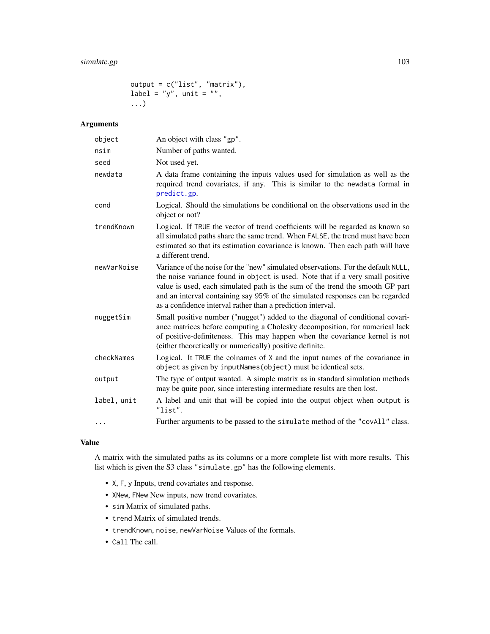# simulate.gp 103

output = c("list", "matrix"), label = "y", unit = "", ...)

# Arguments

| object      | An object with class "gp".                                                                                                                                                                                                                                                                                                                                                                           |
|-------------|------------------------------------------------------------------------------------------------------------------------------------------------------------------------------------------------------------------------------------------------------------------------------------------------------------------------------------------------------------------------------------------------------|
| nsim        | Number of paths wanted.                                                                                                                                                                                                                                                                                                                                                                              |
| seed        | Not used yet.                                                                                                                                                                                                                                                                                                                                                                                        |
| newdata     | A data frame containing the inputs values used for simulation as well as the<br>required trend covariates, if any. This is similar to the newdata formal in<br>predict.gp.                                                                                                                                                                                                                           |
| cond        | Logical. Should the simulations be conditional on the observations used in the<br>object or not?                                                                                                                                                                                                                                                                                                     |
| trendKnown  | Logical. If TRUE the vector of trend coefficients will be regarded as known so<br>all simulated paths share the same trend. When FALSE, the trend must have been<br>estimated so that its estimation covariance is known. Then each path will have<br>a different trend.                                                                                                                             |
| newVarNoise | Variance of the noise for the "new" simulated observations. For the default NULL,<br>the noise variance found in object is used. Note that if a very small positive<br>value is used, each simulated path is the sum of the trend the smooth GP part<br>and an interval containing say 95% of the simulated responses can be regarded<br>as a confidence interval rather than a prediction interval. |
| nuggetSim   | Small positive number ("nugget") added to the diagonal of conditional covari-<br>ance matrices before computing a Cholesky decomposition, for numerical lack<br>of positive-definiteness. This may happen when the covariance kernel is not<br>(either theoretically or numerically) positive definite.                                                                                              |
| checkNames  | Logical. It TRUE the colnames of X and the input names of the covariance in<br>object as given by inputNames(object) must be identical sets.                                                                                                                                                                                                                                                         |
| output      | The type of output wanted. A simple matrix as in standard simulation methods<br>may be quite poor, since interesting intermediate results are then lost.                                                                                                                                                                                                                                             |
| label, unit | A label and unit that will be copied into the output object when output is<br>"list".                                                                                                                                                                                                                                                                                                                |
| $\cdots$    | Further arguments to be passed to the simulate method of the "covAll" class.                                                                                                                                                                                                                                                                                                                         |

#### Value

A matrix with the simulated paths as its columns or a more complete list with more results. This list which is given the S3 class "simulate.gp" has the following elements.

- X, F, y Inputs, trend covariates and response.
- XNew, FNew New inputs, new trend covariates.
- sim Matrix of simulated paths.
- trend Matrix of simulated trends.
- trendKnown, noise, newVarNoise Values of the formals.
- Call The call.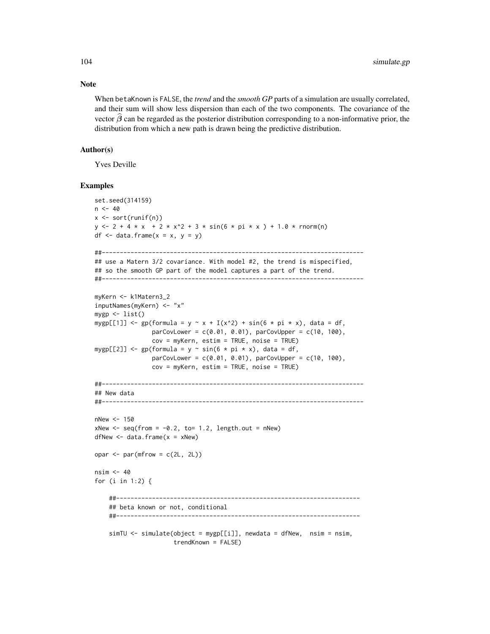When betaKnown is FALSE, the *trend* and the *smooth GP* parts of a simulation are usually correlated, and their sum will show less dispersion than each of the two components. The covariance of the vector  $\beta$  can be regarded as the posterior distribution corresponding to a non-informative prior, the distribution from which a new path is drawn being the predictive distribution.

## Author(s)

Yves Deville

#### Examples

```
set.seed(314159)
n < -40x \leftarrow sort(runif(n))y \le -2 + 4 + x + 2 + x^2 + 3 + \sin(6 + \pi x) + 1.0 + \text{norm(n)}df \leq data.frame(x = x, y = y)
##-------------------------------------------------------------------------
## use a Matern 3/2 covariance. With model #2, the trend is mispecified,
## so the smooth GP part of the model captures a part of the trend.
##-------------------------------------------------------------------------
myKern <- k1Matern3_2
inputNames(myKern) <- "x"
mygp \leftarrow list()mygp[[1]] \leq gp(formula = y \sim x + I(x^2) + sin(6 \star pi \star x), data = df,
                 parCovLower = c(0.01, 0.01), parCovUpper = c(10, 100),cov = myKern, estim = TRUE, noise = TRUE)
mygp[[2]] \leftarrow gp(formula = y \sim sin(6 * pi * x), data = df,parCovLower = c(0.01, 0.01), parCovUpper = c(10, 100),cov = myKern, estim = TRUE, noise = TRUE)
##-------------------------------------------------------------------------
## New data
##-------------------------------------------------------------------------
nNew < - 150xNew < - seq(from = -0.2, to= 1.2, length.out = nNew)
dfNew < - data.frame(x = xNew)
opar \leq par(mfrow = c(2L, 2L))
nsim < -40for (i in 1:2) {
    ##--------------------------------------------------------------------
    ## beta known or not, conditional
    ##--------------------------------------------------------------------
    simTU \leq -simU at mU \leq -sim(object = mygp[[i]], newdata = dfNew, nsim = nsim,
                       trendKnown = FALSE)
```
# Note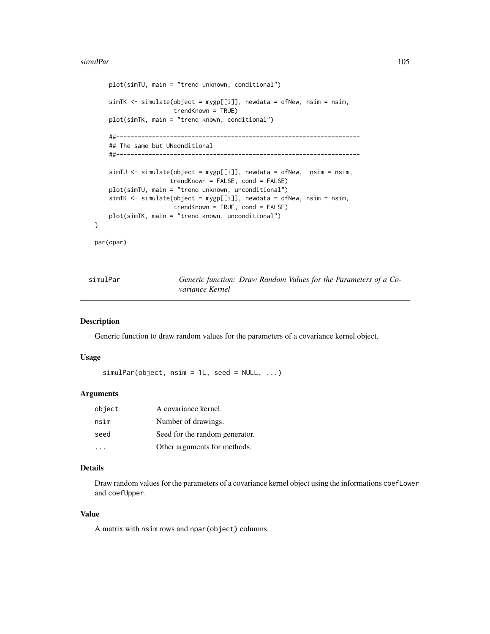#### simulPar the contract of the contract of the contract of the contract of the contract of the contract of the contract of the contract of the contract of the contract of the contract of the contract of the contract of the c

```
plot(simTU, main = "trend unknown, conditional")
    simTK <- simulate(object = mygp[[i]], newdata = dfNew, nsim = nsim,
                      trendKnown = TRUE)
    plot(simTK, main = "trend known, conditional")
    ##--------------------------------------------------------------------
    ## The same but UNconditional
    ##--------------------------------------------------------------------
    simTU <- simulate(object = mygp[[i]], newdata = dfNew, nsim = nsim,
                     trendKnown = FALSE, cond = FALSE)
    plot(simTU, main = "trend unknown, unconditional")
    simTK <- simulate(object = mygp[[i]], newdata = dfNew, nsim = nsim,
                      trendKnown = TRUE, cond = FALSE)
   plot(simTK, main = "trend known, unconditional")
par(opar)
```
<span id="page-104-0"></span>

| simulPar | Generic function: Draw Random Values for the Parameters of a Co- |  |  |
|----------|------------------------------------------------------------------|--|--|
|          | variance Kernel                                                  |  |  |

#### Description

}

Generic function to draw random values for the parameters of a covariance kernel object.

# Usage

 $simlPar(object, nsim = 1L, seed = NULL, ...)$ 

#### Arguments

| object | A covariance kernel.           |
|--------|--------------------------------|
| nsim   | Number of drawings.            |
| seed   | Seed for the random generator. |
|        | Other arguments for methods.   |

# Details

Draw random values for the parameters of a covariance kernel object using the informations coefLower and coefUpper.

## Value

A matrix with nsim rows and npar(object) columns.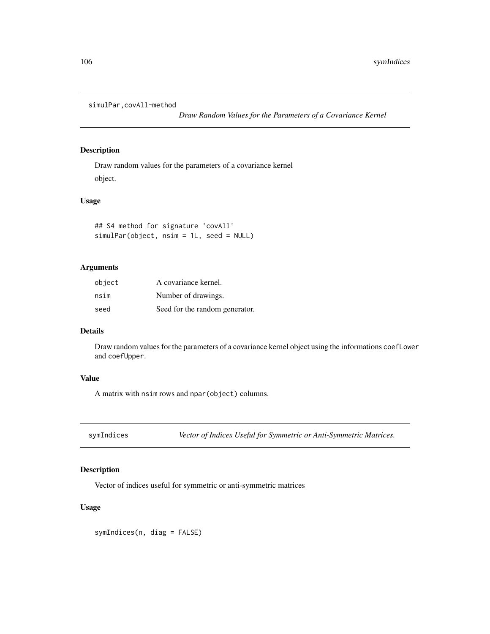simulPar,covAll-method

*Draw Random Values for the Parameters of a Covariance Kernel*

# Description

Draw random values for the parameters of a covariance kernel object.

## Usage

```
## S4 method for signature 'covAll'
simulPar(object, nsim = 1L, seed = NULL)
```
# Arguments

| object | A covariance kernel.           |
|--------|--------------------------------|
| nsim   | Number of drawings.            |
| seed   | Seed for the random generator. |

# Details

Draw random values for the parameters of a covariance kernel object using the informations coefLower and coefUpper.

# Value

A matrix with nsim rows and npar(object) columns.

symIndices *Vector of Indices Useful for Symmetric or Anti-Symmetric Matrices.*

# Description

Vector of indices useful for symmetric or anti-symmetric matrices

# Usage

symIndices(n, diag = FALSE)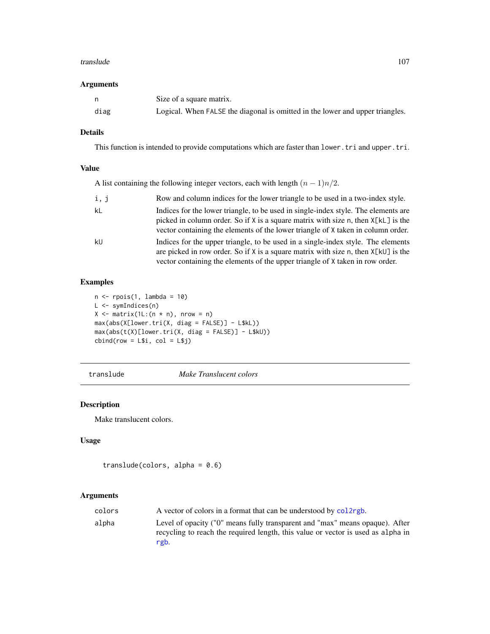#### translude the contract of the contract of the contract of the contract of the contract of the contract of the contract of the contract of the contract of the contract of the contract of the contract of the contract of the

## Arguments

|      | Size of a square matrix.                                                      |
|------|-------------------------------------------------------------------------------|
| diag | Logical. When FALSE the diagonal is omitted in the lower and upper triangles. |

# Details

This function is intended to provide computations which are faster than lower.tri and upper.tri.

# Value

A list containing the following integer vectors, each with length  $(n - 1)n/2$ .

| i, j | Row and column indices for the lower triangle to be used in a two-index style.                                                                                                                                                                                |
|------|---------------------------------------------------------------------------------------------------------------------------------------------------------------------------------------------------------------------------------------------------------------|
| kL   | Indices for the lower triangle, to be used in single-index style. The elements are<br>picked in column order. So if X is a square matrix with size n, then $X[kL]$ is the<br>vector containing the elements of the lower triangle of X taken in column order. |
| kU   | Indices for the upper triangle, to be used in a single-index style. The elements<br>are picked in row order. So if X is a square matrix with size n, then $X[k\cup]$ is the<br>vector containing the elements of the upper triangle of X taken in row order.  |

# Examples

```
n \leftarrow \text{rpois}(1, \text{ lambda} = 10)L <- symIndices(n)
X \leq - matrix(1L:(n * n), nrow = n)
max(abs(X[lower.tri(X, diag = FALSE)] - L$kL))
max(abs(t(X)[lower.tri(X, diag = FALSE)] - L$kU))cbind(row = L$i, col = L$j)
```
translude *Make Translucent colors*

# Description

Make translucent colors.

# Usage

```
translude(colors, alpha = 0.6)
```
# Arguments

| colors | A vector of colors in a format that can be understood by collarged.                                                                                                      |
|--------|--------------------------------------------------------------------------------------------------------------------------------------------------------------------------|
| alpha  | Level of opacity ("0" means fully transparent and "max" means opaque). After<br>recycling to reach the required length, this value or vector is used as alpha in<br>rgb. |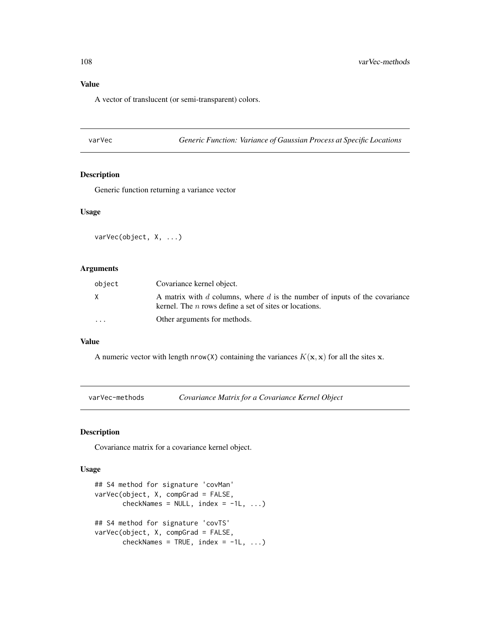# Value

A vector of translucent (or semi-transparent) colors.

varVec *Generic Function: Variance of Gaussian Process at Specific Locations*

# Description

Generic function returning a variance vector

## Usage

varVec(object, X, ...)

## Arguments

| object                  | Covariance kernel object.                                                                                                              |
|-------------------------|----------------------------------------------------------------------------------------------------------------------------------------|
| X.                      | A matrix with d columns, where d is the number of inputs of the covariance<br>kernel. The $n$ rows define a set of sites or locations. |
| $\cdot$ $\cdot$ $\cdot$ | Other arguments for methods.                                                                                                           |

## Value

A numeric vector with length nrow(X) containing the variances  $K(\mathbf{x}, \mathbf{x})$  for all the sites x.

varVec-methods *Covariance Matrix for a Covariance Kernel Object*

# Description

Covariance matrix for a covariance kernel object.

#### Usage

```
## S4 method for signature 'covMan'
varVec(object, X, compGrad = FALSE,
       checkNames = NULL, index = -1L, ...)## S4 method for signature 'covTS'
varVec(object, X, compGrad = FALSE,
       checkNames = TRUE, index = -1L, ...)
```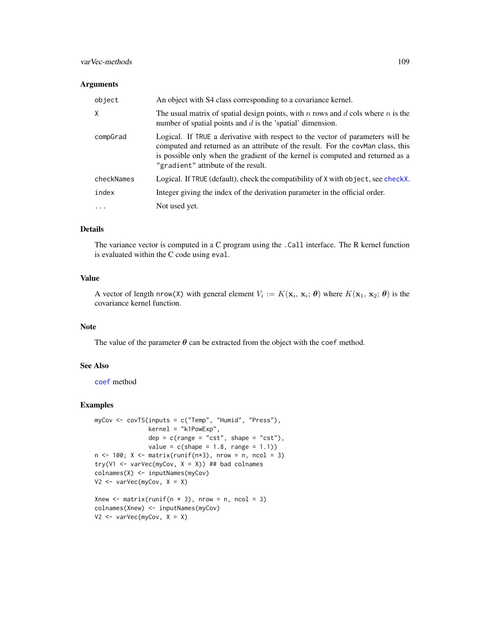### <span id="page-108-0"></span>varVec-methods 109

#### Arguments

| object     | An object with S4 class corresponding to a covariance kernel.                                                                                                                                                                                                                              |
|------------|--------------------------------------------------------------------------------------------------------------------------------------------------------------------------------------------------------------------------------------------------------------------------------------------|
| X          | The usual matrix of spatial design points, with $n$ rows and $d$ cols where $n$ is the<br>number of spatial points and $d$ is the 'spatial' dimension.                                                                                                                                     |
| compGrad   | Logical. If TRUE a derivative with respect to the vector of parameters will be<br>computed and returned as an attribute of the result. For the covman class, this<br>is possible only when the gradient of the kernel is computed and returned as a<br>"gradient" attribute of the result. |
| checkNames | Logical. If TRUE (default), check the compatibility of X with object, see checkX.                                                                                                                                                                                                          |
| index      | Integer giving the index of the derivation parameter in the official order.                                                                                                                                                                                                                |
| $\ddots$   | Not used yet.                                                                                                                                                                                                                                                                              |

# Details

The variance vector is computed in a C program using the .Call interface. The R kernel function is evaluated within the C code using eval.

## Value

A vector of length nrow(X) with general element  $V_i := K(\mathbf{x}_i, \mathbf{x}_i; \boldsymbol{\theta})$  where  $K(\mathbf{x}_1, \mathbf{x}_2; \boldsymbol{\theta})$  is the covariance kernel function.

## Note

The value of the parameter  $\theta$  can be extracted from the object with the coef method.

## See Also

[coef](#page-0-0) method

#### Examples

```
myCov <- covTS(inputs = c("Temp", "Humid", "Press"),
               kernel = "k1PowExp",
               dep = c(range = "cst", shape = "cst"),
               value = c(shape = 1.8, range = 1.1)n \le -100; X \le - matrix(runif(n \times 3), nrow = n, ncol = 3)
try(V1 <- varVec(myCov, X = X)) ## bad colnames
colnames(X) <- inputNames(myCov)
V2 <- varVec(myCov, X = X)
Xnew \leq matrix(runif(n \neq 3), nrow = n, ncol = 3)
colnames(Xnew) <- inputNames(myCov)
V2 \leq -varVec(myCov, X = X)
```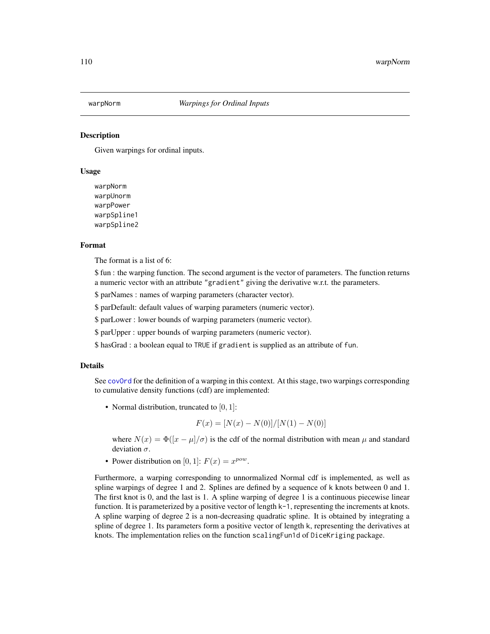<span id="page-109-0"></span>

#### Description

Given warpings for ordinal inputs.

#### Usage

warpNorm warpUnorm warpPower warpSpline1 warpSpline2

#### Format

The format is a list of 6:

\$ fun : the warping function. The second argument is the vector of parameters. The function returns a numeric vector with an attribute "gradient" giving the derivative w.r.t. the parameters.

\$ parNames : names of warping parameters (character vector).

\$ parDefault: default values of warping parameters (numeric vector).

\$ parLower : lower bounds of warping parameters (numeric vector).

\$ parUpper : upper bounds of warping parameters (numeric vector).

\$ hasGrad : a boolean equal to TRUE if gradient is supplied as an attribute of fun.

#### Details

See cov0rd for the definition of a warping in this context. At this stage, two warpings corresponding to cumulative density functions (cdf) are implemented:

• Normal distribution, truncated to  $[0, 1]$ :

$$
F(x) = \frac{[N(x) - N(0)]}{[N(1) - N(0)]}
$$

where  $N(x) = \Phi(|x - \mu|/\sigma)$  is the cdf of the normal distribution with mean  $\mu$  and standard deviation  $\sigma$ .

• Power distribution on [0, 1]:  $F(x) = x^{pow}$ .

Furthermore, a warping corresponding to unnormalized Normal cdf is implemented, as well as spline warpings of degree 1 and 2. Splines are defined by a sequence of k knots between 0 and 1. The first knot is 0, and the last is 1. A spline warping of degree 1 is a continuous piecewise linear function. It is parameterized by a positive vector of length k-1, representing the increments at knots. A spline warping of degree 2 is a non-decreasing quadratic spline. It is obtained by integrating a spline of degree 1. Its parameters form a positive vector of length k, representing the derivatives at knots. The implementation relies on the function scalingFun1d of DiceKriging package.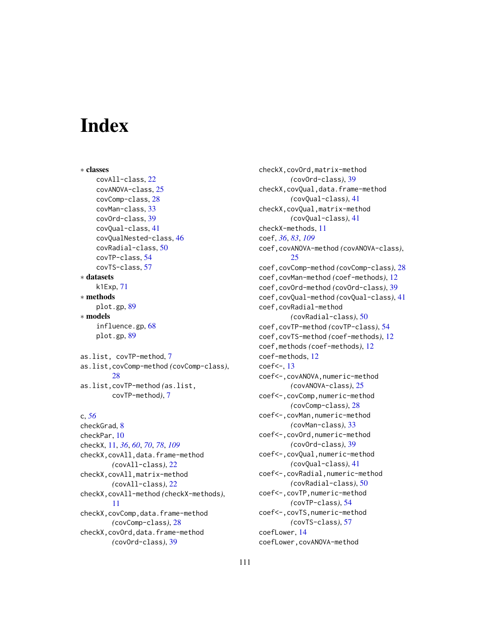# **Index**

∗ classes covAll-class, [22](#page-21-0) covANOVA-class, [25](#page-24-0) covComp-class, [28](#page-27-0) covMan-class, [33](#page-32-0) covOrd-class, [39](#page-38-0) covQual-class, [41](#page-40-0) covQualNested-class, [46](#page-45-0) covRadial-class, [50](#page-49-0) covTP-class, [54](#page-53-0) covTS-class, [57](#page-56-0) ∗ datasets k1Exp, [71](#page-70-0) ∗ methods plot.gp, [89](#page-88-0) ∗ models influence.gp, [68](#page-67-0) plot.gp, [89](#page-88-0) as.list, covTP-method, [7](#page-6-0)

as.list,covComp-method *(*covComp-class*)*, [28](#page-27-0) as.list,covTP-method *(*as.list, covTP-method*)*, [7](#page-6-0)

## c, *[56](#page-55-0)*

checkGrad, [8](#page-7-0) checkPar, [10](#page-9-0) checkX, [11,](#page-10-1) *[36](#page-35-0)*, *[60](#page-59-0)*, *[70](#page-69-0)*, *[78](#page-77-0)*, *[109](#page-108-0)* checkX,covAll,data.frame-method *(*covAll-class*)*, [22](#page-21-0) checkX,covAll,matrix-method *(*covAll-class*)*, [22](#page-21-0) checkX,covAll-method *(*checkX-methods*)*, [11](#page-10-1) checkX,covComp,data.frame-method *(*covComp-class*)*, [28](#page-27-0) checkX,covOrd,data.frame-method *(*covOrd-class*)*, [39](#page-38-0)

checkX,covOrd,matrix-method *(*covOrd-class*)*, [39](#page-38-0) checkX,covQual,data.frame-method *(*covQual-class*)*, [41](#page-40-0) checkX,covQual,matrix-method *(*covQual-class*)*, [41](#page-40-0) checkX-methods, [11](#page-10-1) coef, *[36](#page-35-0)*, *[83](#page-82-0)*, *[109](#page-108-0)* coef,covANOVA-method *(*covANOVA-class*)*, [25](#page-24-0) coef,covComp-method *(*covComp-class*)*, [28](#page-27-0) coef,covMan-method *(*coef-methods*)*, [12](#page-11-0) coef,covOrd-method *(*covOrd-class*)*, [39](#page-38-0) coef,covQual-method *(*covQual-class*)*, [41](#page-40-0) coef,covRadial-method *(*covRadial-class*)*, [50](#page-49-0) coef,covTP-method *(*covTP-class*)*, [54](#page-53-0) coef,covTS-method *(*coef-methods*)*, [12](#page-11-0) coef,methods *(*coef-methods*)*, [12](#page-11-0) coef-methods, [12](#page-11-0) coef<-, [13](#page-12-0) coef<-,covANOVA,numeric-method *(*covANOVA-class*)*, [25](#page-24-0) coef<-,covComp,numeric-method *(*covComp-class*)*, [28](#page-27-0) coef<-,covMan,numeric-method *(*covMan-class*)*, [33](#page-32-0) coef<-,covOrd,numeric-method *(*covOrd-class*)*, [39](#page-38-0) coef<-,covQual,numeric-method *(*covQual-class*)*, [41](#page-40-0) coef<-,covRadial,numeric-method *(*covRadial-class*)*, [50](#page-49-0) coef<-,covTP,numeric-method *(*covTP-class*)*, [54](#page-53-0) coef<-,covTS,numeric-method *(*covTS-class*)*, [57](#page-56-0) coefLower, [14](#page-13-0) coefLower,covANOVA-method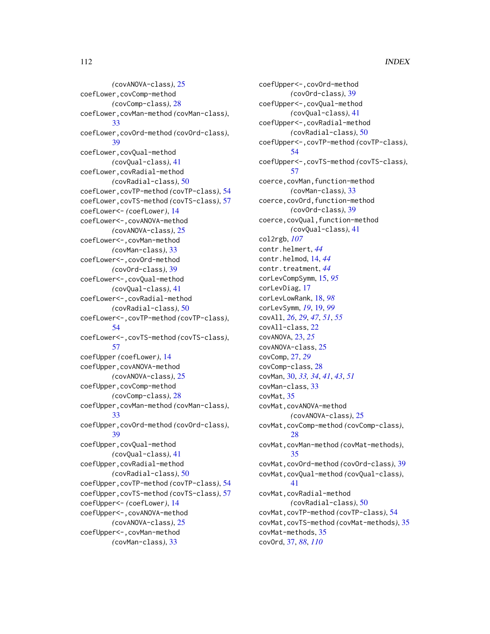*(*covANOVA-class*)*, [25](#page-24-0) coefLower,covComp-method *(*covComp-class*)*, [28](#page-27-0) coefLower,covMan-method *(*covMan-class*)*, [33](#page-32-0) coefLower,covOrd-method *(*covOrd-class*)*, [39](#page-38-0) coefLower,covQual-method *(*covQual-class*)*, [41](#page-40-0) coefLower,covRadial-method *(*covRadial-class*)*, [50](#page-49-0) coefLower,covTP-method *(*covTP-class*)*, [54](#page-53-0) coefLower,covTS-method *(*covTS-class*)*, [57](#page-56-0) coefLower<- *(*coefLower*)*, [14](#page-13-0) coefLower<-,covANOVA-method *(*covANOVA-class*)*, [25](#page-24-0) coefLower<-,covMan-method *(*covMan-class*)*, [33](#page-32-0) coefLower<-,covOrd-method *(*covOrd-class*)*, [39](#page-38-0) coefLower<-,covQual-method *(*covQual-class*)*, [41](#page-40-0) coefLower<-,covRadial-method *(*covRadial-class*)*, [50](#page-49-0) coefLower<-,covTP-method *(*covTP-class*)*, [54](#page-53-0) coefLower<-,covTS-method *(*covTS-class*)*, [57](#page-56-0) coefUpper *(*coefLower*)*, [14](#page-13-0) coefUpper,covANOVA-method *(*covANOVA-class*)*, [25](#page-24-0) coefUpper,covComp-method *(*covComp-class*)*, [28](#page-27-0) coefUpper,covMan-method *(*covMan-class*)*, [33](#page-32-0) coefUpper,covOrd-method *(*covOrd-class*)*, [39](#page-38-0) coefUpper,covQual-method *(*covQual-class*)*, [41](#page-40-0) coefUpper,covRadial-method *(*covRadial-class*)*, [50](#page-49-0) coefUpper,covTP-method *(*covTP-class*)*, [54](#page-53-0) coefUpper,covTS-method *(*covTS-class*)*, [57](#page-56-0) coefUpper<- *(*coefLower*)*, [14](#page-13-0) coefUpper<-,covANOVA-method *(*covANOVA-class*)*, [25](#page-24-0) coefUpper<-,covMan-method *(*covMan-class*)*, [33](#page-32-0)

coefUpper<-,covOrd-method *(*covOrd-class*)*, [39](#page-38-0) coefUpper<-,covQual-method *(*covQual-class*)*, [41](#page-40-0) coefUpper<-,covRadial-method *(*covRadial-class*)*, [50](#page-49-0) coefUpper<-,covTP-method *(*covTP-class*)*, [54](#page-53-0) coefUpper<-,covTS-method *(*covTS-class*)*, [57](#page-56-0) coerce,covMan,function-method *(*covMan-class*)*, [33](#page-32-0) coerce,covOrd,function-method *(*covOrd-class*)*, [39](#page-38-0) coerce,covQual,function-method *(*covQual-class*)*, [41](#page-40-0) col2rgb, *[107](#page-106-0)* contr.helmert, *[44](#page-43-0)* contr.helmod, [14,](#page-13-0) *[44](#page-43-0)* contr.treatment, *[44](#page-43-0)* corLevCompSymm, [15,](#page-14-0) *[95](#page-94-0)* corLevDiag, [17](#page-16-0) corLevLowRank, [18,](#page-17-0) *[98](#page-97-0)* corLevSymm, *[19](#page-18-0)*, [19,](#page-18-0) *[99](#page-98-0)* covAll, *[26](#page-25-0)*, *[29](#page-28-0)*, *[47](#page-46-0)*, *[51](#page-50-0)*, *[55](#page-54-0)* covAll-class, [22](#page-21-0) covANOVA, [23,](#page-22-0) *[25](#page-24-0)* covANOVA-class, [25](#page-24-0) covComp, [27,](#page-26-0) *[29](#page-28-0)* covComp-class, [28](#page-27-0) covMan, [30,](#page-29-0) *[33,](#page-32-0) [34](#page-33-0)*, *[41](#page-40-0)*, *[43](#page-42-0)*, *[51](#page-50-0)* covMan-class, [33](#page-32-0) covMat, [35](#page-34-0) covMat,covANOVA-method *(*covANOVA-class*)*, [25](#page-24-0) covMat,covComp-method *(*covComp-class*)*, [28](#page-27-0) covMat,covMan-method *(*covMat-methods*)*, [35](#page-34-0) covMat,covOrd-method *(*covOrd-class*)*, [39](#page-38-0) covMat,covQual-method *(*covQual-class*)*, [41](#page-40-0) covMat,covRadial-method *(*covRadial-class*)*, [50](#page-49-0) covMat,covTP-method *(*covTP-class*)*, [54](#page-53-0) covMat,covTS-method *(*covMat-methods*)*, [35](#page-34-0) covMat-methods, [35](#page-34-0) covOrd, [37,](#page-36-1) *[88](#page-87-0)*, *[110](#page-109-0)*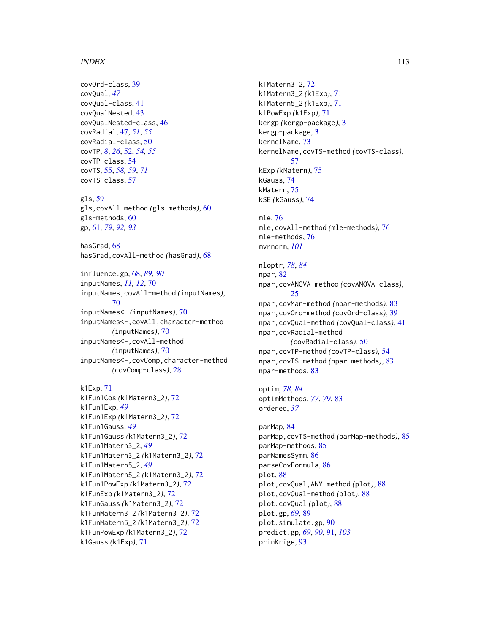#### INDEX 113

covOrd-class, [39](#page-38-0) covQual, *[47](#page-46-0)* covQual-class, [41](#page-40-0) covQualNested, [43](#page-42-0) covQualNested-class, [46](#page-45-0) covRadial, [47,](#page-46-0) *[51](#page-50-0)*, *[55](#page-54-0)* covRadial-class, [50](#page-49-0) covTP, *[8](#page-7-0)*, *[26](#page-25-0)*, [52,](#page-51-0) *[54,](#page-53-0) [55](#page-54-0)* covTP-class, [54](#page-53-0) covTS, [55,](#page-54-0) *[58,](#page-57-0) [59](#page-58-0)*, *[71](#page-70-0)* covTS-class, [57](#page-56-0) gls, [59](#page-58-0) gls,covAll-method *(*gls-methods*)*, [60](#page-59-0) gls-methods, [60](#page-59-0) gp, [61,](#page-60-0) *[79](#page-78-0)*, *[92,](#page-91-0) [93](#page-92-0)* hasGrad, [68](#page-67-0) hasGrad,covAll-method *(*hasGrad*)*, [68](#page-67-0) influence.gp, [68,](#page-67-0) *[89,](#page-88-0) [90](#page-89-0)* inputNames, *[11,](#page-10-1) [12](#page-11-0)*, [70](#page-69-0) inputNames,covAll-method *(*inputNames*)*, [70](#page-69-0) inputNames<- *(*inputNames*)*, [70](#page-69-0) inputNames<-,covAll,character-method *(*inputNames*)*, [70](#page-69-0) inputNames<-,covAll-method *(*inputNames*)*, [70](#page-69-0) inputNames<-,covComp,character-method *(*covComp-class*)*, [28](#page-27-0) k1Exp, [71](#page-70-0) k1Fun1Cos *(*k1Matern3\_2*)*, [72](#page-71-0) k1Fun1Exp, *[49](#page-48-0)* k1Fun1Exp *(*k1Matern3\_2*)*, [72](#page-71-0) k1Fun1Gauss, *[49](#page-48-0)* k1Fun1Gauss *(*k1Matern3\_2*)*, [72](#page-71-0) k1Fun1Matern3\_2, *[49](#page-48-0)*

k1Fun1Matern3\_2 *(*k1Matern3\_2*)*, [72](#page-71-0)

k1Fun1Matern5\_2 *(*k1Matern3\_2*)*, [72](#page-71-0) k1Fun1PowExp *(*k1Matern3\_2*)*, [72](#page-71-0) k1FunExp *(*k1Matern3\_2*)*, [72](#page-71-0) k1FunGauss *(*k1Matern3\_2*)*, [72](#page-71-0) k1FunMatern3\_2 *(*k1Matern3\_2*)*, [72](#page-71-0) k1FunMatern5\_2 *(*k1Matern3\_2*)*, [72](#page-71-0) k1FunPowExp *(*k1Matern3\_2*)*, [72](#page-71-0)

k1Fun1Matern5\_2, *[49](#page-48-0)*

k1Gauss *(*k1Exp*)*, [71](#page-70-0)

k1Matern3\_2, [72](#page-71-0) k1Matern3\_2 *(*k1Exp*)*, [71](#page-70-0) k1Matern5\_2 *(*k1Exp*)*, [71](#page-70-0) k1PowExp *(*k1Exp*)*, [71](#page-70-0) kergp *(*kergp-package*)*, [3](#page-2-0) kergp-package, [3](#page-2-0) kernelName, [73](#page-72-0) kernelName,covTS-method *(*covTS-class*)*, [57](#page-56-0) kExp *(*kMatern*)*, [75](#page-74-0) kGauss, [74](#page-73-0) kMatern, [75](#page-74-0) kSE *(*kGauss*)*, [74](#page-73-0) mle, [76](#page-75-0) mle,covAll-method *(*mle-methods*)*, [76](#page-75-0) mle-methods, [76](#page-75-0) mvrnorm, *[101](#page-100-0)* nloptr, *[78](#page-77-0)*, *[84](#page-83-0)* npar, [82](#page-81-0) npar,covANOVA-method *(*covANOVA-class*)*, [25](#page-24-0) npar,covMan-method *(*npar-methods*)*, [83](#page-82-0) npar,covOrd-method *(*covOrd-class*)*, [39](#page-38-0) npar,covQual-method *(*covQual-class*)*, [41](#page-40-0) npar,covRadial-method *(*covRadial-class*)*, [50](#page-49-0) npar,covTP-method *(*covTP-class*)*, [54](#page-53-0) npar,covTS-method *(*npar-methods*)*, [83](#page-82-0) npar-methods, [83](#page-82-0)

optim, *[78](#page-77-0)*, *[84](#page-83-0)* optimMethods, *[77](#page-76-0)*, *[79](#page-78-0)*, [83](#page-82-0) ordered, *[37](#page-36-1)*

parMap, [84](#page-83-0) parMap,covTS-method *(*parMap-methods*)*, [85](#page-84-0) parMap-methods, [85](#page-84-0) parNamesSymm, [86](#page-85-0) parseCovFormula, [86](#page-85-0) plot, [88](#page-87-0) plot,covQual,ANY-method *(*plot*)*, [88](#page-87-0) plot,covQual-method *(*plot*)*, [88](#page-87-0) plot.covQual *(*plot*)*, [88](#page-87-0) plot.gp, *[69](#page-68-0)*, [89](#page-88-0) plot.simulate.gp, [90](#page-89-0) predict.gp, *[69](#page-68-0)*, *[90](#page-89-0)*, [91,](#page-90-0) *[103](#page-102-0)* prinKrige, [93](#page-92-0)